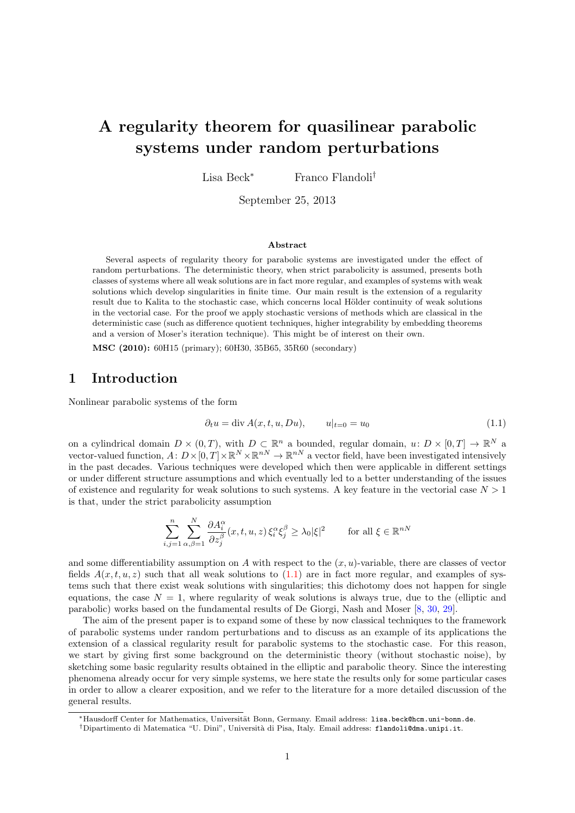# A regularity theorem for quasilinear parabolic systems under random perturbations

Lisa Beck<sup>∗</sup> Franco Flandoli†

September 25, 2013

#### Abstract

Several aspects of regularity theory for parabolic systems are investigated under the effect of random perturbations. The deterministic theory, when strict parabolicity is assumed, presents both classes of systems where all weak solutions are in fact more regular, and examples of systems with weak solutions which develop singularities in finite time. Our main result is the extension of a regularity result due to Kalita to the stochastic case, which concerns local Hölder continuity of weak solutions in the vectorial case. For the proof we apply stochastic versions of methods which are classical in the deterministic case (such as difference quotient techniques, higher integrability by embedding theorems and a version of Moser's iteration technique). This might be of interest on their own.

MSC (2010): 60H15 (primary); 60H30, 35B65, 35R60 (secondary)

# 1 Introduction

Nonlinear parabolic systems of the form

<span id="page-0-0"></span>
$$
\partial_t u = \text{div}\,A(x, t, u, Du), \qquad u|_{t=0} = u_0 \tag{1.1}
$$

on a cylindrical domain  $D \times (0,T)$ , with  $D \subset \mathbb{R}^n$  a bounded, regular domain,  $u: D \times [0,T] \to \mathbb{R}^N$  a vector-valued function,  $A: D \times [0, T] \times \mathbb{R}^N \times \mathbb{R}^{nN} \to \mathbb{R}^{nN}$  a vector field, have been investigated intensively in the past decades. Various techniques were developed which then were applicable in different settings or under different structure assumptions and which eventually led to a better understanding of the issues of existence and regularity for weak solutions to such systems. A key feature in the vectorial case  $N > 1$ is that, under the strict parabolicity assumption

$$
\sum_{i,j=1}^{n} \sum_{\alpha,\beta=1}^{N} \frac{\partial A_i^{\alpha}}{\partial z_j^{\beta}}(x,t,u,z) \, \xi_i^{\alpha} \xi_j^{\beta} \ge \lambda_0 |\xi|^2 \qquad \text{for all } \xi \in \mathbb{R}^{nN}
$$

and some differentiability assumption on A with respect to the  $(x, u)$ -variable, there are classes of vector fields  $A(x, t, u, z)$  such that all weak solutions to  $(1.1)$  are in fact more regular, and examples of systems such that there exist weak solutions with singularities; this dichotomy does not happen for single equations, the case  $N = 1$ , where regularity of weak solutions is always true, due to the (elliptic and parabolic) works based on the fundamental results of De Giorgi, Nash and Moser [\[8,](#page-31-0) [30,](#page-32-0) [29\]](#page-32-1).

The aim of the present paper is to expand some of these by now classical techniques to the framework of parabolic systems under random perturbations and to discuss as an example of its applications the extension of a classical regularity result for parabolic systems to the stochastic case. For this reason, we start by giving first some background on the deterministic theory (without stochastic noise), by sketching some basic regularity results obtained in the elliptic and parabolic theory. Since the interesting phenomena already occur for very simple systems, we here state the results only for some particular cases in order to allow a clearer exposition, and we refer to the literature for a more detailed discussion of the general results.

<sup>∗</sup>Hausdorff Center for Mathematics, Universit¨at Bonn, Germany. Email address: lisa.beck@hcm.uni-bonn.de.

<sup>†</sup>Dipartimento di Matematica "U. Dini", Universit`a di Pisa, Italy. Email address: flandoli@dma.unipi.it.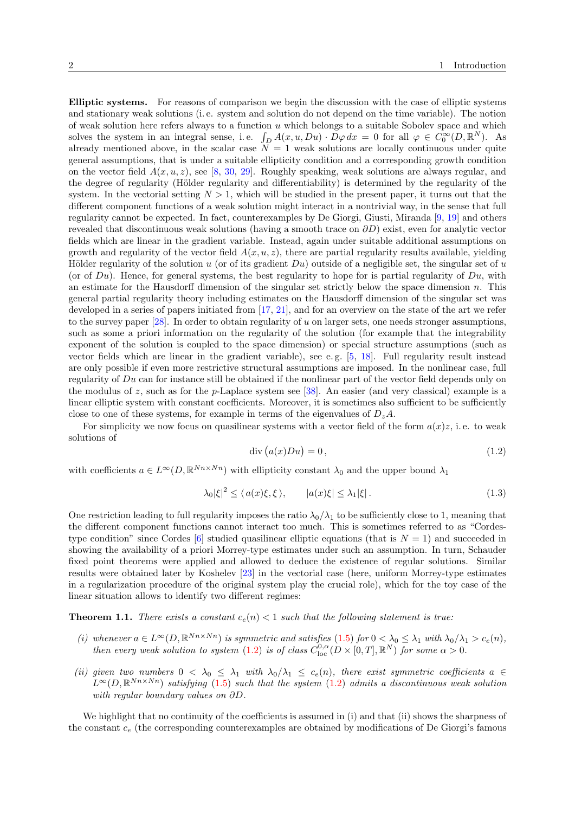Elliptic systems. For reasons of comparison we begin the discussion with the case of elliptic systems and stationary weak solutions (i. e. system and solution do not depend on the time variable). The notion of weak solution here refers always to a function  $u$  which belongs to a suitable Sobolev space and which solves the system in an integral sense, i.e.  $\int_D A(x, u, Du) \cdot D\varphi dx = 0$  for all  $\varphi \in C_0^{\infty}(D, \mathbb{R}^N)$ . As already mentioned above, in the scalar case  $\overline{N} = 1$  weak solutions are locally continuous under quite general assumptions, that is under a suitable ellipticity condition and a corresponding growth condition on the vector field  $A(x, u, z)$ , see [\[8,](#page-31-0) [30,](#page-32-0) [29\]](#page-32-1). Roughly speaking, weak solutions are always regular, and the degree of regularity (Hölder regularity and differentiability) is determined by the regularity of the system. In the vectorial setting  $N > 1$ , which will be studied in the present paper, it turns out that the different component functions of a weak solution might interact in a nontrivial way, in the sense that full regularity cannot be expected. In fact, counterexamples by De Giorgi, Giusti, Miranda [\[9,](#page-31-1) [19\]](#page-31-2) and others revealed that discontinuous weak solutions (having a smooth trace on  $\partial D$ ) exist, even for analytic vector fields which are linear in the gradient variable. Instead, again under suitable additional assumptions on growth and regularity of the vector field  $A(x, u, z)$ , there are partial regularity results available, yielding Hölder regularity of the solution u (or of its gradient  $Du$ ) outside of a negligible set, the singular set of u (or of  $Du$ ). Hence, for general systems, the best regularity to hope for is partial regularity of  $Du$ , with an estimate for the Hausdorff dimension of the singular set strictly below the space dimension n. This general partial regularity theory including estimates on the Hausdorff dimension of the singular set was developed in a series of papers initiated from [\[17,](#page-31-3) [21\]](#page-32-2), and for an overview on the state of the art we refer to the survey paper  $[28]$ . In order to obtain regularity of u on larger sets, one needs stronger assumptions, such as some a priori information on the regularity of the solution (for example that the integrability exponent of the solution is coupled to the space dimension) or special structure assumptions (such as vector fields which are linear in the gradient variable), see e.g.  $[5, 18]$  $[5, 18]$  $[5, 18]$ . Full regularity result instead are only possible if even more restrictive structural assumptions are imposed. In the nonlinear case, full regularity of Du can for instance still be obtained if the nonlinear part of the vector field depends only on the modulus of z, such as for the p-Laplace system see [\[38\]](#page-32-4). An easier (and very classical) example is a linear elliptic system with constant coefficients. Moreover, it is sometimes also sufficient to be sufficiently close to one of these systems, for example in terms of the eigenvalues of  $D_z A$ .

For simplicity we now focus on quasilinear systems with a vector field of the form  $a(x)z$ , i.e. to weak solutions of

<span id="page-1-0"></span>
$$
\operatorname{div}\left(a(x)Du\right) = 0\,,\tag{1.2}
$$

with coefficients  $a \in L^{\infty}(D, \mathbb{R}^{Nn \times Nn})$  with ellipticity constant  $\lambda_0$  and the upper bound  $\lambda_1$ 

$$
\lambda_0 |\xi|^2 \le \langle a(x)\xi, \xi \rangle, \qquad |a(x)\xi| \le \lambda_1 |\xi|.
$$
\n(1.3)

One restriction leading to full regularity imposes the ratio  $\lambda_0/\lambda_1$  to be sufficiently close to 1, meaning that the different component functions cannot interact too much. This is sometimes referred to as "Cordes-type condition" since Cordes [\[6\]](#page-31-6) studied quasilinear elliptic equations (that is  $N = 1$ ) and succeeded in showing the availability of a priori Morrey-type estimates under such an assumption. In turn, Schauder fixed point theorems were applied and allowed to deduce the existence of regular solutions. Similar results were obtained later by Koshelev [\[23\]](#page-32-5) in the vectorial case (here, uniform Morrey-type estimates in a regularization procedure of the original system play the crucial role), which for the toy case of the linear situation allows to identify two different regimes:

<span id="page-1-1"></span>**Theorem 1.1.** There exists a constant  $c_e(n) < 1$  such that the following statement is true:

- (i) whenever  $a \in L^{\infty}(D, \mathbb{R}^{Nn \times Nn})$  is symmetric and satisfies  $(1.5)$  for  $0 < \lambda_0 \leq \lambda_1$  with  $\lambda_0/\lambda_1 > c_e(n)$ , then every weak solution to system [\(1.2\)](#page-1-0) is of class  $C^{0,\alpha}_{\text{loc}}(D\times[0,T],\mathbb{R}^N)$  for some  $\alpha>0$ .
- (ii) given two numbers  $0 < \lambda_0 \leq \lambda_1$  with  $\lambda_0/\lambda_1 \leq c_e(n)$ , there exist symmetric coefficients  $a \in$  $L^{\infty}(D,\mathbb{R}^{Nn\times Nn})$  satisfying [\(1.5\)](#page-2-0) such that the system [\(1.2\)](#page-1-0) admits a discontinuous weak solution with regular boundary values on ∂D.

We highlight that no continuity of the coefficients is assumed in (i) and that (ii) shows the sharpness of the constant  $c_e$  (the corresponding counterexamples are obtained by modifications of De Giorgi's famous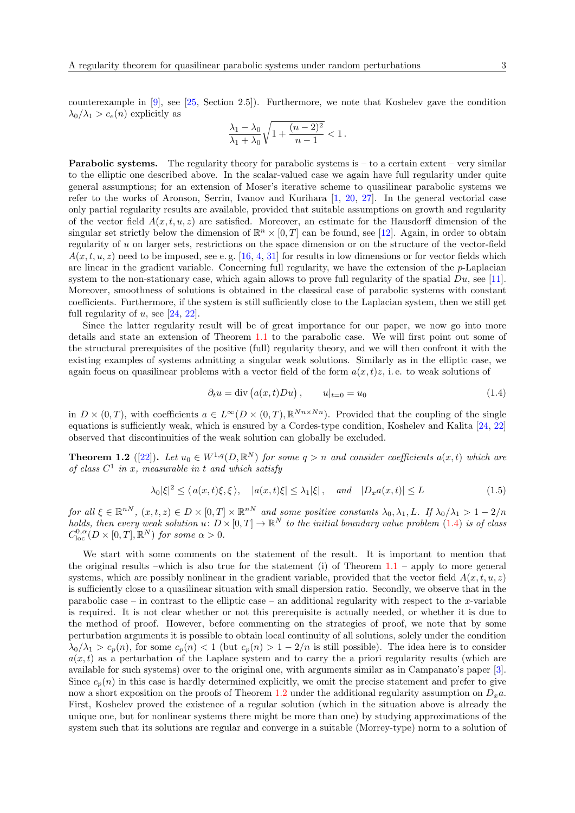counterexample in [\[9\]](#page-31-1), see [\[25,](#page-32-6) Section 2.5]). Furthermore, we note that Koshelev gave the condition  $\lambda_0/\lambda_1 > c_e(n)$  explicitly as

$$
\frac{\lambda_1 - \lambda_0}{\lambda_1 + \lambda_0} \sqrt{1 + \frac{(n-2)^2}{n-1}} < 1.
$$

**Parabolic systems.** The regularity theory for parabolic systems is  $-$  to a certain extent – very similar to the elliptic one described above. In the scalar-valued case we again have full regularity under quite general assumptions; for an extension of Moser's iterative scheme to quasilinear parabolic systems we refer to the works of Aronson, Serrin, Ivanov and Kurihara [\[1,](#page-31-7) [20,](#page-32-7) [27\]](#page-32-8). In the general vectorial case only partial regularity results are available, provided that suitable assumptions on growth and regularity of the vector field  $A(x, t, u, z)$  are satisfied. Moreover, an estimate for the Hausdorff dimension of the singular set strictly below the dimension of  $\mathbb{R}^n \times [0,T]$  can be found, see [\[12\]](#page-31-8). Again, in order to obtain regularity of u on larger sets, restrictions on the space dimension or on the structure of the vector-field  $A(x, t, u, z)$  need to be imposed, see e.g. [\[16,](#page-31-9) [4,](#page-31-10) [31\]](#page-32-9) for results in low dimensions or for vector fields which are linear in the gradient variable. Concerning full regularity, we have the extension of the  $p$ -Laplacian system to the non-stationary case, which again allows to prove full regularity of the spatial  $Du$ , see [\[11\]](#page-31-11). Moreover, smoothness of solutions is obtained in the classical case of parabolic systems with constant coefficients. Furthermore, if the system is still sufficiently close to the Laplacian system, then we still get full regularity of  $u$ , see [\[24,](#page-32-10) [22\]](#page-32-11).

Since the latter regularity result will be of great importance for our paper, we now go into more details and state an extension of Theorem [1.1](#page-1-1) to the parabolic case. We will first point out some of the structural prerequisites of the positive (full) regularity theory, and we will then confront it with the existing examples of systems admitting a singular weak solutions. Similarly as in the elliptic case, we again focus on quasilinear problems with a vector field of the form  $a(x, t)z$ , i.e. to weak solutions of

<span id="page-2-1"></span>
$$
\partial_t u = \text{div}\left(a(x,t)Du\right), \qquad u|_{t=0} = u_0 \tag{1.4}
$$

in  $D \times (0,T)$ , with coefficients  $a \in L^{\infty}(D \times (0,T), \mathbb{R}^{Nn \times Nn})$ . Provided that the coupling of the single equations is sufficiently weak, which is ensured by a Cordes-type condition, Koshelev and Kalita [\[24,](#page-32-10) [22\]](#page-32-11) observed that discontinuities of the weak solution can globally be excluded.

<span id="page-2-2"></span>**Theorem 1.2** ([\[22\]](#page-32-11)). Let  $u_0 \in W^{1,q}(D,\mathbb{R}^N)$  for some  $q > n$  and consider coefficients  $a(x,t)$  which are of class  $C^1$  in x, measurable in t and which satisfy

<span id="page-2-0"></span>
$$
\lambda_0|\xi|^2 \le \langle a(x,t)\xi,\xi \rangle, \quad |a(x,t)\xi| \le \lambda_1|\xi|, \quad and \quad |D_x a(x,t)| \le L \tag{1.5}
$$

for all  $\xi \in \mathbb{R}^{nN}$ ,  $(x, t, z) \in D \times [0, T] \times \mathbb{R}^{nN}$  and some positive constants  $\lambda_0, \lambda_1, L$ . If  $\lambda_0/\lambda_1 > 1 - 2/n$ holds, then every weak solution  $u: D \times [0,T] \to \mathbb{R}^N$  to the initial boundary value problem [\(1.4\)](#page-2-1) is of class  $C^{0,\alpha}_{\text{loc}}(D\times[0,T],\mathbb{R}^N)$  for some  $\alpha>0$ .

We start with some comments on the statement of the result. It is important to mention that the original results –which is also true for the statement (i) of Theorem  $1.1$  – apply to more general systems, which are possibly nonlinear in the gradient variable, provided that the vector field  $A(x, t, u, z)$ is sufficiently close to a quasilinear situation with small dispersion ratio. Secondly, we observe that in the parabolic case – in contrast to the elliptic case – an additional regularity with respect to the x-variable is required. It is not clear whether or not this prerequisite is actually needed, or whether it is due to the method of proof. However, before commenting on the strategies of proof, we note that by some perturbation arguments it is possible to obtain local continuity of all solutions, solely under the condition  $\lambda_0/\lambda_1 > c_p(n)$ , for some  $c_p(n) < 1$  (but  $c_p(n) > 1 - 2/n$  is still possible). The idea here is to consider  $a(x, t)$  as a perturbation of the Laplace system and to carry the a priori regularity results (which are available for such systems) over to the original one, with arguments similar as in Campanato's paper [\[3\]](#page-31-12). Since  $c_n(n)$  in this case is hardly determined explicitly, we omit the precise statement and prefer to give now a short exposition on the proofs of Theorem [1.2](#page-2-2) under the additional regularity assumption on  $D<sub>x</sub>a$ . First, Koshelev proved the existence of a regular solution (which in the situation above is already the unique one, but for nonlinear systems there might be more than one) by studying approximations of the system such that its solutions are regular and converge in a suitable (Morrey-type) norm to a solution of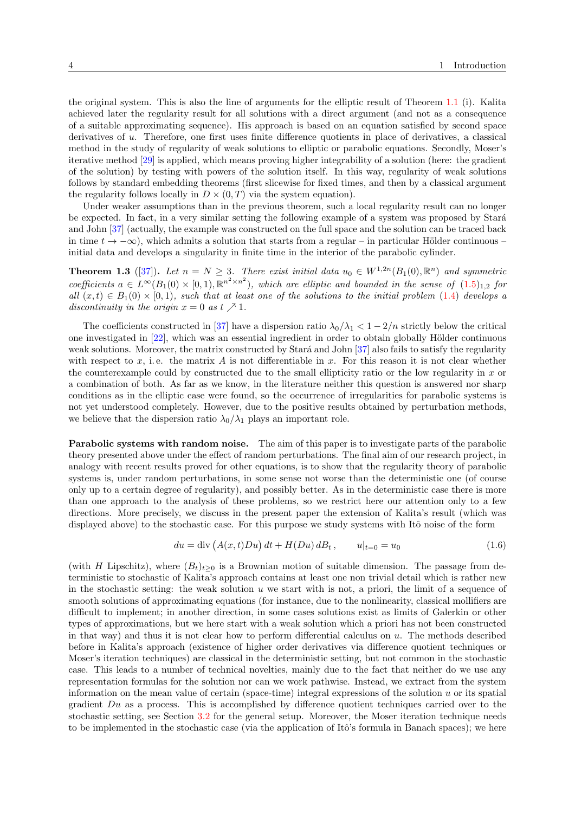the original system. This is also the line of arguments for the elliptic result of Theorem [1.1](#page-1-1) (i). Kalita achieved later the regularity result for all solutions with a direct argument (and not as a consequence of a suitable approximating sequence). His approach is based on an equation satisfied by second space derivatives of u. Therefore, one first uses finite difference quotients in place of derivatives, a classical method in the study of regularity of weak solutions to elliptic or parabolic equations. Secondly, Moser's iterative method [\[29\]](#page-32-1) is applied, which means proving higher integrability of a solution (here: the gradient of the solution) by testing with powers of the solution itself. In this way, regularity of weak solutions follows by standard embedding theorems (first slicewise for fixed times, and then by a classical argument the regularity follows locally in  $D \times (0,T)$  via the system equation).

Under weaker assumptions than in the previous theorem, such a local regularity result can no longer be expected. In fact, in a very similar setting the following example of a system was proposed by Stará and John [\[37\]](#page-32-12) (actually, the example was constructed on the full space and the solution can be traced back in time  $t \to -\infty$ ), which admits a solution that starts from a regular – in particular Hölder continuous – initial data and develops a singularity in finite time in the interior of the parabolic cylinder.

**Theorem 1.3** ([\[37\]](#page-32-12)). Let  $n = N \geq 3$ . There exist initial data  $u_0 \in W^{1,2n}(B_1(0), \mathbb{R}^n)$  and symmetric coefficients  $a \in L^{\infty}(B_1(0) \times [0,1), \mathbb{R}^{n^2 \times n^2})$ , which are elliptic and bounded in the sense of  $(1.5)_{1,2}$  $(1.5)_{1,2}$  for all  $(x, t) \in B_1(0) \times [0, 1)$ , such that at least one of the solutions to the initial problem [\(1.4\)](#page-2-1) develops a discontinuity in the origin  $x = 0$  as  $t \nearrow 1$ .

The coefficients constructed in [\[37\]](#page-32-12) have a dispersion ratio  $\lambda_0/\lambda_1 < 1 - 2/n$  strictly below the critical one investigated in  $[22]$ , which was an essential ingredient in order to obtain globally Hölder continuous weak solutions. Moreover, the matrix constructed by Stará and John [\[37\]](#page-32-12) also fails to satisfy the regularity with respect to  $x$ , i.e. the matrix  $A$  is not differentiable in  $x$ . For this reason it is not clear whether the counterexample could by constructed due to the small ellipticity ratio or the low regularity in  $x$  or a combination of both. As far as we know, in the literature neither this question is answered nor sharp conditions as in the elliptic case were found, so the occurrence of irregularities for parabolic systems is not yet understood completely. However, due to the positive results obtained by perturbation methods, we believe that the dispersion ratio  $\lambda_0/\lambda_1$  plays an important role.

Parabolic systems with random noise. The aim of this paper is to investigate parts of the parabolic theory presented above under the effect of random perturbations. The final aim of our research project, in analogy with recent results proved for other equations, is to show that the regularity theory of parabolic systems is, under random perturbations, in some sense not worse than the deterministic one (of course only up to a certain degree of regularity), and possibly better. As in the deterministic case there is more than one approach to the analysis of these problems, so we restrict here our attention only to a few directions. More precisely, we discuss in the present paper the extension of Kalita's result (which was displayed above) to the stochastic case. For this purpose we study systems with Itô noise of the form

<span id="page-3-0"></span>
$$
du = \text{div}\left(A(x,t)Du\right)dt + H(Du)dB_t, \qquad u|_{t=0} = u_0 \tag{1.6}
$$

(with H Lipschitz), where  $(B_t)_{t>0}$  is a Brownian motion of suitable dimension. The passage from deterministic to stochastic of Kalita's approach contains at least one non trivial detail which is rather new in the stochastic setting: the weak solution  $u$  we start with is not, a priori, the limit of a sequence of smooth solutions of approximating equations (for instance, due to the nonlinearity, classical mollifiers are difficult to implement; in another direction, in some cases solutions exist as limits of Galerkin or other types of approximations, but we here start with a weak solution which a priori has not been constructed in that way) and thus it is not clear how to perform differential calculus on u. The methods described before in Kalita's approach (existence of higher order derivatives via difference quotient techniques or Moser's iteration techniques) are classical in the deterministic setting, but not common in the stochastic case. This leads to a number of technical novelties, mainly due to the fact that neither do we use any representation formulas for the solution nor can we work pathwise. Instead, we extract from the system information on the mean value of certain (space-time) integral expressions of the solution  $u$  or its spatial gradient  $Du$  as a process. This is accomplished by difference quotient techniques carried over to the stochastic setting, see Section [3.2](#page-7-0) for the general setup. Moreover, the Moser iteration technique needs to be implemented in the stochastic case (via the application of Itô's formula in Banach spaces); we here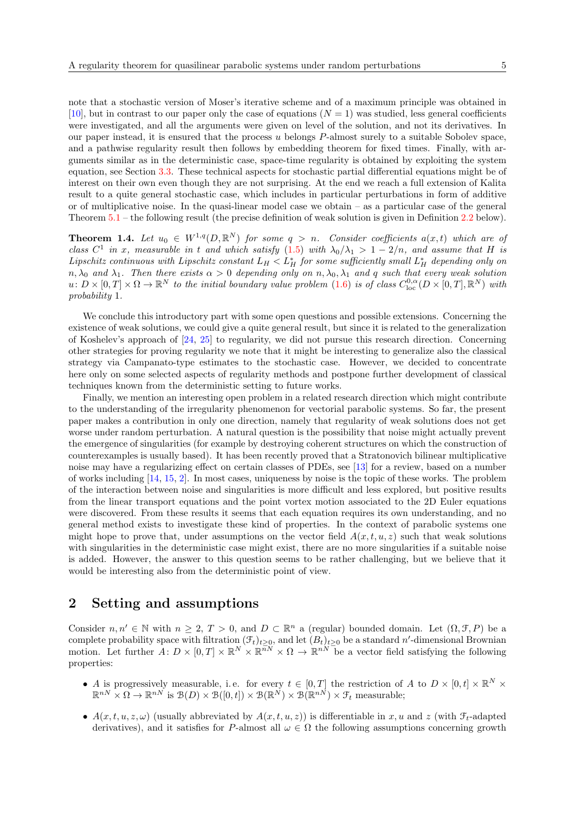note that a stochastic version of Moser's iterative scheme and of a maximum principle was obtained in [\[10\]](#page-31-13), but in contrast to our paper only the case of equations  $(N = 1)$  was studied, less general coefficients were investigated, and all the arguments were given on level of the solution, and not its derivatives. In our paper instead, it is ensured that the process  $u$  belongs  $P$ -almost surely to a suitable Sobolev space, and a pathwise regularity result then follows by embedding theorem for fixed times. Finally, with arguments similar as in the deterministic case, space-time regularity is obtained by exploiting the system equation, see Section [3.3.](#page-9-0) These technical aspects for stochastic partial differential equations might be of interest on their own even though they are not surprising. At the end we reach a full extension of Kalita result to a quite general stochastic case, which includes in particular perturbations in form of additive or of multiplicative noise. In the quasi-linear model case we obtain – as a particular case of the general Theorem [5.1](#page-29-0) – the following result (the precise definition of weak solution is given in Definition [2.2](#page-6-0) below).

**Theorem 1.4.** Let  $u_0 \in W^{1,q}(D, \mathbb{R}^N)$  for some  $q > n$ . Consider coefficients  $a(x,t)$  which are of class  $C^1$  in x, measurable in t and which satisfy  $(1.5)$  with  $\lambda_0/\lambda_1 > 1 - 2/n$ , and assume that H is Lipschitz continuous with Lipschitz constant  $L_H < L_H^*$  for some sufficiently small  $L_H^*$  depending only on  $n, \lambda_0$  and  $\lambda_1$ . Then there exists  $\alpha > 0$  depending only on  $n, \lambda_0, \lambda_1$  and q such that every weak solution  $u: D \times [0,T] \times \Omega \to \mathbb{R}^N$  to the initial boundary value problem  $(1.6)$  is of class  $C^{0,\alpha}_{\text{loc}}(D \times [0,T], \mathbb{R}^N)$  with probability 1.

We conclude this introductory part with some open questions and possible extensions. Concerning the existence of weak solutions, we could give a quite general result, but since it is related to the generalization of Koshelev's approach of [\[24,](#page-32-10) [25\]](#page-32-6) to regularity, we did not pursue this research direction. Concerning other strategies for proving regularity we note that it might be interesting to generalize also the classical strategy via Campanato-type estimates to the stochastic case. However, we decided to concentrate here only on some selected aspects of regularity methods and postpone further development of classical techniques known from the deterministic setting to future works.

Finally, we mention an interesting open problem in a related research direction which might contribute to the understanding of the irregularity phenomenon for vectorial parabolic systems. So far, the present paper makes a contribution in only one direction, namely that regularity of weak solutions does not get worse under random perturbation. A natural question is the possibility that noise might actually prevent the emergence of singularities (for example by destroying coherent structures on which the construction of counterexamples is usually based). It has been recently proved that a Stratonovich bilinear multiplicative noise may have a regularizing effect on certain classes of PDEs, see [\[13\]](#page-31-14) for a review, based on a number of works including [\[14,](#page-31-15) [15,](#page-31-16) [2\]](#page-31-17). In most cases, uniqueness by noise is the topic of these works. The problem of the interaction between noise and singularities is more difficult and less explored, but positive results from the linear transport equations and the point vortex motion associated to the 2D Euler equations were discovered. From these results it seems that each equation requires its own understanding, and no general method exists to investigate these kind of properties. In the context of parabolic systems one might hope to prove that, under assumptions on the vector field  $A(x, t, u, z)$  such that weak solutions with singularities in the deterministic case might exist, there are no more singularities if a suitable noise is added. However, the answer to this question seems to be rather challenging, but we believe that it would be interesting also from the deterministic point of view.

## 2 Setting and assumptions

Consider  $n, n' \in \mathbb{N}$  with  $n \geq 2, T > 0$ , and  $D \subset \mathbb{R}^n$  a (regular) bounded domain. Let  $(\Omega, \mathcal{F}, P)$  be a complete probability space with filtration  $(\mathcal{F}_t)_{t\geq 0}$ , and let  $(B_t)_{t\geq 0}$  be a standard n'-dimensional Brownian motion. Let further  $A: D \times [0,T] \times \mathbb{R}^N \times \mathbb{R}^{\overline{n}N} \times \Omega \to \mathbb{R}^{nN}$  be a vector field satisfying the following properties:

- A is progressively measurable, i.e. for every  $t \in [0,T]$  the restriction of A to  $D \times [0,t] \times \mathbb{R}^N \times$  $\mathbb{R}^{nN} \times \Omega \to \mathbb{R}^{nN}$  is  $\mathcal{B}(D) \times \mathcal{B}([0,t]) \times \mathcal{B}(\mathbb{R}^{N}) \times \mathcal{B}(\mathbb{R}^{nN}) \times \mathcal{F}_t$  measurable;
- $A(x, t, u, z, \omega)$  (usually abbreviated by  $A(x, t, u, z)$ ) is differentiable in x, u and z (with  $\mathcal{F}_t$ -adapted derivatives), and it satisfies for P-almost all  $\omega \in \Omega$  the following assumptions concerning growth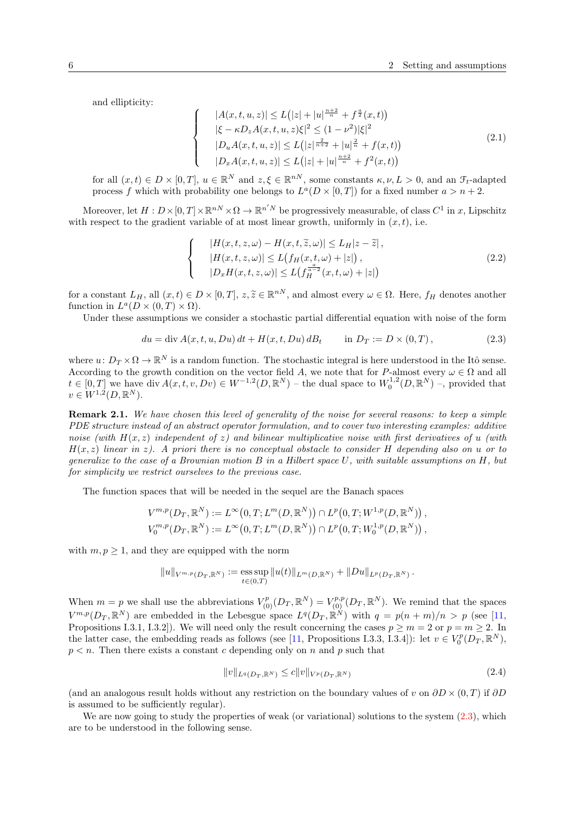and ellipticity:

 $\sqrt{ }$  $\int$ 

<span id="page-5-1"></span> $\overline{\mathcal{L}}$ 

<span id="page-5-2"></span> $\sqrt{ }$  $\int$ 

 $\mathcal{L}$ 

$$
|A(x,t,u,z)| \le L(|z| + |u|^{\frac{n+2}{n}} + f^{\frac{a}{2}}(x,t))
$$
  
\n
$$
|\xi - \kappa D_z A(x,t,u,z)\xi|^2 \le (1 - \nu^2)|\xi|^2
$$
  
\n
$$
|D_u A(x,t,u,z)| \le L(|z|^{\frac{2}{n+2}} + |u|^{\frac{2}{n}} + f(x,t))
$$
  
\n
$$
|D_x A(x,t,u,z)| \le L(|z| + |u|^{\frac{n+2}{n}} + f^2(x,t))
$$
\n(2.1)

for all  $(x,t) \in D \times [0,T]$ ,  $u \in \mathbb{R}^N$  and  $z, \xi \in \mathbb{R}^{nN}$ , some constants  $\kappa, \nu, L > 0$ , and an  $\mathcal{F}_t$ -adapted process f which with probability one belongs to  $L^a(D \times [0,T])$  for a fixed number  $a > n + 2$ .

Moreover, let  $H: D \times [0,T] \times \mathbb{R}^{nN} \times \Omega \to \mathbb{R}^{n/N}$  be progressively measurable, of class  $C^1$  in x, Lipschitz with respect to the gradient variable of at most linear growth, uniformly in  $(x, t)$ , i.e.

$$
|H(x,t,z,\omega) - H(x,t,\tilde{z},\omega)| \le L_H |z - \tilde{z}|,
$$
  
\n
$$
|H(x,t,z,\omega)| \le L(f_H(x,t,\omega) + |z|),
$$
  
\n
$$
|D_x H(x,t,z,\omega)| \le L(f_H^{\frac{a}{a-2}}(x,t,\omega) + |z|)
$$
\n(2.2)

for a constant  $L_H$ , all  $(x, t) \in D \times [0, T]$ ,  $z, \tilde{z} \in \mathbb{R}^{nN}$ , and almost every  $\omega \in \Omega$ . Here,  $f_H$  denotes another function in  $L^a(D \times (0,T) \times \Omega)$ .

Under these assumptions we consider a stochastic partial differential equation with noise of the form

<span id="page-5-0"></span>
$$
du = \text{div}\,A(x, t, u, Du) \,dt + H(x, t, Du) \,dB_t \qquad \text{in}\ D_T := D \times (0, T), \tag{2.3}
$$

where  $u: D_T \times \Omega \to \mathbb{R}^N$  is a random function. The stochastic integral is here understood in the Itô sense. According to the growth condition on the vector field A, we note that for P-almost every  $\omega \in \Omega$  and all  $t \in [0,T]$  we have div  $A(x,t,v,Dv) \in W^{-1,2}(D,\mathbb{R}^N)$  – the dual space to  $W_0^{1,2}(D,\mathbb{R}^N)$  –, provided that  $v \in W^{1,2}(D,\mathbb{R}^N).$ 

Remark 2.1. We have chosen this level of generality of the noise for several reasons: to keep a simple PDE structure instead of an abstract operator formulation, and to cover two interesting examples: additive noise (with  $H(x, z)$  independent of z) and bilinear multiplicative noise with first derivatives of u (with  $H(x, z)$  linear in z). A priori there is no conceptual obstacle to consider H depending also on u or to generalize to the case of a Brownian motion  $B$  in a Hilbert space  $U$ , with suitable assumptions on  $H$ , but for simplicity we restrict ourselves to the previous case.

The function spaces that will be needed in the sequel are the Banach spaces

$$
V^{m,p}(D_T, \mathbb{R}^N) := L^{\infty}(0,T; L^m(D, \mathbb{R}^N)) \cap L^p(0,T; W^{1,p}(D, \mathbb{R}^N)),
$$
  

$$
V_0^{m,p}(D_T, \mathbb{R}^N) := L^{\infty}(0,T; L^m(D, \mathbb{R}^N)) \cap L^p(0,T; W_0^{1,p}(D, \mathbb{R}^N)),
$$

with  $m, p \geq 1$ , and they are equipped with the norm

$$
||u||_{V^{m,p}(D_T,\mathbb{R}^N)} := \underset{t \in (0,T)}{\mathrm{ess\,sup}} ||u(t)||_{L^m(D,\mathbb{R}^N)} + ||Du||_{L^p(D_T,\mathbb{R}^N)}.
$$

When  $m = p$  we shall use the abbreviations  $V^p_{(0)}(D_T, \mathbb{R}^N) = V^{p,p}_{(0)}(D_T, \mathbb{R}^N)$ . We remind that the spaces  $V^{m,p}(D_T,\mathbb{R}^N)$  are embedded in the Lebesgue space  $L^q(D_T,\mathbb{R}^N)$  with  $q = p(n+m)/n > p$  (see [\[11,](#page-31-11) Propositions I.3.1, I.3.2]). We will need only the result concerning the cases  $p \ge m = 2$  or  $p = m \ge 2$ . In the latter case, the embedding reads as follows (see [\[11,](#page-31-11) Propositions I.3.3, I.3.4]): let  $v \in V_0^p(D_T, \mathbb{R}^N)$ ,  $p < n$ . Then there exists a constant c depending only on n and p such that

<span id="page-5-3"></span>
$$
||v||_{L^{q}(D_T, \mathbb{R}^N)} \leq c||v||_{V^{p}(D_T, \mathbb{R}^N)}
$$
\n(2.4)

(and an analogous result holds without any restriction on the boundary values of v on  $\partial D \times (0,T)$  if  $\partial D$ is assumed to be sufficiently regular).

We are now going to study the properties of weak (or variational) solutions to the system  $(2.3)$ , which are to be understood in the following sense.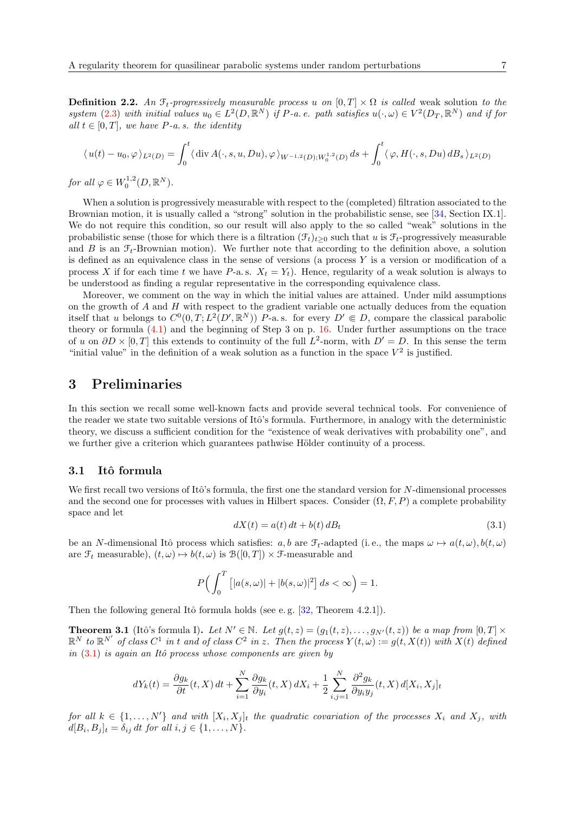<span id="page-6-0"></span>**Definition 2.2.** An  $\mathcal{F}_t$ -progressively measurable process u on  $[0, T] \times \Omega$  is called weak solution to the system [\(2.3\)](#page-5-0) with initial values  $u_0 \in L^2(D,\mathbb{R}^N)$  if P-a. e. path satisfies  $u(\cdot,\omega) \in V^2(D_T,\mathbb{R}^N)$  and if for all  $t \in [0, T]$ , we have P-a.s. the identity

$$
\langle u(t) - u_0, \varphi \rangle_{L^2(D)} = \int_0^t \langle \operatorname{div} A(\cdot, s, u, Du), \varphi \rangle_{W^{-1,2}(D);W_0^{1,2}(D)} ds + \int_0^t \langle \varphi, H(\cdot, s, Du) dB_s \rangle_{L^2(D)}
$$

for all  $\varphi \in W_0^{1,2}(D,\mathbb{R}^N)$ .

When a solution is progressively measurable with respect to the (completed) filtration associated to the Brownian motion, it is usually called a "strong" solution in the probabilistic sense, see [\[34,](#page-32-13) Section IX.1]. We do not require this condition, so our result will also apply to the so called "weak" solutions in the probabilistic sense (those for which there is a filtration  $(\mathcal{F}_t)_{t\geq 0}$  such that u is  $\mathcal{F}_t$ -progressively measurable and B is an  $\mathcal{F}_t$ -Brownian motion). We further note that according to the definition above, a solution is defined as an equivalence class in the sense of versions (a process  $Y$  is a version or modification of a process X if for each time t we have P-a.s.  $X_t = Y_t$ ). Hence, regularity of a weak solution is always to be understood as finding a regular representative in the corresponding equivalence class.

Moreover, we comment on the way in which the initial values are attained. Under mild assumptions on the growth of A and H with respect to the gradient variable one actually deduces from the equation itself that u belongs to  $C^0(0,T; L^2(D',\mathbb{R}^N))$  P-a.s. for every  $D' \in D$ , compare the classical parabolic theory or formula [\(4.1\)](#page-14-0) and the beginning of Step 3 on p. [16.](#page-15-0) Under further assumptions on the trace of u on  $\partial D \times [0,T]$  this extends to continuity of the full  $L^2$ -norm, with  $D' = D$ . In this sense the term "initial value" in the definition of a weak solution as a function in the space  $V^2$  is justified.

### 3 Preliminaries

In this section we recall some well-known facts and provide several technical tools. For convenience of the reader we state two suitable versions of Itô's formula. Furthermore, in analogy with the deterministic theory, we discuss a sufficient condition for the "existence of weak derivatives with probability one", and we further give a criterion which guarantees pathwise Hölder continuity of a process.

#### 3.1 Itô formula

We first recall two versions of Itô's formula, the first one the standard version for N-dimensional processes and the second one for processes with values in Hilbert spaces. Consider  $(\Omega, F, P)$  a complete probability space and let

<span id="page-6-1"></span>
$$
dX(t) = a(t) dt + b(t) dB_t
$$
\n(3.1)

be an N-dimensional Itô process which satisfies:  $a, b$  are  $\mathcal{F}_t$ -adapted (i.e., the maps  $\omega \mapsto a(t, \omega), b(t, \omega)$ are  $\mathcal{F}_t$  measurable),  $(t, \omega) \mapsto b(t, \omega)$  is  $\mathcal{B}([0, T]) \times \mathcal{F}$ -measurable and

$$
P\Big(\int_0^T \left[|a(s,\omega)| + |b(s,\omega)|^2\right] ds < \infty\Big) = 1.
$$

Then the following general Itô formula holds (see e.g.  $[32,$  Theorem 4.2.1]).

<span id="page-6-2"></span>**Theorem 3.1** (Itô's formula I). Let  $N' \in \mathbb{N}$ . Let  $g(t, z) = (g_1(t, z), \ldots, g_{N'}(t, z))$  be a map from  $[0, T] \times$  $\mathbb{R}^N$  to  $\mathbb{R}^{N'}$  of class  $C^1$  in t and of class  $C^2$  in z. Then the process  $Y(t,\omega) := g(t,X(t))$  with  $X(t)$  defined in  $(3.1)$  is again an Itô process whose components are given by

$$
dY_k(t) = \frac{\partial g_k}{\partial t}(t, X) dt + \sum_{i=1}^N \frac{\partial g_k}{\partial y_i}(t, X) dX_i + \frac{1}{2} \sum_{i,j=1}^N \frac{\partial^2 g_k}{\partial y_i y_j}(t, X) d[X_i, X_j]_t
$$

for all  $k \in \{1, ..., N'\}$  and with  $[X_i, X_j]_t$  the quadratic covariation of the processes  $X_i$  and  $X_j$ , with  $d[B_i, B_j]_t = \delta_{ij} dt \text{ for all } i, j \in \{1, ..., N\}.$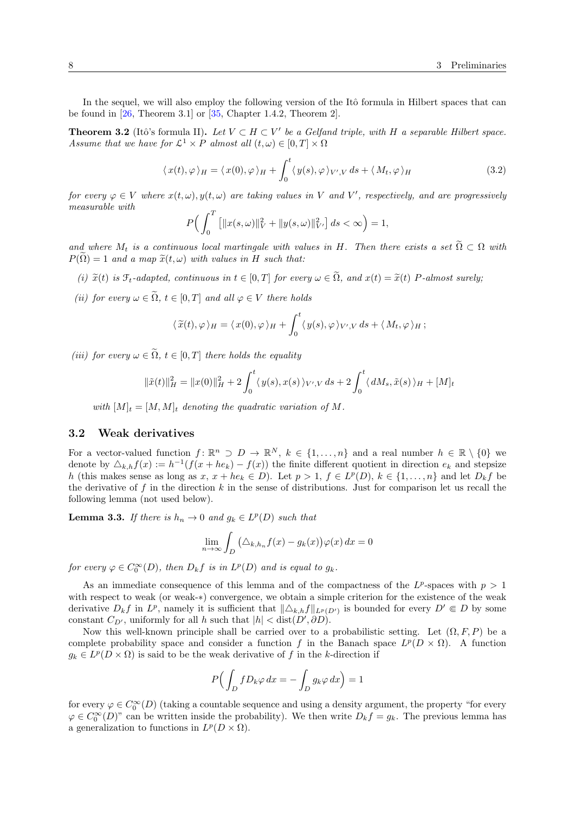In the sequel, we will also employ the following version of the Itô formula in Hilbert spaces that can be found in  $[26,$  Theorem 3.1 or  $[35,$  Chapter 1.4.2, Theorem 2.

<span id="page-7-1"></span>**Theorem 3.2** (Itô's formula II). Let  $V \subset H \subset V'$  be a Gelfand triple, with H a separable Hilbert space. Assume that we have for  $\mathcal{L}^1 \times P$  almost all  $(t, \omega) \in [0, T] \times \Omega$ 

$$
\langle x(t), \varphi \rangle_H = \langle x(0), \varphi \rangle_H + \int_0^t \langle y(s), \varphi \rangle_{V',V} ds + \langle M_t, \varphi \rangle_H \tag{3.2}
$$

for every  $\varphi \in V$  where  $x(t, \omega), y(t, \omega)$  are taking values in V and V', respectively, and are progressively measurable with

$$
P\Big(\int_0^T \left[\|x(s,\omega)\|_V^2 + \|y(s,\omega)\|_{V'}^2\right] ds < \infty\Big) = 1,
$$

and where  $M_t$  is a continuous local martingale with values in H. Then there exists a set  $\tilde{\Omega} \subset \Omega$  with  $P(\tilde{\Omega}) = 1$  and a map  $\tilde{x}(t, \omega)$  with values in H such that:

- (i)  $\tilde{x}(t)$  is  $\mathcal{F}_t$ -adapted, continuous in  $t \in [0, T]$  for every  $\omega \in \tilde{\Omega}$ , and  $x(t) = \tilde{x}(t)$  P-almost surely;
- (ii) for every  $\omega \in \tilde{\Omega}$ ,  $t \in [0,T]$  and all  $\varphi \in V$  there holds

$$
\langle \widetilde{x}(t), \varphi \rangle_H = \langle x(0), \varphi \rangle_H + \int_0^t \langle y(s), \varphi \rangle_{V',V} ds + \langle M_t, \varphi \rangle_H ;
$$

(iii) for every  $\omega \in \tilde{\Omega}$ ,  $t \in [0,T]$  there holds the equality

$$
\|\tilde{x}(t)\|_{H}^{2} = \|x(0)\|_{H}^{2} + 2\int_{0}^{t} \langle y(s), x(s) \rangle_{V',V} ds + 2\int_{0}^{t} \langle dM_{s}, \tilde{x}(s) \rangle_{H} + [M]_{t}
$$

with  $[M]_t = [M, M]_t$  denoting the quadratic variation of M.

#### <span id="page-7-0"></span>3.2 Weak derivatives

For a vector-valued function  $f: \mathbb{R}^n \supset D \to \mathbb{R}^N$ ,  $k \in \{1, ..., n\}$  and a real number  $h \in \mathbb{R} \setminus \{0\}$  we denote by  $\Delta_{k,h} f(x) := h^{-1}(f(x + he_k) - f(x))$  the finite different quotient in direction  $e_k$  and stepsize h (this makes sense as long as  $x, x + he_k \in D$ ). Let  $p > 1, f \in L^p(D), k \in \{1, ..., n\}$  and let  $D_k f$  be the derivative of f in the direction  $k$  in the sense of distributions. Just for comparison let us recall the following lemma (not used below).

**Lemma 3.3.** If there is  $h_n \to 0$  and  $g_k \in L^p(D)$  such that

$$
\lim_{n \to \infty} \int_{D} (\Delta_{k,h_n} f(x) - g_k(x)) \varphi(x) dx = 0
$$

for every  $\varphi \in C_0^{\infty}(D)$ , then  $D_k f$  is in  $L^p(D)$  and is equal to  $g_k$ .

As an immediate consequence of this lemma and of the compactness of the  $L^p$ -spaces with  $p > 1$ with respect to weak (or weak-∗) convergence, we obtain a simple criterion for the existence of the weak derivative  $D_k f$  in  $L^p$ , namely it is sufficient that  $\|\Delta_{k,h} f\|_{L^p(D)}$  is bounded for every  $D' \in D$  by some constant  $C_{D'}$ , uniformly for all h such that  $|h| < \text{dist}(D', \partial D)$ .

Now this well-known principle shall be carried over to a probabilistic setting. Let  $(\Omega, F, P)$  be a complete probability space and consider a function f in the Banach space  $L^p(D \times \Omega)$ . A function  $g_k \in L^p(D \times \Omega)$  is said to be the weak derivative of f in the k-direction if

$$
P\Big(\int_D f D_k \varphi \, dx = -\int_D g_k \varphi \, dx\Big) = 1
$$

for every  $\varphi \in C_0^{\infty}(D)$  (taking a countable sequence and using a density argument, the property "for every  $\varphi \in C_0^{\infty}(D)$ " can be written inside the probability). We then write  $D_k f = g_k$ . The previous lemma has a generalization to functions in  $L^p(D \times \Omega)$ .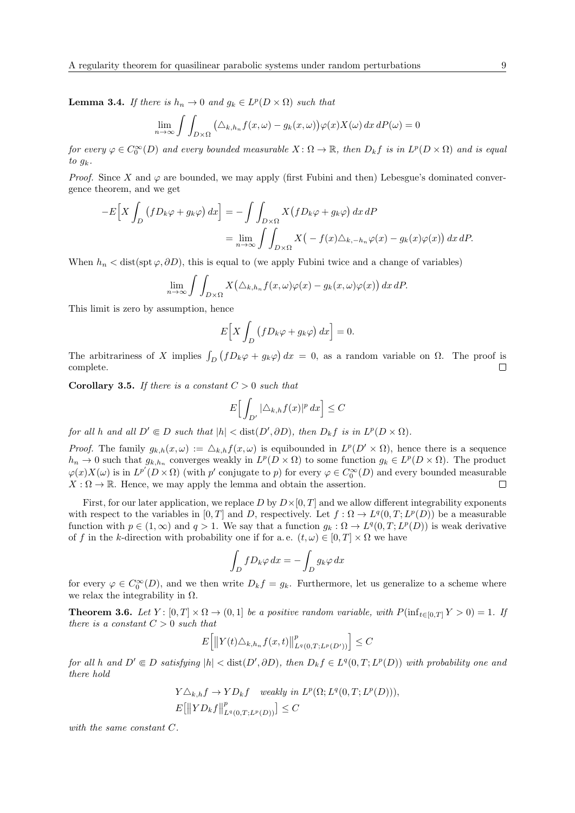**Lemma 3.4.** If there is  $h_n \to 0$  and  $g_k \in L^p(D \times \Omega)$  such that

$$
\lim_{n \to \infty} \int \int_{D \times \Omega} \left( \Delta_{k,h_n} f(x,\omega) - g_k(x,\omega) \right) \varphi(x) X(\omega) \, dx \, dP(\omega) = 0
$$

for every  $\varphi \in C_0^{\infty}(D)$  and every bounded measurable  $X: \Omega \to \mathbb{R}$ , then  $D_k f$  is in  $L^p(D \times \Omega)$  and is equal to  $g_k$ .

*Proof.* Since X and  $\varphi$  are bounded, we may apply (first Fubini and then) Lebesgue's dominated convergence theorem, and we get

$$
-E\Big[X\int_D (fD_k\varphi + g_k\varphi) dx\Big] = -\int \int_{D\times\Omega} X(fD_k\varphi + g_k\varphi) dx dP
$$
  
= 
$$
\lim_{n\to\infty} \int \int_{D\times\Omega} X(-f(x)\triangle_{k,-h_n}\varphi(x) - g_k(x)\varphi(x)) dx dP.
$$

When  $h_n < \text{dist}(\text{spt } \varphi, \partial D)$ , this is equal to (we apply Fubini twice and a change of variables)

$$
\lim_{n\to\infty}\int\int_{D\times\Omega}X(\Delta_{k,h_n}f(x,\omega)\varphi(x)-g_k(x,\omega)\varphi(x))\,dx\,dP.
$$

This limit is zero by assumption, hence

$$
E\Big[X\int_D\big(fD_k\varphi+g_k\varphi\big)\,dx\Big]=0.
$$

The arbitrariness of X implies  $\int_D (fD_k\varphi + g_k\varphi) dx = 0$ , as a random variable on  $\Omega$ . The proof is complete.  $\Box$ 

**Corollary 3.5.** If there is a constant  $C > 0$  such that

$$
E\Big[\int_{D'} |\triangle_{k,h} f(x)|^p\,dx\Big]\leq C
$$

for all h and all  $D' \in D$  such that  $|h| < \text{dist}(D', \partial D)$ , then  $D_k f$  is in  $L^p(D \times \Omega)$ .

*Proof.* The family  $g_{k,h}(x,\omega) := \Delta_{k,h} f(x,\omega)$  is equibounded in  $L^p(D' \times \Omega)$ , hence there is a sequence  $h_n \to 0$  such that  $g_{k,h_n}$  converges weakly in  $L^p(D \times \Omega)$  to some function  $g_k \in L^p(D \times \Omega)$ . The product  $\varphi(x)X(\omega)$  is in  $L^{p'}(D\times\Omega)$  (with p' conjugate to p) for every  $\varphi\in C_0^{\infty}(D)$  and every bounded measurable  $X:\Omega\to\mathbb{R}$ . Hence, we may apply the lemma and obtain the assertion.  $\Box$ 

First, for our later application, we replace D by  $D\times[0,T]$  and we allow different integrability exponents with respect to the variables in [0, T] and D, respectively. Let  $f : \Omega \to L^q(0,T; L^p(D))$  be a measurable function with  $p \in (1,\infty)$  and  $q > 1$ . We say that a function  $g_k : \Omega \to L^q(0,T; L^p(D))$  is weak derivative of f in the k-direction with probability one if for a.e.  $(t, \omega) \in [0, T] \times \Omega$  we have

$$
\int_D f D_k \varphi \, dx = -\int_D g_k \varphi \, dx
$$

for every  $\varphi \in C_0^{\infty}(D)$ , and we then write  $D_k f = g_k$ . Furthermore, let us generalize to a scheme where we relax the integrability in  $\Omega$ .

<span id="page-8-0"></span>**Theorem 3.6.** Let  $Y: [0, T] \times \Omega \to (0, 1]$  be a positive random variable, with  $P(\inf_{t \in [0, T]} Y > 0) = 1$ . If there is a constant  $C > 0$  such that

$$
E\left[\left\|Y(t)\triangle_{k,h_n}f(x,t)\right\|_{L^q(0,T;L^p(D'))}^p\right]\leq C
$$

for all h and  $D' \in D$  satisfying  $|h| < \text{dist}(D', \partial D)$ , then  $D_k f \in L^q(0,T; L^p(D))$  with probability one and there hold

$$
Y \triangle_{k,h} f \to Y D_k f \quad weakly \ in \ L^p(\Omega; L^q(0,T; L^p(D))),
$$
  
 
$$
E[||Y D_k f||^p_{L^q(0,T;L^p(D))}] \leq C
$$

with the same constant C.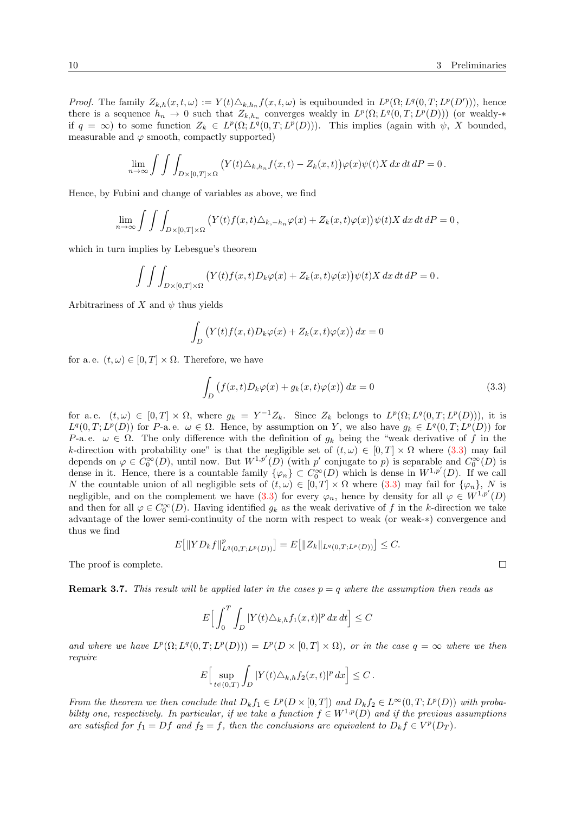*Proof.* The family  $Z_{k,h}(x,t,\omega) := Y(t) \triangle_{k,h_n} f(x,t,\omega)$  is equibounded in  $L^p(\Omega; L^q(0,T; L^p(D')))$ , hence there is a sequence  $h_n \to 0$  such that  $Z_{k,h_n}$  converges weakly in  $L^p(\Omega; L^q(0,T; L^p(D)))$  (or weakly-\* if  $q = \infty$ ) to some function  $Z_k \in L^p(\Omega; L^q(0,T; L^p(D)))$ . This implies (again with  $\psi$ , X bounded, measurable and  $\varphi$  smooth, compactly supported)

$$
\lim_{n\to\infty}\int\int\int_{D\times[0,T]\times\Omega}\big(Y(t)\triangle_{k,h_n}f(x,t)-Z_k(x,t)\big)\varphi(x)\psi(t)X\,dx\,dt\,dP=0\,.
$$

Hence, by Fubini and change of variables as above, we find

$$
\lim_{n\to\infty}\int\int\int_{D\times[0,T]\times\Omega}\left(Y(t)f(x,t)\Delta_{k,-h_n}\varphi(x)+Z_k(x,t)\varphi(x)\right)\psi(t)X\,dx\,dt\,dP=0\,,
$$

which in turn implies by Lebesgue's theorem

$$
\int \int \int_{D\times[0,T]\times\Omega} \left( Y(t)f(x,t)D_k \varphi(x) + Z_k(x,t)\varphi(x) \right) \psi(t)X dx dt dP = 0.
$$

Arbitrariness of X and  $\psi$  thus yields

$$
\int_D \left( Y(t)f(x,t)D_k \varphi(x) + Z_k(x,t)\varphi(x) \right) dx = 0
$$

for a.e.  $(t, \omega) \in [0, T] \times \Omega$ . Therefore, we have

<span id="page-9-1"></span>
$$
\int_{D} \left( f(x,t) D_k \varphi(x) + g_k(x,t) \varphi(x) \right) dx = 0 \tag{3.3}
$$

for a.e.  $(t,\omega) \in [0,T] \times \Omega$ , where  $g_k = Y^{-1}Z_k$ . Since  $Z_k$  belongs to  $L^p(\Omega; L^q(0,T; L^p(D)))$ , it is  $L^q(0,T;L^p(D))$  for P-a.e.  $\omega \in \Omega$ . Hence, by assumption on Y, we also have  $g_k \in L^q(0,T;L^p(D))$  for P-a. e.  $\omega \in \Omega$ . The only difference with the definition of  $g_k$  being the "weak derivative of f in the k-direction with probability one" is that the negligible set of  $(t, \omega) \in [0, T] \times \Omega$  where  $(3.3)$  may fail depends on  $\varphi \in C_0^{\infty}(D)$ , until now. But  $W^{1,p'}(D)$  (with p' conjugate to p) is separable and  $C_0^{\infty}(D)$  is dense in it. Hence, there is a countable family  $\{\varphi_n\} \subset C_0^{\infty}(D)$  which is dense in  $W^{1,p'}(D)$ . If we call N the countable union of all negligible sets of  $(t, \omega) \in [0, T] \times \Omega$  where [\(3.3\)](#page-9-1) may fail for  $\{\varphi_n\}$ , N is negligible, and on the complement we have  $(3.3)$  for every  $\varphi_n$ , hence by density for all  $\varphi \in W^{1,p'}(D)$ and then for all  $\varphi \in C_0^{\infty}(D)$ . Having identified  $g_k$  as the weak derivative of f in the k-direction we take advantage of the lower semi-continuity of the norm with respect to weak (or weak-∗) convergence and thus we find

$$
E[||YD_kf||^p_{L^q(0,T;L^p(D))}]=E[||Z_k||_{L^q(0,T;L^p(D))}]\leq C.
$$

The proof is complete.

<span id="page-9-2"></span>**Remark 3.7.** This result will be applied later in the cases  $p = q$  where the assumption then reads as

$$
E\Big[\int_0^T \int_D |Y(t)\triangle_{k,h} f_1(x,t)|^p dx dt\Big] \leq C
$$

and where we have  $L^p(\Omega; L^q(0,T; L^p(D))) = L^p(D \times [0,T] \times \Omega)$ , or in the case  $q = \infty$  where we then require

$$
E\Big[\sup_{t\in(0,T)}\int_D|Y(t)\triangle_{k,h}f_2(x,t)|^p\,dx\Big]\leq C\,.
$$

<span id="page-9-0"></span>From the theorem we then conclude that  $D_k f_1 \in L^p(D \times [0,T])$  and  $D_k f_2 \in L^{\infty}(0,T; L^p(D))$  with probability one, respectively. In particular, if we take a function  $f \in W^{1,p}(D)$  and if the previous assumptions are satisfied for  $f_1 = Df$  and  $f_2 = f$ , then the conclusions are equivalent to  $D_k f \in V^p(D_T)$ .

$$
\Box
$$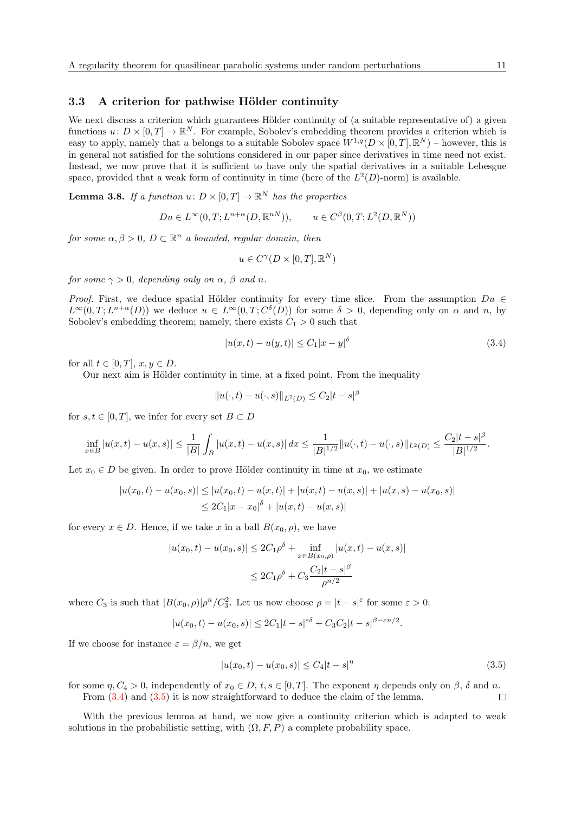#### 3.3 A criterion for pathwise Hölder continuity

We next discuss a criterion which guarantees Hölder continuity of (a suitable representative of) a given functions  $u: D \times [0,T] \to \mathbb{R}^N$ . For example, Sobolev's embedding theorem provides a criterion which is easy to apply, namely that u belongs to a suitable Sobolev space  $W^{1,q}(D\times[0,T],\mathbb{R}^N)$  – however, this is in general not satisfied for the solutions considered in our paper since derivatives in time need not exist. Instead, we now prove that it is sufficient to have only the spatial derivatives in a suitable Lebesgue space, provided that a weak form of continuity in time (here of the  $L^2(D)$ -norm) is available.

<span id="page-10-2"></span>**Lemma 3.8.** If a function  $u: D \times [0,T] \to \mathbb{R}^N$  has the properties

$$
Du \in L^{\infty}(0,T; L^{n+\alpha}(D, \mathbb{R}^{nN})), \qquad u \in C^{\beta}(0,T; L^{2}(D, \mathbb{R}^{N}))
$$

for some  $\alpha, \beta > 0$ ,  $D \subset \mathbb{R}^n$  a bounded, regular domain, then

$$
u \in C^{\gamma}(D \times [0, T], \mathbb{R}^N)
$$

for some  $\gamma > 0$ , depending only on  $\alpha$ ,  $\beta$  and n.

*Proof.* First, we deduce spatial Hölder continuity for every time slice. From the assumption  $Du \in$  $L^{\infty}(0,T;L^{n+\alpha}(D))$  we deduce  $u \in L^{\infty}(0,T;C^{\delta}(D))$  for some  $\delta > 0$ , depending only on  $\alpha$  and n, by Sobolev's embedding theorem; namely, there exists  $C_1 > 0$  such that

<span id="page-10-0"></span>
$$
|u(x,t) - u(y,t)| \le C_1 |x - y|^\delta
$$
\n(3.4)

for all  $t \in [0, T]$ ,  $x, y \in D$ .

Our next aim is Hölder continuity in time, at a fixed point. From the inequality

$$
||u(\cdot,t) - u(\cdot,s)||_{L^2(D)} \le C_2|t-s|^\beta
$$

for  $s, t \in [0, T]$ , we infer for every set  $B \subset D$ 

$$
\inf_{x\in B}|u(x,t)-u(x,s)|\leq \frac{1}{|B|}\int_{B}|u(x,t)-u(x,s)|\,dx\leq \frac{1}{|B|^{1/2}}\|u(\cdot,t)-u(\cdot,s)\|_{L^2(D)}\leq \frac{C_2|t-s|^\beta}{|B|^{1/2}}.
$$

Let  $x_0 \in D$  be given. In order to prove Hölder continuity in time at  $x_0$ , we estimate

$$
|u(x_0, t) - u(x_0, s)| \le |u(x_0, t) - u(x, t)| + |u(x, t) - u(x, s)| + |u(x, s) - u(x_0, s)|
$$
  

$$
\le 2C_1|x - x_0|^{\delta} + |u(x, t) - u(x, s)|
$$

for every  $x \in D$ . Hence, if we take x in a ball  $B(x_0, \rho)$ , we have

$$
|u(x_0, t) - u(x_0, s)| \le 2C_1 \rho^{\delta} + \inf_{x \in B(x_0, \rho)} |u(x, t) - u(x, s)|
$$
  

$$
\le 2C_1 \rho^{\delta} + C_3 \frac{C_2 |t - s|^{\beta}}{\rho^{n/2}}
$$

where  $C_3$  is such that  $|B(x_0, \rho)|\rho^n/C_3^2$ . Let us now choose  $\rho = |t - s|^{\varepsilon}$  for some  $\varepsilon > 0$ :

$$
|u(x_0, t) - u(x_0, s)| \le 2C_1|t - s|^{\varepsilon \delta} + C_3C_2|t - s|^{\beta - \varepsilon n/2}.
$$

If we choose for instance  $\varepsilon = \beta/n$ , we get

<span id="page-10-1"></span>
$$
|u(x_0, t) - u(x_0, s)| \le C_4 |t - s|^\eta
$$
\n(3.5)

for some  $\eta$ ,  $C_4 > 0$ , independently of  $x_0 \in D$ ,  $t, s \in [0, T]$ . The exponent  $\eta$  depends only on  $\beta$ ,  $\delta$  and  $n$ . From  $(3.4)$  and  $(3.5)$  it is now straightforward to deduce the claim of the lemma.  $\Box$ 

With the previous lemma at hand, we now give a continuity criterion which is adapted to weak solutions in the probabilistic setting, with  $(\Omega, F, P)$  a complete probability space.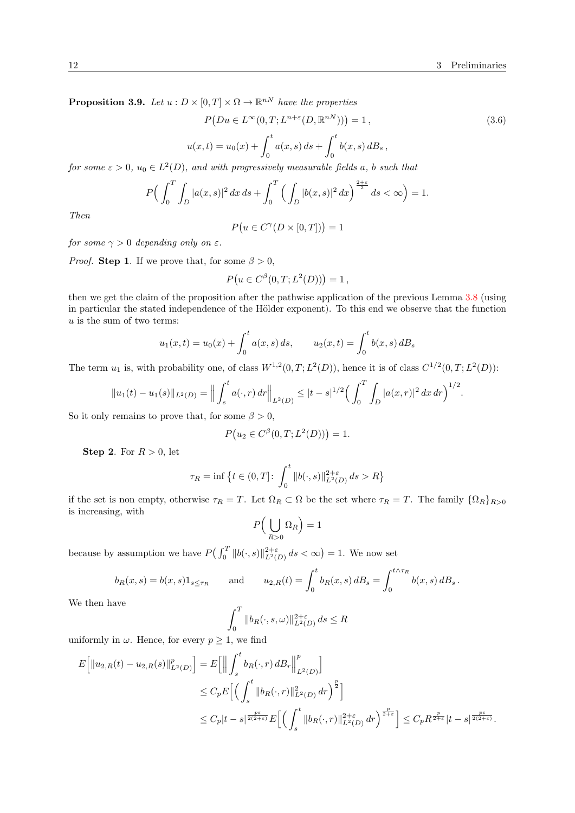<span id="page-11-0"></span>**Proposition 3.9.** Let  $u : D \times [0,T] \times \Omega \to \mathbb{R}^{nN}$  have the properties

<span id="page-11-1"></span>
$$
P(Du \in L^{\infty}(0, T; L^{n+\varepsilon}(D, \mathbb{R}^{nN}))) = 1,
$$
\n
$$
u(x, t) = u_0(x) + \int_0^t a(x, s) \, ds + \int_0^t b(x, s) \, dB_s,
$$
\n(3.6)

for some  $\varepsilon > 0$ ,  $u_0 \in L^2(D)$ , and with progressively measurable fields a, b such that

$$
P\Big(\int_0^T \int_D |a(x,s)|^2 \, dx \, ds + \int_0^T \Big(\int_D |b(x,s)|^2 \, dx\Big)^{\frac{2+\varepsilon}{2}} \, ds < \infty\Big) = 1.
$$

Then

$$
P(u \in C^{\gamma}(D \times [0, T])) = 1
$$

for some  $\gamma > 0$  depending only on  $\varepsilon$ .

*Proof.* **Step 1**. If we prove that, for some  $\beta > 0$ ,

$$
P(u \in C^{\beta}(0,T;L^2(D))) = 1,
$$

then we get the claim of the proposition after the pathwise application of the previous Lemma [3.8](#page-10-2) (using in particular the stated independence of the Hölder exponent). To this end we observe that the function  $u$  is the sum of two terms:

$$
u_1(x,t) = u_0(x) + \int_0^t a(x,s) ds
$$
,  $u_2(x,t) = \int_0^t b(x,s) dB_s$ 

The term  $u_1$  is, with probability one, of class  $W^{1,2}(0,T;L^2(D))$ , hence it is of class  $C^{1/2}(0,T;L^2(D))$ :

$$
||u_1(t) - u_1(s)||_{L^2(D)} = || \int_s^t a(\cdot, r) dr ||_{L^2(D)} \leq |t - s|^{1/2} \Big( \int_0^T \int_D |a(x, r)|^2 dx dr \Big)^{1/2}.
$$

So it only remains to prove that, for some  $\beta > 0$ ,

$$
P(u_2 \in C^{\beta}(0,T;L^2(D))) = 1.
$$

Step 2. For  $R > 0$ , let

$$
\tau_R=\inf\big\{t\in(0,T]\colon \int_0^t\|b(\cdot,s)\|_{L^2(D)}^{2+\varepsilon}\,ds>R\big\}
$$

if the set is non empty, otherwise  $\tau_R = T$ . Let  $\Omega_R \subset \Omega$  be the set where  $\tau_R = T$ . The family  $\{\Omega_R\}_{R>0}$ is increasing, with

$$
P\Big(\bigcup_{R>0}\Omega_R\Big)=1
$$

because by assumption we have  $P\left(\int_0^T \|b(\cdot,s)\|_{L^2(D)}^{2+\varepsilon} ds < \infty\right) = 1$ . We now set

$$
b_R(x, s) = b(x, s)1_{s \le \tau_R}
$$
 and  $u_{2,R}(t) = \int_0^t b_R(x, s) dB_s = \int_0^{t \wedge \tau_R} b(x, s) dB_s$ .

We then have

$$
\int_0^T \|b_R(\cdot, s, \omega)\|_{L^2(D)}^{2+\varepsilon} ds \le R
$$

uniformly in  $\omega$ . Hence, for every  $p \geq 1$ , we find

$$
E\Big[\|u_{2,R}(t) - u_{2,R}(s)\|_{L^2(D)}^p\Big] = E\Big[\Big\|\int_s^t b_R(\cdot,r) d B_r \Big\|_{L^2(D)}^p\Big]
$$
  
\n
$$
\leq C_p E\Big[\Big(\int_s^t \|b_R(\cdot,r)\|_{L^2(D)}^2 dr\Big)^{\frac{p}{2}}\Big]
$$
  
\n
$$
\leq C_p |t-s|^{\frac{p\varepsilon}{2(2+\varepsilon)}} E\Big[\Big(\int_s^t \|b_R(\cdot,r)\|_{L^2(D)}^{2+\varepsilon} dr\Big)^{\frac{p}{2+\varepsilon}}\Big] \leq C_p R^{\frac{p}{2+\varepsilon}} |t-s|^{\frac{p\varepsilon}{2(2+\varepsilon)}}.
$$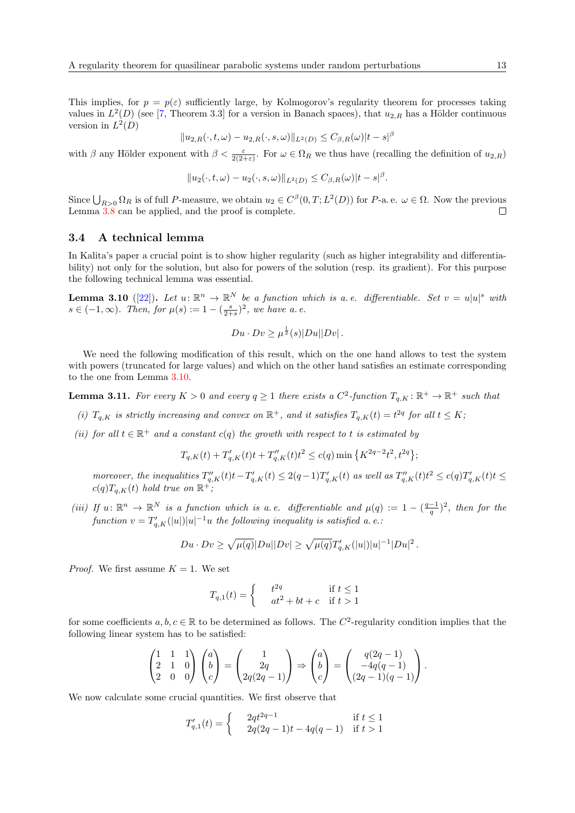This implies, for  $p = p(\varepsilon)$  sufficiently large, by Kolmogorov's regularity theorem for processes taking values in  $L^2(D)$  (see [\[7,](#page-31-18) Theorem 3.3] for a version in Banach spaces), that  $u_{2,R}$  has a Hölder continuous version in  $L^2(D)$ 

$$
||u_{2,R}(\cdot,t,\omega)-u_{2,R}(\cdot,s,\omega)||_{L^2(D)} \leq C_{\beta,R}(\omega)|t-s|^{\beta}
$$

with  $\beta$  any Hölder exponent with  $\beta < \frac{\varepsilon}{2(2+\varepsilon)}$ . For  $\omega \in \Omega_R$  we thus have (recalling the definition of  $u_{2,R}$ )

$$
||u_2(\cdot,t,\omega)-u_2(\cdot,s,\omega)||_{L^2(D)} \leq C_{\beta,R}(\omega)|t-s|^{\beta}.
$$

Since  $\bigcup_{R>0} \Omega_R$  is of full P-measure, we obtain  $u_2 \in C^{\beta}(0,T; L^2(D))$  for P-a. e.  $\omega \in \Omega$ . Now the previous Lemma [3.8](#page-10-2) can be applied, and the proof is complete.  $\Box$ 

#### 3.4 A technical lemma

In Kalita's paper a crucial point is to show higher regularity (such as higher integrability and differentiability) not only for the solution, but also for powers of the solution (resp. its gradient). For this purpose the following technical lemma was essential.

<span id="page-12-0"></span>**Lemma 3.10** ([\[22\]](#page-32-11)). Let  $u: \mathbb{R}^n \to \mathbb{R}^N$  be a function which is a.e. differentiable. Set  $v = u|u|^s$  with  $s \in (-1,\infty)$ . Then, for  $\mu(s) := 1 - \left(\frac{s}{2+s}\right)^2$ , we have a.e.

$$
Du \cdot Dv \ge \mu^{\frac{1}{2}}(s)|Du||Dv|.
$$

We need the following modification of this result, which on the one hand allows to test the system with powers (truncated for large values) and which on the other hand satisfies an estimate corresponding to the one from Lemma [3.10.](#page-12-0)

<span id="page-12-1"></span>**Lemma 3.11.** For every  $K > 0$  and every  $q \ge 1$  there exists a  $C^2$ -function  $T_{q,K}: \mathbb{R}^+ \to \mathbb{R}^+$  such that

- (i)  $T_{q,K}$  is strictly increasing and convex on  $\mathbb{R}^+$ , and it satisfies  $T_{q,K}(t) = t^{2q}$  for all  $t \leq K$ ;
- (ii) for all  $t \in \mathbb{R}^+$  and a constant  $c(q)$  the growth with respect to t is estimated by

$$
T_{q,K}(t) + T'_{q,K}(t)t + T''_{q,K}(t)t^{2} \le c(q) \min\left\{K^{2q-2}t^{2}, t^{2q}\right\};
$$

moreover, the inequalities  $T''_{q,K}(t)t-T'_{q,K}(t) \leq 2(q-1)T'_{q,K}(t)$  as well as  $T''_{q,K}(t)t^2 \leq c(q)T'_{q,K}(t)t \leq$  $c(q)T_{q,K}(t)$  hold true on  $\mathbb{R}^+$ ;

(iii) If  $u: \mathbb{R}^n \to \mathbb{R}^N$  is a function which is a.e. differentiable and  $\mu(q) := 1 - \left(\frac{q-1}{q}\right)^2$ , then for the  $\emph{function $v = T_{q,K}'(|u|)|u|^{-1}u$ the following inequality is satisfied a.e.}$ 

$$
Du \cdot Dv \ge \sqrt{\mu(q)} |Du||Dv| \ge \sqrt{\mu(q)} T'_{q,K}(|u|) |u|^{-1} |Du|^2.
$$

*Proof.* We first assume  $K = 1$ . We set

$$
T_{q,1}(t) = \begin{cases} \n t^{2q} & \text{if } t \le 1\\ \n at^2 + bt + c & \text{if } t > 1 \n\end{cases}
$$

for some coefficients  $a, b, c \in \mathbb{R}$  to be determined as follows. The  $C^2$ -regularity condition implies that the following linear system has to be satisfied:

$$
\begin{pmatrix} 1 & 1 & 1 \ 2 & 1 & 0 \ 2 & 0 & 0 \end{pmatrix} \begin{pmatrix} a \ b \ c \end{pmatrix} = \begin{pmatrix} 1 \ 2q \ 2q(2q-1) \end{pmatrix} \Rightarrow \begin{pmatrix} a \ b \ c \end{pmatrix} = \begin{pmatrix} q(2q-1) \\ -4q(q-1) \\ (2q-1)(q-1) \end{pmatrix}.
$$

We now calculate some crucial quantities. We first observe that

$$
T'_{q,1}(t) = \begin{cases} 2qt^{2q-1} & \text{if } t \le 1\\ 2q(2q-1)t - 4q(q-1) & \text{if } t > 1 \end{cases}
$$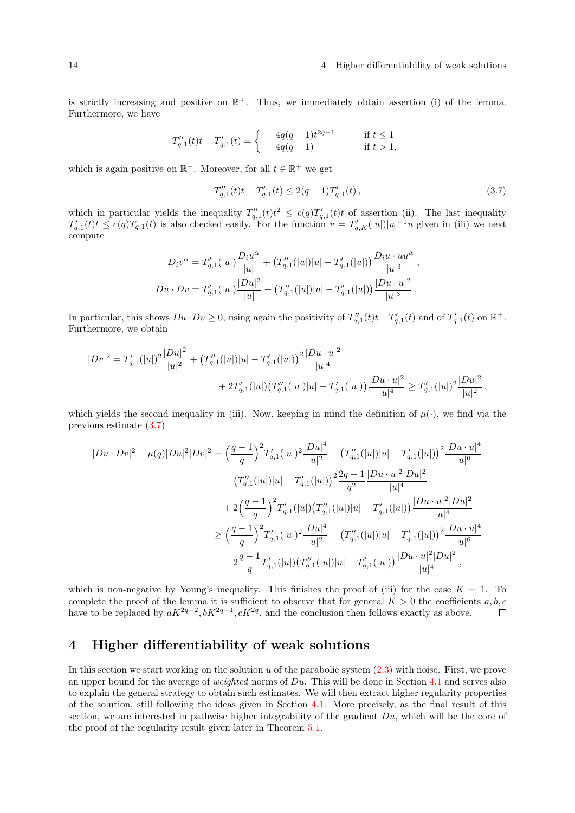is strictly increasing and positive on  $\mathbb{R}^+$ . Thus, we immediately obtain assertion (i) of the lemma. Furthermore, we have

$$
T_{q,1}''(t)t - T_{q,1}'(t) = \begin{cases} \qquad 4q(q-1)t^{2q-1} \qquad &\text{ if } t \leq 1 \\ \qquad 4q(q-1) \qquad &\text{ if } t > 1, \end{cases}
$$

which is again positive on  $\mathbb{R}^+$ . Moreover, for all  $t \in \mathbb{R}^+$  we get

<span id="page-13-0"></span>
$$
T_{q,1}''(t)t - T_{q,1}'(t) \le 2(q-1)T_{q,1}'(t),
$$
\n(3.7)

which in particular yields the inequality  $T''_{q,1}(t)t^2 \leq c(q)T'_{q,1}(t)t$  of assertion (ii). The last inequality  $T'_{q,1}(t)t \leq c(q)T_{q,1}(t)$  is also checked easily. For the function  $v = T'_{q,K}(|u|)|u|^{-1}u$  given in (iii) we next compute

$$
D_i v^{\alpha} = T'_{q,1}(|u|) \frac{D_i u^{\alpha}}{|u|} + (T''_{q,1}(|u|)|u| - T'_{q,1}(|u|)) \frac{D_i u \cdot u u^{\alpha}}{|u|^3} ,
$$
  

$$
Du \cdot Dv = T'_{q,1}(|u|) \frac{|Du|^2}{|u|} + (T''_{q,1}(|u|)|u| - T'_{q,1}(|u|)) \frac{|Du \cdot u|^2}{|u|^3} .
$$

In particular, this shows  $Du \cdot Dv \geq 0$ , using again the positivity of  $T''_{q,1}(t)t-T'_{q,1}(t)$  and of  $T'_{q,1}(t)$  on  $\mathbb{R}^+$ . Furthermore, we obtain

$$
|Dv|^2 = T'_{q,1}(|u|)^2 \frac{|Du|^2}{|u|^2} + (T''_{q,1}(|u|)|u| - T'_{q,1}(|u|))^{2} \frac{|Du \cdot u|^2}{|u|^4} + 2T'_{q,1}(|u|) (T''_{q,1}(|u|)|u| - T'_{q,1}(|u|)) \frac{|Du \cdot u|^2}{|u|^4} \ge T'_{q,1}(|u|)^2 \frac{|Du|^2}{|u|^2},
$$

which yields the second inequality in (iii). Now, keeping in mind the definition of  $\mu(\cdot)$ , we find via the previous estimate [\(3.7\)](#page-13-0)

$$
|Du \cdot Dv|^{2} - \mu(q)|Du|^{2}|Dv|^{2} = \left(\frac{q-1}{q}\right)^{2}T'_{q,1}(|u|)^{2}\frac{|Du|^{4}}{|u|^{2}} + \left(T''_{q,1}(|u|)|u| - T'_{q,1}(|u|)\right)^{2}\frac{|Du \cdot u|^{4}}{|u|^{6}}
$$

$$
- \left(T''_{q,1}(|u|)|u| - T'_{q,1}(|u|)\right)^{2}\frac{2q-1}{q^{2}}\frac{|Du \cdot u|^{2}|Du|^{2}}{|u|^{4}}
$$

$$
+ 2\left(\frac{q-1}{q}\right)^{2}T'_{q,1}(|u|)\left(T''_{q,1}(|u|)|u| - T'_{q,1}(|u|)\right)\frac{|Du \cdot u|^{2}|Du|^{2}}{|u|^{4}}
$$

$$
\geq \left(\frac{q-1}{q}\right)^{2}T'_{q,1}(|u|)^{2}\frac{|Du|^{4}}{|u|^{2}} + \left(T''_{q,1}(|u|)|u| - T'_{q,1}(|u|)\right)^{2}\frac{|Du \cdot u|^{4}}{|u|^{6}}
$$

$$
- 2\frac{q-1}{q}T'_{q,1}(|u|)\left(T''_{q,1}(|u|)|u| - T'_{q,1}(|u|)\right)\frac{|Du \cdot u|^{2}|Du|^{2}}{|u|^{4}},
$$

which is non-negative by Young's inequality. This finishes the proof of (iii) for the case  $K = 1$ . To complete the proof of the lemma it is sufficient to observe that for general  $K > 0$  the coefficients a, b, c have to be replaced by  $aK^{2q-2}$ ,  $bK^{2q-1}$ ,  $cK^{2q}$ , and the conclusion then follows exactly as above.  $\Box$ 

## 4 Higher differentiability of weak solutions

<span id="page-13-1"></span>In this section we start working on the solution  $u$  of the parabolic system  $(2.3)$  with noise. First, we prove an upper bound for the average of *weighted* norms of  $Du$ . This will be done in Section [4.1](#page-13-1) and serves also to explain the general strategy to obtain such estimates. We will then extract higher regularity properties of the solution, still following the ideas given in Section [4.1.](#page-13-1) More precisely, as the final result of this section, we are interested in pathwise higher integrability of the gradient  $Du$ , which will be the core of the proof of the regularity result given later in Theorem [5.1.](#page-29-0)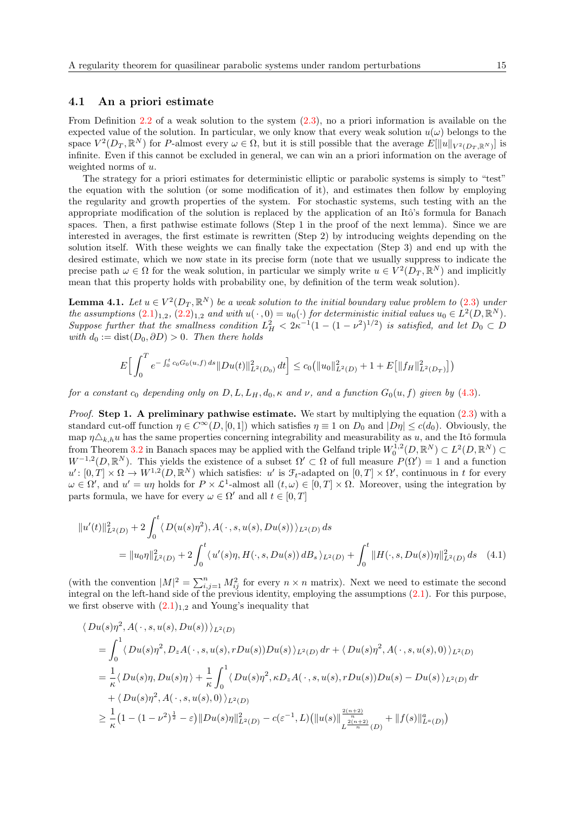#### 4.1 An a priori estimate

From Definition [2.2](#page-6-0) of a weak solution to the system [\(2.3\)](#page-5-0), no a priori information is available on the expected value of the solution. In particular, we only know that every weak solution  $u(\omega)$  belongs to the space  $V^2(D_T, \mathbb{R}^N)$  for P-almost every  $\omega \in \Omega$ , but it is still possible that the average  $E[\|u\|_{V^2(D_T, \mathbb{R}^N)}]$  is infinite. Even if this cannot be excluded in general, we can win an a priori information on the average of weighted norms of u.

The strategy for a priori estimates for deterministic elliptic or parabolic systems is simply to "test" the equation with the solution (or some modification of it), and estimates then follow by employing the regularity and growth properties of the system. For stochastic systems, such testing with an the appropriate modification of the solution is replaced by the application of an Itô's formula for Banach spaces. Then, a first pathwise estimate follows (Step 1 in the proof of the next lemma). Since we are interested in averages, the first estimate is rewritten (Step 2) by introducing weights depending on the solution itself. With these weights we can finally take the expectation (Step 3) and end up with the desired estimate, which we now state in its precise form (note that we usually suppress to indicate the precise path  $\omega \in \Omega$  for the weak solution, in particular we simply write  $u \in V^2(D_T, \mathbb{R}^N)$  and implicitly mean that this property holds with probability one, by definition of the term weak solution).

<span id="page-14-1"></span>**Lemma 4.1.** Let  $u \in V^2(D_T, \mathbb{R}^N)$  be a weak solution to the initial boundary value problem to [\(2.3\)](#page-5-0) under the assumptions  $(2.1)_{1,2}$  $(2.1)_{1,2}$ ,  $(2.2)_{1,2}$  $(2.2)_{1,2}$  and with  $u(\cdot,0) = u_0(\cdot)$  for deterministic initial values  $u_0 \in L^2(D,\mathbb{R}^N)$ . Suppose further that the smallness condition  $L_H^2 < 2\kappa^{-1}(1-(1-\nu^2)^{1/2})$  is satisfied, and let  $D_0 \subset D$ with  $d_0 := dist(D_0, \partial D) > 0$ . Then there holds

$$
E\Big[\int_0^T e^{-\int_0^t c_0 G_0(u,f) ds} \|Du(t)\|_{L^2(D_0)}^2 dt\Big] \le c_0 \big(\|u_0\|_{L^2(D)}^2 + 1 + E\big[\|f_H\|_{L^2(D_T)}^2\big]\big)
$$

for a constant  $c_0$  depending only on  $D, L, L_H, d_0, \kappa$  and  $\nu$ , and a function  $G_0(u, f)$  given by [\(4.3\)](#page-15-1).

*Proof.* Step 1. A preliminary pathwise estimate. We start by multiplying the equation  $(2.3)$  with a standard cut-off function  $\eta \in C^{\infty}(D, [0, 1])$  which satisfies  $\eta \equiv 1$  on  $D_0$  and  $|D\eta| \leq c(d_0)$ . Obviously, the map  $\eta\Delta_{k,h}u$  has the same properties concerning integrability and measurability as u, and the Itô formula from Theorem [3.2](#page-7-1) in Banach spaces may be applied with the Gelfand triple  $W_0^{1,2}(D,\mathbb{R}^N) \subset L^2(D,\mathbb{R}^N) \subset$  $W^{-1,2}(D,\mathbb{R}^N)$ . This yields the existence of a subset  $\Omega' \subset \Omega$  of full measure  $P(\Omega') = 1$  and a function  $u': [0,T] \times \Omega \to W^{1,2}(D,\mathbb{R}^N)$  which satisfies: u' is  $\mathcal{F}_t$ -adapted on  $[0,T] \times \Omega'$ , continuous in t for every  $\omega \in \Omega'$ , and  $u' = u\eta$  holds for  $P \times \mathcal{L}^1$ -almost all  $(t, \omega) \in [0, T] \times \Omega$ . Moreover, using the integration by parts formula, we have for every  $\omega \in \Omega'$  and all  $t \in [0, T]$ 

<span id="page-14-0"></span>
$$
\|u'(t)\|_{L^{2}(D)}^{2} + 2\int_{0}^{t} \langle D(u(s)\eta^{2}), A(\cdot, s, u(s), Du(s))\rangle_{L^{2}(D)} ds
$$
  
= 
$$
\|u_{0}\eta\|_{L^{2}(D)}^{2} + 2\int_{0}^{t} \langle u'(s)\eta, H(\cdot, s, Du(s))dB_{s}\rangle_{L^{2}(D)} + \int_{0}^{t} \|H(\cdot, s, Du(s))\eta\|_{L^{2}(D)}^{2} ds \quad (4.1)
$$

(with the convention  $|M|^2 = \sum_{i,j=1}^n M_{ij}^2$  for every  $n \times n$  matrix). Next we need to estimate the second integral on the left-hand side of the previous identity, employing the assumptions [\(2.1\)](#page-5-1). For this purpose, we first observe with  $(2.1)_{1,2}$  $(2.1)_{1,2}$  and Young's inequality that

$$
\langle Du(s)\eta^{2}, A(\cdot, s, u(s), Du(s))\rangle_{L^{2}(D)}
$$
\n
$$
= \int_{0}^{1} \langle Du(s)\eta^{2}, D_{z}A(\cdot, s, u(s), rDu(s))Du(s)\rangle_{L^{2}(D)} dr + \langle Du(s)\eta^{2}, A(\cdot, s, u(s), 0)\rangle_{L^{2}(D)}
$$
\n
$$
= \frac{1}{\kappa} \langle Du(s)\eta, Du(s)\eta\rangle + \frac{1}{\kappa} \int_{0}^{1} \langle Du(s)\eta^{2}, \kappa D_{z}A(\cdot, s, u(s), rDu(s))Du(s) - Du(s)\rangle_{L^{2}(D)} dr
$$
\n
$$
+ \langle Du(s)\eta^{2}, A(\cdot, s, u(s), 0)\rangle_{L^{2}(D)}
$$
\n
$$
\geq \frac{1}{\kappa} (1 - (1 - \nu^{2})^{\frac{1}{2}} - \varepsilon) ||Du(s)\eta||_{L^{2}(D)}^{2} - c(\varepsilon^{-1}, L) (||u(s)||_{L^{\frac{2(n+2)}{n}}(D)}^{\frac{2(n+2)}{n}} + ||f(s)||_{L^{\alpha}(D)}^{\alpha})
$$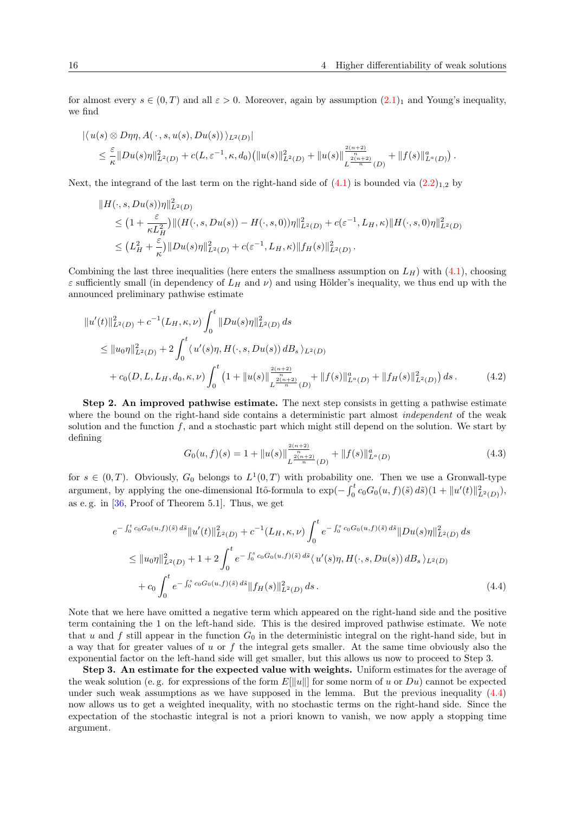for almost every  $s \in (0, T)$  and all  $\varepsilon > 0$ . Moreover, again by assumption  $(2.1)_1$  $(2.1)_1$  and Young's inequality, we find

$$
|\langle u(s) \otimes D\eta \eta, A(\cdot, s, u(s), Du(s)) \rangle_{L^2(D)}|
$$
  
\$\leq \frac{\varepsilon}{\kappa} ||Du(s)\eta||\_{L^2(D)}^2 + c(L, \varepsilon^{-1}, \kappa, d\_0) (||u(s)||\_{L^2(D)}^2 + ||u(s)||\_{L^{\frac{2(n+2)}{n}}(D)}^{\frac{2(n+2)}{n}} + ||f(s)||\_{L^{\alpha}(D)}^{\alpha}).

Next, the integrand of the last term on the right-hand side of  $(4.1)$  is bounded via  $(2.2)_{1,2}$  $(2.2)_{1,2}$  by

$$
||H(\cdot, s, Du(s))\eta||_{L^{2}(D)}^{2}
$$
  
\n
$$
\leq (1 + \frac{\varepsilon}{\kappa L_{H}^{2}})||(H(\cdot, s, Du(s)) - H(\cdot, s, 0))\eta||_{L^{2}(D)}^{2} + c(\varepsilon^{-1}, L_{H}, \kappa)||H(\cdot, s, 0)\eta||_{L^{2}(D)}^{2}
$$
  
\n
$$
\leq (L_{H}^{2} + \frac{\varepsilon}{\kappa})||Du(s)\eta||_{L^{2}(D)}^{2} + c(\varepsilon^{-1}, L_{H}, \kappa)||f_{H}(s)||_{L^{2}(D)}^{2}.
$$

Combining the last three inequalities (here enters the smallness assumption on  $L_H$ ) with [\(4.1\)](#page-14-0), choosing  $\varepsilon$  sufficiently small (in dependency of  $L_H$  and  $\nu$ ) and using Hölder's inequality, we thus end up with the announced preliminary pathwise estimate

$$
\|u'(t)\|_{L^{2}(D)}^{2} + c^{-1}(L_{H}, \kappa, \nu) \int_{0}^{t} \|Du(s)\eta\|_{L^{2}(D)}^{2} ds
$$
  
\n
$$
\leq \|u_{0}\eta\|_{L^{2}(D)}^{2} + 2 \int_{0}^{t} \langle u'(s)\eta, H(\cdot, s, Du(s)) dB_{s} \rangle_{L^{2}(D)}
$$
  
\n
$$
+ c_{0}(D, L, L_{H}, d_{0}, \kappa, \nu) \int_{0}^{t} \left(1 + \|u(s)\|_{L^{\frac{2(n+2)}{n}}(D)}^{\frac{2(n+2)}{n}} + \|f(s)\|_{L^{\alpha}(D)}^{a} + \|f_{H}(s)\|_{L^{2}(D)}^{2}\right) ds.
$$
 (4.2)

Step 2. An improved pathwise estimate. The next step consists in getting a pathwise estimate where the bound on the right-hand side contains a deterministic part almost *independent* of the weak solution and the function  $f$ , and a stochastic part which might still depend on the solution. We start by defining

<span id="page-15-1"></span><span id="page-15-0"></span>
$$
G_0(u, f)(s) = 1 + ||u(s)||_{L^{\frac{2(n+2)}{n}}(D)}^{\frac{2(n+2)}{n}} + ||f(s)||_{L^{\alpha}(D)}^{\alpha}
$$
\n(4.3)

for  $s \in (0,T)$ . Obviously,  $G_0$  belongs to  $L^1(0,T)$  with probability one. Then we use a Gronwall-type argument, by applying the one-dimensional Itô-formula to  $\exp(-\int_0^t c_0 G_0(u, f)(\tilde{s}) d\tilde{s})(1 + ||u'(t)||^2_{L^2(D)})$ , as e. g. in [\[36,](#page-32-17) Proof of Theorem 5.1]. Thus, we get

$$
e^{-\int_0^t c_0 G_0(u,f)(\tilde{s}) d\tilde{s}} \|u'(t)\|_{L^2(D)}^2 + c^{-1} (L_H, \kappa, \nu) \int_0^t e^{-\int_0^s c_0 G_0(u,f)(\tilde{s}) d\tilde{s}} \|Du(s)\eta\|_{L^2(D)}^2 ds
$$
  

$$
\leq \|u_0 \eta\|_{L^2(D)}^2 + 1 + 2 \int_0^t e^{-\int_0^s c_0 G_0(u,f)(\tilde{s}) d\tilde{s}} \langle u'(s)\eta, H(\cdot, s, Du(s)) dB_s \rangle_{L^2(D)}
$$
  

$$
+ c_0 \int_0^t e^{-\int_0^s c_0 G_0(u,f)(\tilde{s}) d\tilde{s}} \|f_H(s)\|_{L^2(D)}^2 ds.
$$
 (4.4)

Note that we here have omitted a negative term which appeared on the right-hand side and the positive term containing the 1 on the left-hand side. This is the desired improved pathwise estimate. We note that u and f still appear in the function  $G_0$  in the deterministic integral on the right-hand side, but in a way that for greater values of  $u$  or  $f$  the integral gets smaller. At the same time obviously also the exponential factor on the left-hand side will get smaller, but this allows us now to proceed to Step 3.

Step 3. An estimate for the expected value with weights. Uniform estimates for the average of the weak solution (e.g. for expressions of the form  $E[\Vert u \Vert]$  for some norm of u or Du) cannot be expected under such weak assumptions as we have supposed in the lemma. But the previous inequality  $(4.4)$ now allows us to get a weighted inequality, with no stochastic terms on the right-hand side. Since the expectation of the stochastic integral is not a priori known to vanish, we now apply a stopping time argument.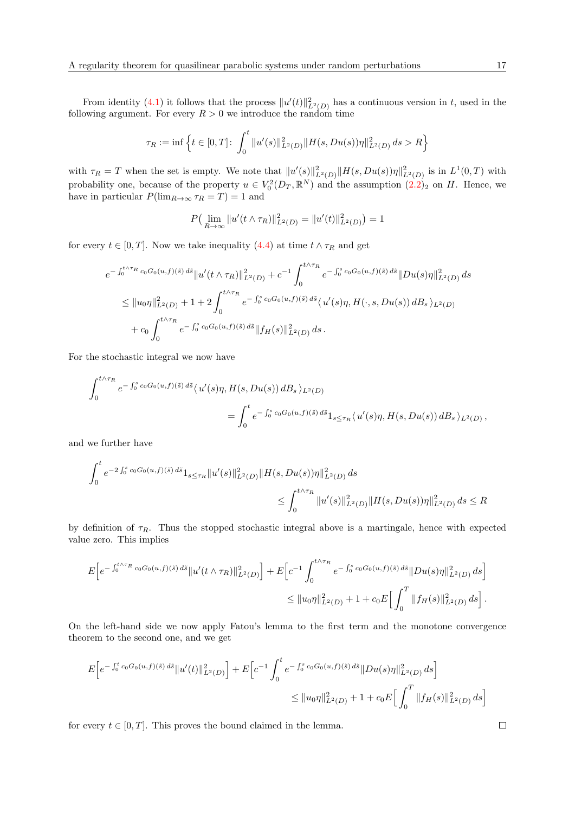From identity [\(4.1\)](#page-14-0) it follows that the process  $||u'(t)||_{L^2(D)}^2$  has a continuous version in t, used in the following argument. For every  $R > 0$  we introduce the random time

$$
\tau_R := \inf \left\{ t \in [0, T] \colon \int_0^t \|u'(s)\|_{L^2(D)}^2 \|H(s, Du(s))\eta\|_{L^2(D)}^2 ds > R \right\}
$$

with  $\tau_R = T$  when the set is empty. We note that  $||u'(s)||^2_{L^2(D)} ||H(s, Du(s))\eta||^2_{L^2(D)}$  is in  $L^1(0,T)$  with probability one, because of the property  $u \in V_0^2(D_T, \mathbb{R}^N)$  and the assumption  $(2.2)_2$  $(2.2)_2$  on H. Hence, we have in particular  $P(\lim_{R\to\infty} \tau_R = T) = 1$  and

$$
P\left(\lim_{R\to\infty}||u'(t\wedge\tau_R)||_{L^2(D)}^2=||u'(t)||_{L^2(D)}^2\right)=1
$$

for every  $t \in [0, T]$ . Now we take inequality [\(4.4\)](#page-15-0) at time  $t \wedge \tau_R$  and get

$$
e^{-\int_0^{t\wedge\tau_R}c_0G_0(u,f)(\tilde{s})\,d\tilde{s}}\|u'(t\wedge\tau_R)\|_{L^2(D)}^2 + c^{-1}\int_0^{t\wedge\tau_R}e^{-\int_0^sc_0G_0(u,f)(\tilde{s})\,d\tilde{s}}\|Du(s)\eta\|_{L^2(D)}^2\,ds
$$
  

$$
\leq \|u_0\eta\|_{L^2(D)}^2 + 1 + 2\int_0^{t\wedge\tau_R}e^{-\int_0^sc_0G_0(u,f)(\tilde{s})\,d\tilde{s}}\langle u'(s)\eta, H(\cdot, s, Du(s))\,dB_s\rangle_{L^2(D)}+ c_0\int_0^{t\wedge\tau_R}e^{-\int_0^sc_0G_0(u,f)(\tilde{s})\,d\tilde{s}}\|f_H(s)\|_{L^2(D)}^2\,ds.
$$

For the stochastic integral we now have

$$
\int_0^{t \wedge \tau_R} e^{-\int_0^s c_0 G_0(u,f)(\tilde{s}) d\tilde{s}} \langle u'(s)\eta, H(s, Du(s)) dB_s \rangle_{L^2(D)} \n= \int_0^t e^{-\int_0^s c_0 G_0(u,f)(\tilde{s}) d\tilde{s}} 1_{s \leq \tau_R} \langle u'(s)\eta, H(s, Du(s)) dB_s \rangle_{L^2(D)},
$$

and we further have

$$
\int_0^t e^{-2\int_0^s c_0 G_0(u,f)(\tilde{s}) d\tilde{s}} 1_{s \le \tau_R} ||u'(s)||^2_{L^2(D)} ||H(s, Du(s))\eta||^2_{L^2(D)} ds
$$
  

$$
\le \int_0^{t \wedge \tau_R} ||u'(s)||^2_{L^2(D)} ||H(s, Du(s))\eta||^2_{L^2(D)} ds \le R
$$

by definition of  $\tau_R$ . Thus the stopped stochastic integral above is a martingale, hence with expected value zero. This implies

$$
E\Big[e^{-\int_0^{t\wedge\tau_R}c_0G_0(u,f)(\tilde{s})\,d\tilde{s}}\|u'(t\wedge\tau_R)\|_{L^2(D)}^2\Big]+E\Big[c^{-1}\int_0^{t\wedge\tau_R}e^{-\int_0^sc_0G_0(u,f)(\tilde{s})\,d\tilde{s}}\|Du(s)\eta\|_{L^2(D)}^2\,ds\Big]\\leq \|u_0\eta\|_{L^2(D)}^2+1+c_0E\Big[\int_0^T\|f_H(s)\|_{L^2(D)}^2\,ds\Big]\,.
$$

On the left-hand side we now apply Fatou's lemma to the first term and the monotone convergence theorem to the second one, and we get

$$
E\Big[e^{-\int_0^t c_0 G_0(u,f)(\tilde{s}) d\tilde{s}} \|u'(t)\|_{L^2(D)}^2\Big] + E\Big[e^{-1} \int_0^t e^{-\int_0^s c_0 G_0(u,f)(\tilde{s}) d\tilde{s}} \|Du(s)\eta\|_{L^2(D)}^2 ds\Big]
$$
  

$$
\leq \|u_0\eta\|_{L^2(D)}^2 + 1 + c_0 E\Big[\int_0^T \|f_H(s)\|_{L^2(D)}^2 ds\Big]
$$

<span id="page-16-0"></span>for every  $t \in [0, T]$ . This proves the bound claimed in the lemma.

 $\Box$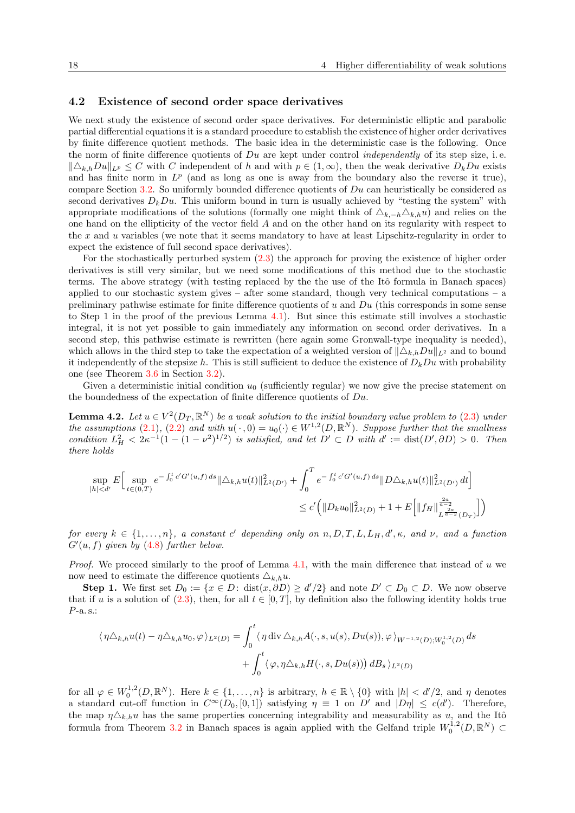#### 4.2 Existence of second order space derivatives

We next study the existence of second order space derivatives. For deterministic elliptic and parabolic partial differential equations it is a standard procedure to establish the existence of higher order derivatives by finite difference quotient methods. The basic idea in the deterministic case is the following. Once the norm of finite difference quotients of  $Du$  are kept under control *independently* of its step size, i.e.  $\|\Delta_{k,h}Du\|_{L^p} \leq C$  with C independent of h and with  $p \in (1,\infty)$ , then the weak derivative  $D_kDu$  exists and has finite norm in  $L^p$  (and as long as one is away from the boundary also the reverse it true), compare Section [3.2.](#page-7-0) So uniformly bounded difference quotients of  $Du$  can heuristically be considered as second derivatives  $D_kDu$ . This uniform bound in turn is usually achieved by "testing the system" with appropriate modifications of the solutions (formally one might think of  $\Delta_{k,-h}\Delta_{k,h}u$ ) and relies on the one hand on the ellipticity of the vector field A and on the other hand on its regularity with respect to the x and u variables (we note that it seems mandatory to have at least Lipschitz-regularity in order to expect the existence of full second space derivatives).

For the stochastically perturbed system [\(2.3\)](#page-5-0) the approach for proving the existence of higher order derivatives is still very similar, but we need some modifications of this method due to the stochastic terms. The above strategy (with testing replaced by the the use of the Itô formula in Banach spaces) applied to our stochastic system gives – after some standard, though very technical computations – a preliminary pathwise estimate for finite difference quotients of u and  $Du$  (this corresponds in some sense to Step 1 in the proof of the previous Lemma [4.1\)](#page-14-1). But since this estimate still involves a stochastic integral, it is not yet possible to gain immediately any information on second order derivatives. In a second step, this pathwise estimate is rewritten (here again some Gronwall-type inequality is needed), which allows in the third step to take the expectation of a weighted version of  $\|\Delta_{k,h}Du\|_{L^2}$  and to bound it independently of the stepsize h. This is still sufficient to deduce the existence of  $D_kDu$  with probability one (see Theorem [3.6](#page-8-0) in Section [3.2\)](#page-7-0).

Given a deterministic initial condition  $u_0$  (sufficiently regular) we now give the precise statement on the boundedness of the expectation of finite difference quotients of  $Du$ .

<span id="page-17-0"></span>**Lemma 4.2.** Let  $u \in V^2(D_T, \mathbb{R}^N)$  be a weak solution to the initial boundary value problem to [\(2.3\)](#page-5-0) under the assumptions [\(2.1\)](#page-5-1), [\(2.2\)](#page-5-2) and with  $u(\cdot,0) = u_0(\cdot) \in W^{1,2}(D,\mathbb{R}^N)$ . Suppose further that the smallness condition  $L_H^2 < 2\kappa^{-1}(1-(1-\nu^2)^{1/2})$  is satisfied, and let  $D' \subset D$  with  $d' := \text{dist}(D', \partial D) > 0$ . Then there holds

$$
\sup_{|h|  

$$
\leq c' \Big(\|D_k u_0\|_{L^2(D)}^2 + 1 + E\Big[\|f_H\|_{L^{\frac{2a}{a-2}}(D_T)}^{\frac{2a}{a-2}}\Big]\Big)
$$
$$

for every  $k \in \{1, \ldots, n\}$ , a constant c' depending only on  $n, D, T, L, L_H, d', \kappa$ , and  $\nu$ , and a function  $G'(u, f)$  given by  $(4.8)$  further below.

*Proof.* We proceed similarly to the proof of Lemma  $4.1$ , with the main difference that instead of u we now need to estimate the difference quotients  $\Delta_{k,h}u$ .

**Step 1.** We first set  $D_0 := \{x \in D: \text{dist}(x, \partial D) \ge d'/2\}$  and note  $D' \subset D_0 \subset D$ . We now observe that if u is a solution of  $(2.3)$ , then, for all  $t \in [0,T]$ , by definition also the following identity holds true P-a. s.:

$$
\langle \eta \triangle_{k,h} u(t) - \eta \triangle_{k,h} u_0, \varphi \rangle_{L^2(D)} = \int_0^t \langle \eta \operatorname{div} \triangle_{k,h} A(\cdot, s, u(s), Du(s)), \varphi \rangle_{W^{-1,2}(D);W_0^{1,2}(D)} ds + \int_0^t \langle \varphi, \eta \triangle_{k,h} H(\cdot, s, Du(s)) \rangle dB_s \rangle_{L^2(D)}
$$

for all  $\varphi \in W_0^{1,2}(D,\mathbb{R}^N)$ . Here  $k \in \{1,\ldots,n\}$  is arbitrary,  $h \in \mathbb{R} \setminus \{0\}$  with  $|h| < d'/2$ , and  $\eta$  denotes a standard cut-off function in  $C^{\infty}(D_0, [0, 1])$  satisfying  $\eta \equiv 1$  on D' and  $|D\eta| \leq c(d')$ . Therefore, the map  $\eta \triangle_{k,h} u$  has the same properties concerning integrability and measurability as u, and the Itô formula from Theorem [3.2](#page-7-1) in Banach spaces is again applied with the Gelfand triple  $W_0^{1,2}(D,\mathbb{R}^N) \subset$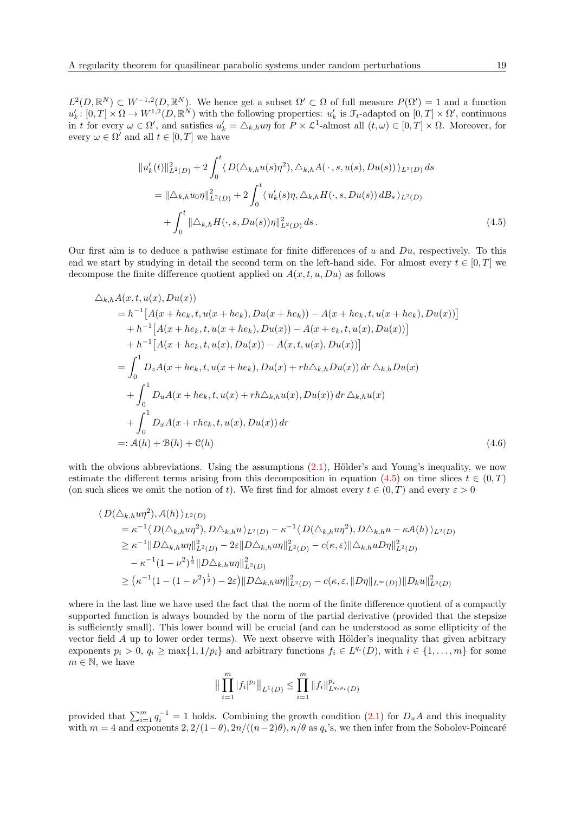$L^2(D,\mathbb{R}^N) \subset W^{-1,2}(D,\mathbb{R}^N)$ . We hence get a subset  $\Omega' \subset \Omega$  of full measure  $P(\Omega') = 1$  and a function  $u'_{k}: [0,T] \times \Omega \to W^{1,2}(D,\mathbb{R}^{N})$  with the following properties:  $u'_{k}$  is  $\mathcal{F}_{t}$ -adapted on  $[0,T] \times \Omega'$ , continuous in t for every  $\omega \in \Omega'$ , and satisfies  $u'_k = \triangle_{k,h} u\eta$  for  $P \times \mathcal{L}^1$ -almost all  $(t,\omega) \in [0,T] \times \Omega$ . Moreover, for every  $\omega \in \Omega'$  and all  $t \in [0, T]$  we have

<span id="page-18-0"></span>
$$
||u'_{k}(t)||^{2}_{L^{2}(D)} + 2\int_{0}^{t} \langle D(\Delta_{k,h}u(s)\eta^{2}), \Delta_{k,h}A(\cdot, s, u(s), Du(s)) \rangle_{L^{2}(D)} ds
$$
  
\n
$$
= ||\Delta_{k,h}u_{0}\eta||^{2}_{L^{2}(D)} + 2\int_{0}^{t} \langle u'_{k}(s)\eta, \Delta_{k,h}H(\cdot, s, Du(s)) dB_{s} \rangle_{L^{2}(D)}
$$
  
\n
$$
+ \int_{0}^{t} ||\Delta_{k,h}H(\cdot, s, Du(s))\eta||^{2}_{L^{2}(D)} ds.
$$
\n(4.5)

Our first aim is to deduce a pathwise estimate for finite differences of u and  $Du$ , respectively. To this end we start by studying in detail the second term on the left-hand side. For almost every  $t \in [0, T]$  we decompose the finite difference quotient applied on  $A(x, t, u, Du)$  as follows

$$
\Delta_{k,h}A(x,t,u(x),Du(x))
$$
\n
$$
= h^{-1}[A(x+he_k,t,u(x+he_k),Du(x+he_k)) - A(x+he_k,t,u(x+he_k),Du(x))]
$$
\n
$$
+ h^{-1}[A(x+he_k,t,u(x+he_k),Du(x)) - A(x+e_k,t,u(x),Du(x))]
$$
\n
$$
+ h^{-1}[A(x+he_k,t,u(x),Du(x)) - A(x,t,u(x),Du(x))]
$$
\n
$$
= \int_0^1 D_zA(x+he_k,t,u(x+he_k),Du(x)+rh\Delta_{k,h}Du(x)) dr \Delta_{k,h}Du(x)
$$
\n
$$
+ \int_0^1 D_uA(x+he_k,t,u(x)+rh\Delta_{k,h}u(x),Du(x)) dr \Delta_{k,h}u(x)
$$
\n
$$
+ \int_0^1 D_xA(x+he_k,t,u(x),Du(x)) dr
$$
\n
$$
=: A(h) + B(h) + C(h)
$$
\n(4.6)

with the obvious abbreviations. Using the assumptions  $(2.1)$ , Hölder's and Young's inequality, we now estimate the different terms arising from this decomposition in equation [\(4.5\)](#page-18-0) on time slices  $t \in (0, T)$ (on such slices we omit the notion of t). We first find for almost every  $t \in (0, T)$  and every  $\varepsilon > 0$ 

$$
\langle D(\Delta_{k,h}up^2), \mathcal{A}(h) \rangle_{L^2(D)}
$$
  
\n
$$
= \kappa^{-1} \langle D(\Delta_{k,h}up^2), D\Delta_{k,h}u \rangle_{L^2(D)} - \kappa^{-1} \langle D(\Delta_{k,h}up^2), D\Delta_{k,h}u - \kappa \mathcal{A}(h) \rangle_{L^2(D)}
$$
  
\n
$$
\geq \kappa^{-1} ||D\Delta_{k,h}up||_{L^2(D)}^2 - 2\varepsilon ||D\Delta_{k,h}up||_{L^2(D)}^2 - c(\kappa, \varepsilon) ||\Delta_{k,h}uD\eta||_{L^2(D)}^2
$$
  
\n
$$
- \kappa^{-1} (1 - \nu^2)^{\frac{1}{2}} ||D\Delta_{k,h}up||_{L^2(D)}^2
$$
  
\n
$$
\geq (\kappa^{-1} (1 - (1 - \nu^2)^{\frac{1}{2}}) - 2\varepsilon) ||D\Delta_{k,h}up||_{L^2(D)}^2 - c(\kappa, \varepsilon, ||D\eta||_{L^{\infty}(D)}) ||D_ku||_{L^2(D)}^2
$$

where in the last line we have used the fact that the norm of the finite difference quotient of a compactly supported function is always bounded by the norm of the partial derivative (provided that the stepsize is sufficiently small). This lower bound will be crucial (and can be understood as some ellipticity of the vector field  $A$  up to lower order terms). We next observe with Hölder's inequality that given arbitrary exponents  $p_i > 0$ ,  $q_i \ge \max\{1, 1/p_i\}$  and arbitrary functions  $f_i \in L^{q_i}(D)$ , with  $i \in \{1, ..., m\}$  for some  $m \in \mathbb{N}$ , we have

<span id="page-18-1"></span>
$$
\|\prod_{i=1}^m |f_i|^{p_i}\|_{L^1(D)} \le \prod_{i=1}^m \|f_i\|_{L^{q_i p_i}(D)}^{p_i}
$$

provided that  $\sum_{i=1}^{m} q_i^{-1} = 1$  holds. Combining the growth condition [\(2.1\)](#page-5-1) for  $D_uA$  and this inequality with  $m = 4$  and exponents  $2, 2/(1-\theta), 2n/((n-2)\theta), n/\theta$  as  $q_i$ 's, we then infer from the Sobolev-Poincaré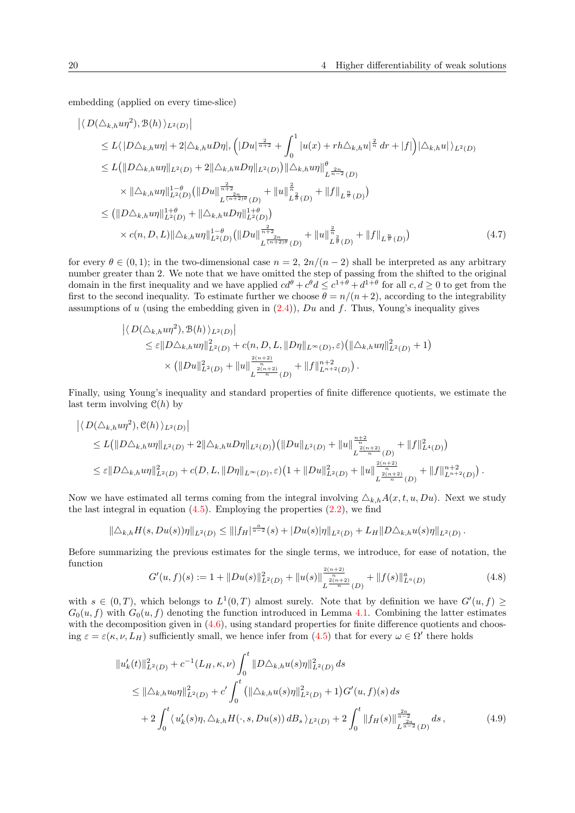embedding (applied on every time-slice)

$$
\left| \langle D(\Delta_{k,h} u\eta^{2}), \mathcal{B}(h) \rangle_{L^{2}(D)} \right|
$$
  
\n
$$
\leq L \langle |D\Delta_{k,h} u\eta| + 2|\Delta_{k,h} uD\eta|, \left( |Du|^{\frac{2}{n+2}} + \int_{0}^{1} |u(x) + rh\Delta_{k,h} u|^{\frac{2}{n}} dr + |f| \right) |\Delta_{k,h} u| \rangle_{L^{2}(D)}
$$
  
\n
$$
\leq L \Big( \|D\Delta_{k,h} u\eta\|_{L^{2}(D)} + 2 \|\Delta_{k,h} uD\eta\|_{L^{2}(D)} \Big) \|\Delta_{k,h} u\eta\|_{L^{\frac{2n}{n-2}}(D)}^{\theta}
$$
  
\n
$$
\times \|\Delta_{k,h} u\eta\|_{L^{2}(D)}^{1-\theta} \Big( \|Du\|_{L^{\frac{2n}{n+2}}(\partial D)}^{\frac{2n}{n+2}} + \|u\|_{L^{\frac{2}{\theta}}(D)}^{\frac{2}{n}} + \|f\|_{L^{\frac{n}{\theta}}(D)} \Big)
$$
  
\n
$$
\leq ( \|D\Delta_{k,h} u\eta\|_{L^{2}(D)}^{1+\theta} + \|\Delta_{k,h} uD\eta\|_{L^{2}(D)}^{1+\theta})
$$
  
\n
$$
\times c(n, D, L) \|\Delta_{k,h} u\eta\|_{L^{2}(D)}^{1-\theta} \Big( \|Du\|_{L^{\frac{2n}{n+2}}(\partial D)}^{\frac{2}{n+2}} + \|u\|_{L^{\frac{2}{\theta}}(D)}^{\frac{2}{n}} + \|f\|_{L^{\frac{n}{\theta}}(D)} \Big)
$$
  
\n(4.7)

for every  $\theta \in (0,1)$ ; in the two-dimensional case  $n = 2$ ,  $2n/(n-2)$  shall be interpreted as any arbitrary number greater than 2. We note that we have omitted the step of passing from the shifted to the original domain in the first inequality and we have applied  $cd^{\theta} + c^{\theta}d \leq c^{1+\theta} + d^{1+\theta}$  for all  $c, d \geq 0$  to get from the first to the second inequality. To estimate further we choose  $\theta = n/(n+2)$ , according to the integrability assumptions of u (using the embedding given in  $(2.4)$ ), Du and f. Thus, Young's inequality gives

<span id="page-19-1"></span>
$$
\begin{aligned} \left| \langle D(\triangle_{k,h} u \eta^2), \mathcal{B}(h) \rangle_{L^2(D)} \right| \\ &\leq \varepsilon \| D\triangle_{k,h} u \eta \|_{L^2(D)}^2 + c(n,D,L, \| D\eta \|_{L^\infty(D)}, \varepsilon) \left( \| \triangle_{k,h} u \eta \|_{L^2(D)}^2 + 1 \right) \\ &\times \left( \| Du \|^2_{L^2(D)} + \| u \|^{\frac{2(n+2)}{n}}_{L^{\frac{2(n+2)}{n}}(D)} + \| f \|_{L^{n+2}(D)}^{n+2} \right). \end{aligned}
$$

Finally, using Young's inequality and standard properties of finite difference quotients, we estimate the last term involving  $C(h)$  by

$$
\begin{split} \left| \langle D(\Delta_{k,h} u \eta^2), \mathcal{C}(h) \rangle_{L^2(D)} \right| \\ &\le L \big( \|D\Delta_{k,h} u \eta\|_{L^2(D)} + 2 \|\Delta_{k,h} u D\eta\|_{L^2(D)} \big) \big( \|Du\|_{L^2(D)} + \|u\|_{L^{\frac{2(n+2)}{n}}(D)}^{\frac{n+2}{n}} + \|f\|_{L^4(D)}^2 \big) \\ &\le \varepsilon \|D\Delta_{k,h} u \eta\|_{L^2(D)}^2 + c(D,L, \|D\eta\|_{L^\infty(D)}, \varepsilon) \big(1 + \|Du\|_{L^2(D)}^2 + \|u\|_{L^{\frac{2(n+2)}{n}}(D)}^{\frac{2(n+2)}{n}} + \|f\|_{L^{n+2}(D)}^{n+2} \big) \,. \end{split}
$$

Now we have estimated all terms coming from the integral involving  $\Delta_{k,h}A(x, t, u, Du)$ . Next we study the last integral in equation  $(4.5)$ . Employing the properties  $(2.2)$ , we find

$$
\|\triangle_{k,h} H(s, Du(s))\eta\|_{L^2(D)} \le \| |f_H|^{\frac{a}{a-2}}(s) + |Du(s)|\eta\|_{L^2(D)} + L_H \|D\triangle_{k,h} u(s)\eta\|_{L^2(D)}.
$$

Before summarizing the previous estimates for the single terms, we introduce, for ease of notation, the function

<span id="page-19-0"></span>
$$
G'(u,f)(s) := 1 + ||Du(s)||_{L^2(D)}^2 + ||u(s)||_{L^{\frac{2(n+2)}{n}}(D)}^{\frac{2(n+2)}{n}} + ||f(s)||_{L^a(D)}^a \tag{4.8}
$$

with  $s \in (0,T)$ , which belongs to  $L^1(0,T)$  almost surely. Note that by definition we have  $G'(u, f) \ge$  $G_0(u, f)$  with  $G_0(u, f)$  denoting the function introduced in Lemma [4.1.](#page-14-1) Combining the latter estimates with the decomposition given in  $(4.6)$ , using standard properties for finite difference quotients and choosing  $\varepsilon = \varepsilon(\kappa, \nu, L_H)$  sufficiently small, we hence infer from  $(4.5)$  that for every  $\omega \in \Omega'$  there holds

$$
\|u'_{k}(t)\|_{L^{2}(D)}^{2} + c^{-1}(L_{H}, \kappa, \nu) \int_{0}^{t} \|D\triangle_{k,h}u(s)\eta\|_{L^{2}(D)}^{2} ds
$$
  
\n
$$
\leq \|\triangle_{k,h}u_{0}\eta\|_{L^{2}(D)}^{2} + c' \int_{0}^{t} (\|\triangle_{k,h}u(s)\eta\|_{L^{2}(D)}^{2} + 1)G'(u,f)(s) ds
$$
  
\n
$$
+ 2 \int_{0}^{t} \langle u'_{k}(s)\eta, \triangle_{k,h}H(\cdot, s, Du(s)) dB_{s} \rangle_{L^{2}(D)} + 2 \int_{0}^{t} \|f_{H}(s)\|_{L^{\frac{2a}{a-2}}(D)}^{\frac{2a}{a-2}} ds,
$$
\n(4.9)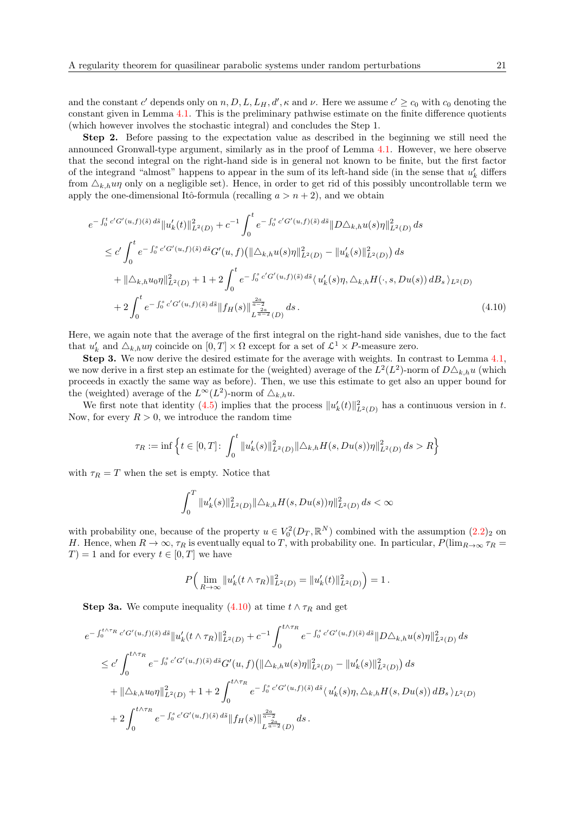and the constant c' depends only on n, D, L,  $L_H$ , d',  $\kappa$  and  $\nu$ . Here we assume  $c' \ge c_0$  with  $c_0$  denoting the constant given in Lemma [4.1.](#page-14-1) This is the preliminary pathwise estimate on the finite difference quotients (which however involves the stochastic integral) and concludes the Step 1.

Step 2. Before passing to the expectation value as described in the beginning we still need the announced Gronwall-type argument, similarly as in the proof of Lemma [4.1.](#page-14-1) However, we here observe that the second integral on the right-hand side is in general not known to be finite, but the first factor of the integrand "almost" happens to appear in the sum of its left-hand side (in the sense that  $u'_k$  differs from  $\Delta_{k,h}u\eta$  only on a negligible set). Hence, in order to get rid of this possibly uncontrollable term we apply the one-dimensional Itô-formula (recalling  $a > n + 2$ ), and we obtain

$$
e^{-\int_0^t c'G'(u,f)(\tilde{s})d\tilde{s}} \|u'_k(t)\|_{L^2(D)}^2 + c^{-1} \int_0^t e^{-\int_0^s c'G'(u,f)(\tilde{s})d\tilde{s}} \|D\triangle_{k,h} u(s)\eta\|_{L^2(D)}^2 ds
$$
  
\n
$$
\leq c' \int_0^t e^{-\int_0^s c'G'(u,f)(\tilde{s})d\tilde{s}} G'(u,f) (\|\triangle_{k,h} u(s)\eta\|_{L^2(D)}^2 - \|u'_k(s)\|_{L^2(D)}^2) ds
$$
  
\n
$$
+ \|\triangle_{k,h} u_0 \eta\|_{L^2(D)}^2 + 1 + 2 \int_0^t e^{-\int_0^s c'G'(u,f)(\tilde{s})d\tilde{s}} \langle u'_k(s)\eta, \triangle_{k,h} H(\cdot, s, Du(s)) dB_s \rangle_{L^2(D)}
$$
  
\n
$$
+ 2 \int_0^t e^{-\int_0^s c'G'(u,f)(\tilde{s})d\tilde{s}} \|f_H(s)\|_{L^{\frac{2a}{a-2}}(D)}^{\frac{2a}{a-2}} ds.
$$
\n(4.10)

Here, we again note that the average of the first integral on the right-hand side vanishes, due to the fact that  $u'_k$  and  $\Delta_{k,h}u\eta$  coincide on  $[0,T] \times \Omega$  except for a set of  $\mathcal{L}^1 \times P$ -measure zero.

Step 3. We now derive the desired estimate for the average with weights. In contrast to Lemma [4.1,](#page-14-1) we now derive in a first step an estimate for the (weighted) average of the  $L^2(L^2)$ -norm of  $D\Delta_{k,h}u$  (which proceeds in exactly the same way as before). Then, we use this estimate to get also an upper bound for the (weighted) average of the  $L^{\infty}(L^2)$ -norm of  $\Delta_{k,h}u$ .

We first note that identity [\(4.5\)](#page-18-0) implies that the process  $||u'_k(t)||^2_{L^2(D)}$  has a continuous version in t. Now, for every  $R > 0$ , we introduce the random time

$$
\tau_R := \inf \left\{ t \in [0, T] \colon \int_0^t \|u_k'(s)\|_{L^2(D)}^2 \|\Delta_{k,h} H(s, Du(s))\eta\|_{L^2(D)}^2 ds > R \right\}
$$

with  $\tau_R = T$  when the set is empty. Notice that

<span id="page-20-0"></span>
$$
\int_0^T \|u_k'(s)\|_{L^2(D)}^2 \|\triangle_{k,h} H(s,Du(s))\eta\|_{L^2(D)}^2 ds < \infty
$$

with probability one, because of the property  $u \in V_0^2(D_T, \mathbb{R}^N)$  combined with the assumption  $(2.2)_2$  $(2.2)_2$  on H. Hence, when  $R \to \infty$ ,  $\tau_R$  is eventually equal to T, with probability one. In particular,  $P(\lim_{R\to\infty} \tau_R =$  $T$ ) = 1 and for every  $t \in [0, T]$  we have

$$
P\Big(\lim_{R\to\infty}||u'_k(t\wedge\tau_R)||^2_{L^2(D)}=||u'_k(t)||^2_{L^2(D)}\Big)=1.
$$

**Step 3a.** We compute inequality [\(4.10\)](#page-20-0) at time  $t \wedge \tau_R$  and get

$$
e^{-\int_0^{t\wedge\tau_R} c'G'(u,f)(\tilde{s}) d\tilde{s}} \|u'_k(t\wedge\tau_R)\|_{L^2(D)}^2 + c^{-1} \int_0^{t\wedge\tau_R} e^{-\int_0^s c'G'(u,f)(\tilde{s}) d\tilde{s}} \|D\triangle_{k,h} u(s)\eta\|_{L^2(D)}^2 ds
$$
  
\n
$$
\leq c' \int_0^{t\wedge\tau_R} e^{-\int_0^s c'G'(u,f)(\tilde{s}) d\tilde{s}} G'(u,f) (\|\triangle_{k,h} u(s)\eta\|_{L^2(D)}^2 - \|u'_k(s)\|_{L^2(D)}^2) ds
$$
  
\n
$$
+ \|\triangle_{k,h} u_0 \eta\|_{L^2(D)}^2 + 1 + 2 \int_0^{t\wedge\tau_R} e^{-\int_0^s c'G'(u,f)(\tilde{s}) d\tilde{s}} \langle u'_k(s)\eta, \triangle_{k,h} H(s,Du(s)) dB_s \rangle_{L^2(D)}
$$
  
\n
$$
+ 2 \int_0^{t\wedge\tau_R} e^{-\int_0^s c'G'(u,f)(\tilde{s}) d\tilde{s}} \|f_H(s)\|_{L^{\frac{2a}{a-2}}(D)}^{\frac{2a}{a-2}} ds.
$$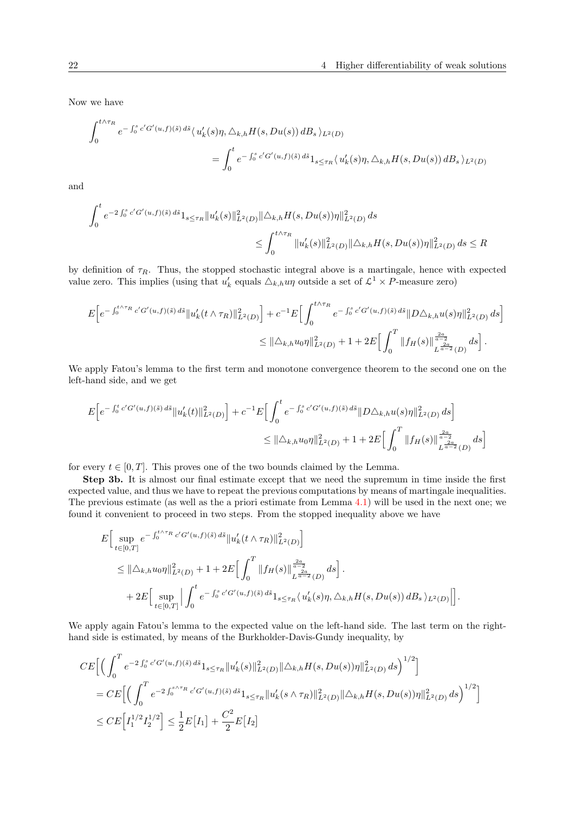Now we have

$$
\int_0^{t \wedge \tau_R} e^{-\int_0^s c' G'(u,f)(\tilde{s}) d\tilde{s}} \langle u'_k(s)\eta, \triangle_{k,h} H(s, Du(s)) dB_s \rangle_{L^2(D)}
$$
  
= 
$$
\int_0^t e^{-\int_0^s c' G'(u,f)(\tilde{s}) d\tilde{s}} 1_{s \leq \tau_R} \langle u'_k(s)\eta, \triangle_{k,h} H(s, Du(s)) dB_s \rangle_{L^2(D)}
$$

and

$$
\int_0^t e^{-2\int_0^s c' G'(u,f)(\tilde{s}) d\tilde{s}} 1_{s \le \tau_R} ||u'_k(s)||^2_{L^2(D)} ||\Delta_{k,h} H(s, Du(s))\eta||^2_{L^2(D)} ds
$$
  

$$
\le \int_0^{t \wedge \tau_R} ||u'_k(s)||^2_{L^2(D)} ||\Delta_{k,h} H(s, Du(s))\eta||^2_{L^2(D)} ds \le R
$$

by definition of  $\tau_R$ . Thus, the stopped stochastic integral above is a martingale, hence with expected value zero. This implies (using that  $u'_k$  equals  $\Delta_{k,h}u\eta$  outside a set of  $\mathcal{L}^1 \times P$ -measure zero)

$$
E\Big[e^{-\int_0^{t\wedge\tau_R}c'G'(u,f)(\tilde{s})\,d\tilde{s}}\|u_k'(t\wedge\tau_R)\|_{L^2(D)}^2\Big]+c^{-1}E\Big[\int_0^{t\wedge\tau_R}e^{-\int_0^sc'G'(u,f)(\tilde{s})\,d\tilde{s}}\|D\triangle_{k,h}u(s)\eta\|_{L^2(D)}^2\,ds\Big]\\ \leq \|\triangle_{k,h}u_0\eta\|_{L^2(D)}^2+1+2E\Big[\int_0^T\|f_H(s)\|_{L^{\frac{2a}{a-2}}(D)}^{\frac{2a}{a-2}}\,ds\Big]\,.
$$

We apply Fatou's lemma to the first term and monotone convergence theorem to the second one on the left-hand side, and we get

$$
E\Big[e^{-\int_0^t c'G'(u,f)(\tilde{s})\,d\tilde{s}}\|u'_k(t)\|_{L^2(D)}^2\Big]+c^{-1}E\Big[\int_0^t e^{-\int_0^s c'G'(u,f)(\tilde{s})\,d\tilde{s}}\|D\triangle_{k,h}u(s)\eta\|_{L^2(D)}^2\,ds\Big]
$$
  

$$
\leq \|\triangle_{k,h}u_0\eta\|_{L^2(D)}^2+1+2E\Big[\int_0^T \|f_H(s)\|_{L^{\frac{2a}{a-2}}(D)}^{\frac{2a}{a-2}}\,ds\Big]
$$

for every  $t \in [0, T]$ . This proves one of the two bounds claimed by the Lemma.

Step 3b. It is almost our final estimate except that we need the supremum in time inside the first expected value, and thus we have to repeat the previous computations by means of martingale inequalities. The previous estimate (as well as the a priori estimate from Lemma [4.1\)](#page-14-1) will be used in the next one; we found it convenient to proceed in two steps. From the stopped inequality above we have

$$
\begin{split} &E\Big[\sup_{t\in[0,T]}e^{-\int_0^{t\wedge\tau_R}c'G'(u,f)(\tilde{s})\,d\tilde{s}}\|u_k'(t\wedge\tau_R)\|_{L^2(D)}^2\Big]\\ &\leq \|\triangle_{k,h}u_0\eta\|_{L^2(D)}^2+1+2E\Big[\int_0^T\|f_H(s)\|_{L^{\frac{2a}{a-2}}(D)}^{\frac{2a}{a-2}}\,ds\Big]\, .\\ &\qquad \qquad +2E\Big[\sup_{t\in[0,T]}\Big|\int_0^t e^{-\int_0^s c'G'(u,f)(\tilde{s})\,d\tilde{s}}1_{s\leq\tau_R}\big\langle\,u_k'(s)\eta,\triangle_{k,h}H(s,Du(s))\,dB_s\,\big\rangle_{L^2(D)}\Big|\Big]. \end{split}
$$

We apply again Fatou's lemma to the expected value on the left-hand side. The last term on the righthand side is estimated, by means of the Burkholder-Davis-Gundy inequality, by

$$
CE\Big[\Big(\int_0^T e^{-2\int_0^s c'G'(u,f)(\tilde{s}) d\tilde{s}} 1_{s\leq \tau_R} \|u'_k(s)\|_{L^2(D)}^2 \|\Delta_{k,h}H(s,Du(s))\eta\|_{L^2(D)}^2 ds\Big)^{1/2}\Big]
$$
  
=  $CE\Big[\Big(\int_0^T e^{-2\int_0^{s\wedge\tau_R} c'G'(u,f)(\tilde{s}) d\tilde{s}} 1_{s\leq \tau_R} \|u'_k(s\wedge\tau_R)\|_{L^2(D)}^2 \|\Delta_{k,h}H(s,Du(s))\eta\|_{L^2(D)}^2 ds\Big)^{1/2}\Big]$   
 $\leq CE\Big[I_1^{1/2}I_2^{1/2}\Big] \leq \frac{1}{2}E\Big[I_1\Big] + \frac{C^2}{2}E\Big[I_2\Big]$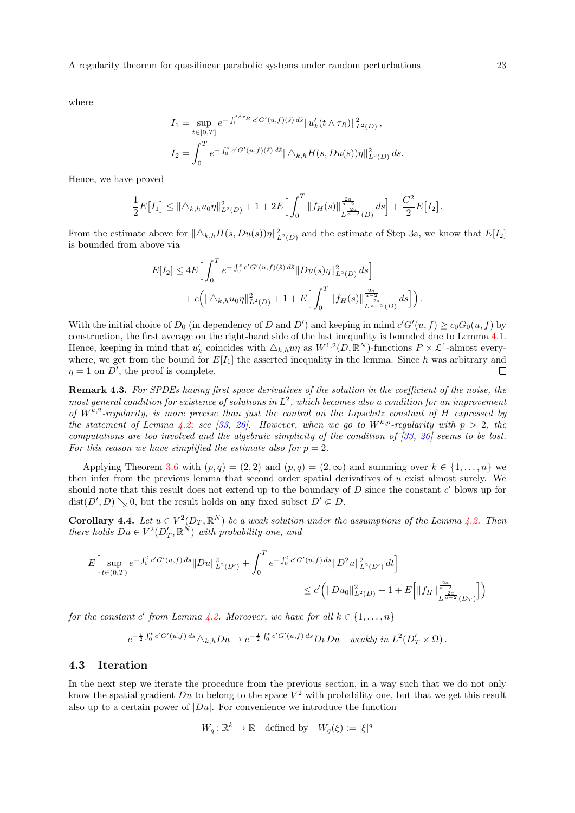where

$$
I_1 = \sup_{t \in [0,T]} e^{-\int_0^{t \wedge \tau_R} c' G'(u,f)(\tilde{s}) d\tilde{s}} \|u'_k(t \wedge \tau_R)\|_{L^2(D)}^2,
$$
  

$$
I_2 = \int_0^T e^{-\int_0^s c' G'(u,f)(\tilde{s}) d\tilde{s}} \|\triangle_{k,h} H(s, Du(s))\eta\|_{L^2(D)}^2 ds.
$$

Hence, we have proved

$$
\frac{1}{2}E\big[I_1\big] \leq \|\triangle_{k,h}u_0\eta\|_{L^2(D)}^2 + 1 + 2E\big[\int_0^T \|f_H(s)\|_{L^{\frac{2a}{a-2}}(D)}^{\frac{2a}{a-2}} ds\big] + \frac{C^2}{2}E\big[I_2\big].
$$

From the estimate above for  $\|\Delta_{k,h}H(s,Du(s))\eta\|_{L^2(D)}^2$  and the estimate of Step 3a, we know that  $E[I_2]$ is bounded from above via

$$
E[I_2] \le 4E \Big[ \int_0^T e^{-\int_0^s c' G'(u,f)(\tilde{s}) d\tilde{s}} \|Du(s)\eta\|_{L^2(D)}^2 ds \Big] + c \Big( \|\triangle_{k,h} u_0 \eta\|_{L^2(D)}^2 + 1 + E \Big[ \int_0^T \|f_H(s)\|_{L^{\frac{2a}{a-2}}(D)}^{\frac{2a}{a-2}} ds \Big] \Big).
$$

With the initial choice of  $D_0$  (in dependency of D and D') and keeping in mind  $c'G'(u, f) \ge c_0G_0(u, f)$  by construction, the first average on the right-hand side of the last inequality is bounded due to Lemma [4.1.](#page-14-1) Hence, keeping in mind that  $u'_k$  coincides with  $\Delta_{k,h}u\eta$  as  $W^{1,2}(D,\mathbb{R}^N)$ -functions  $P \times \mathcal{L}^1$ -almost everywhere, we get from the bound for  $E[I_1]$  the asserted inequality in the lemma. Since h was arbitrary and  $\eta = 1$  on D', the proof is complete.  $\Box$ 

Remark 4.3. For SPDEs having first space derivatives of the solution in the coefficient of the noise, the most general condition for existence of solutions in  $L^2$ , which becomes also a condition for an improvement of  $W^{k,2}$ -regularity, is more precise than just the control on the Lipschitz constant of H expressed by the statement of Lemma [4.2;](#page-17-0) see [\[33,](#page-32-18) [26\]](#page-32-15). However, when we go to  $W^{k,p}$ -regularity with  $p > 2$ , the computations are too involved and the algebraic simplicity of the condition of  $[33, 26]$  $[33, 26]$  $[33, 26]$  seems to be lost. For this reason we have simplified the estimate also for  $p = 2$ .

Applying Theorem [3.6](#page-8-0) with  $(p, q) = (2, 2)$  and  $(p, q) = (2, \infty)$  and summing over  $k \in \{1, ..., n\}$  we then infer from the previous lemma that second order spatial derivatives of  $u$  exist almost surely. We should note that this result does not extend up to the boundary of  $D$  since the constant  $c'$  blows up for  $dist(D', D) \searrow 0$ , but the result holds on any fixed subset  $D' \in D$ .

<span id="page-22-0"></span>**Corollary 4.4.** Let  $u \in V^2(D_T, \mathbb{R}^N)$  be a weak solution under the assumptions of the Lemma [4.2.](#page-17-0) Then there holds  $Du \in V^2(D'_T,\mathbb{R}^N)$  with probability one, and

$$
E\Big[\sup_{t\in(0,T)}e^{-\int_0^t c'G'(u,f)\,ds}\|Du\|_{L^2(D')}^2 + \int_0^Te^{-\int_0^t c'G'(u,f)\,ds}\|D^2u\|_{L^2(D')}^2\,dt\Big]
$$
  

$$
\leq c'\Big(\|Du_0\|_{L^2(D)}^2 + 1 + E\Big[\|f_H\|_{L^{\frac{2a}{a-2}}(D_T)}^{\frac{2a}{a-2}}\Big]\Big)
$$

for the constant c' from Lemma [4.2.](#page-17-0) Moreover, we have for all  $k \in \{1, \ldots, n\}$ 

$$
e^{-\frac{1}{2}\int_0^t c' G'(u,f) ds} \triangle_{k,h} Du \to e^{-\frac{1}{2}\int_0^t c' G'(u,f) ds} D_k Du \quad weakly \in L^2(D'_T \times \Omega).
$$

#### 4.3 Iteration

In the next step we iterate the procedure from the previous section, in a way such that we do not only know the spatial gradient Du to belong to the space  $V^2$  with probability one, but that we get this result also up to a certain power of  $|Du|$ . For convenience we introduce the function

$$
W_q: \mathbb{R}^k \to \mathbb{R}
$$
 defined by  $W_q(\xi) := |\xi|^q$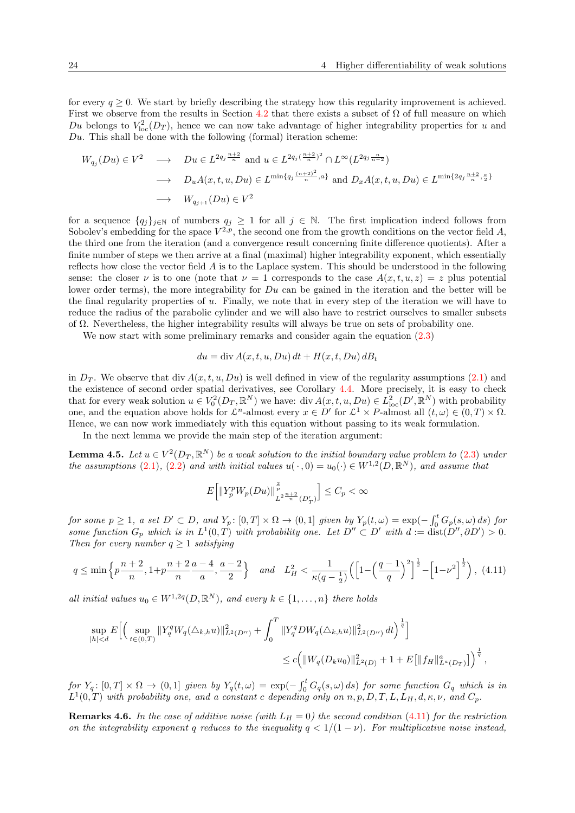for every  $q > 0$ . We start by briefly describing the strategy how this regularity improvement is achieved. First we observe from the results in Section [4.2](#page-16-0) that there exists a subset of  $\Omega$  of full measure on which Du belongs to  $V_{\text{loc}}^2(D_T)$ , hence we can now take advantage of higher integrability properties for u and  $Du$ . This shall be done with the following (formal) iteration scheme:

$$
W_{q_j}(Du) \in V^2 \longrightarrow Du \in L^{2q_j \frac{n+2}{n}} \text{ and } u \in L^{2q_j (\frac{n+2}{n})^2} \cap L^{\infty}(L^{2q_j \frac{n}{n-2}})
$$
  
\n
$$
\longrightarrow D_u A(x, t, u, Du) \in L^{\min\{q_j \frac{(n+2)^2}{n}, a\}} \text{ and } D_x A(x, t, u, Du) \in L^{\min\{2q_j \frac{n+2}{n}, \frac{a}{2}\}}
$$
  
\n
$$
\longrightarrow W_{q_{j+1}}(Du) \in V^2
$$

for a sequence  $\{q_j\}_{j\in\mathbb{N}}$  of numbers  $q_j \geq 1$  for all  $j \in \mathbb{N}$ . The first implication indeed follows from Sobolev's embedding for the space  $V^{2,p}$ , the second one from the growth conditions on the vector field A, the third one from the iteration (and a convergence result concerning finite difference quotients). After a finite number of steps we then arrive at a final (maximal) higher integrability exponent, which essentially reflects how close the vector field  $A$  is to the Laplace system. This should be understood in the following sense: the closer  $\nu$  is to one (note that  $\nu = 1$  corresponds to the case  $A(x, t, u, z) = z$  plus potential lower order terms), the more integrability for Du can be gained in the iteration and the better will be the final regularity properties of  $u$ . Finally, we note that in every step of the iteration we will have to reduce the radius of the parabolic cylinder and we will also have to restrict ourselves to smaller subsets of  $\Omega$ . Nevertheless, the higher integrability results will always be true on sets of probability one.

We now start with some preliminary remarks and consider again the equation  $(2.3)$ 

$$
du = \operatorname{div} A(x, t, u, Du) dt + H(x, t, Du) dB_t
$$

in  $D_T$ . We observe that div  $A(x, t, u, Du)$  is well defined in view of the regularity assumptions [\(2.1\)](#page-5-1) and the existence of second order spatial derivatives, see Corollary [4.4.](#page-22-0) More precisely, it is easy to check that for every weak solution  $u \in V_0^2(D_T, \mathbb{R}^N)$  we have: div  $A(x, t, u, Du) \in L^2_{loc}(D', \mathbb{R}^N)$  with probability one, and the equation above holds for  $\mathcal{L}^n$ -almost every  $x \in D'$  for  $\mathcal{L}^1 \times P$ -almost all  $(t, \omega) \in (0, T) \times \Omega$ . Hence, we can now work immediately with this equation without passing to its weak formulation.

In the next lemma we provide the main step of the iteration argument:

<span id="page-23-1"></span>**Lemma 4.5.** Let  $u \in V^2(D_T, \mathbb{R}^N)$  be a weak solution to the initial boundary value problem to [\(2.3\)](#page-5-0) under the assumptions [\(2.1\)](#page-5-1), [\(2.2\)](#page-5-2) and with initial values  $u(\cdot, 0) = u_0(\cdot) \in W^{1,2}(D, \mathbb{R}^N)$ , and assume that

$$
E\left[\left\|Y_p^pW_p(Du)\right\|_{L^2\frac{n+2}{n}(D_T')}^{\frac{2}{p}}\right] \le C_p < \infty
$$

for some  $p \ge 1$ , a set  $D' \subset D$ , and  $Y_p$ :  $[0,T] \times \Omega \to (0,1]$  given by  $Y_p(t,\omega) = \exp(-\int_0^t G_p(s,\omega) ds)$  for some function  $G_p$  which is in  $L^1(0,T)$  with probability one. Let  $D'' \subset D'$  with  $d := \text{dist}(D'', \partial D') > 0$ . Then for every number  $q \geq 1$  satisfying

<span id="page-23-0"></span>
$$
q \le \min\left\{p\frac{n+2}{n}, 1+p\frac{n+2}{n}\frac{a-4}{a}, \frac{a-2}{2}\right\} \quad and \quad L_H^2 < \frac{1}{\kappa(q-\frac{1}{2})} \left(\left[1-\left(\frac{q-1}{q}\right)^2\right]^{\frac{1}{2}} - \left[1-\nu^2\right]^{\frac{1}{2}}\right), \tag{4.11}
$$

all initial values  $u_0 \in W^{1,2q}(D,\mathbb{R}^N)$ , and every  $k \in \{1,\ldots,n\}$  there holds

$$
\sup_{|h|
$$

 $for Y_q: [0,T] \times \Omega \to (0,1]$  given by  $Y_q(t,\omega) = \exp(-\int_0^t G_q(s,\omega) ds)$  for some function  $G_q$  which is in  $L^1(0,T)$  with probability one, and a constant c depending only on n, p, D, T, L, L<sub>H</sub>, d,  $\kappa, \nu$ , and  $C_p$ .

**Remarks 4.6.** In the case of additive noise (with  $L_H = 0$ ) the second condition [\(4.11\)](#page-23-0) for the restriction on the integrability exponent q reduces to the inequality  $q < 1/(1 - \nu)$ . For multiplicative noise instead,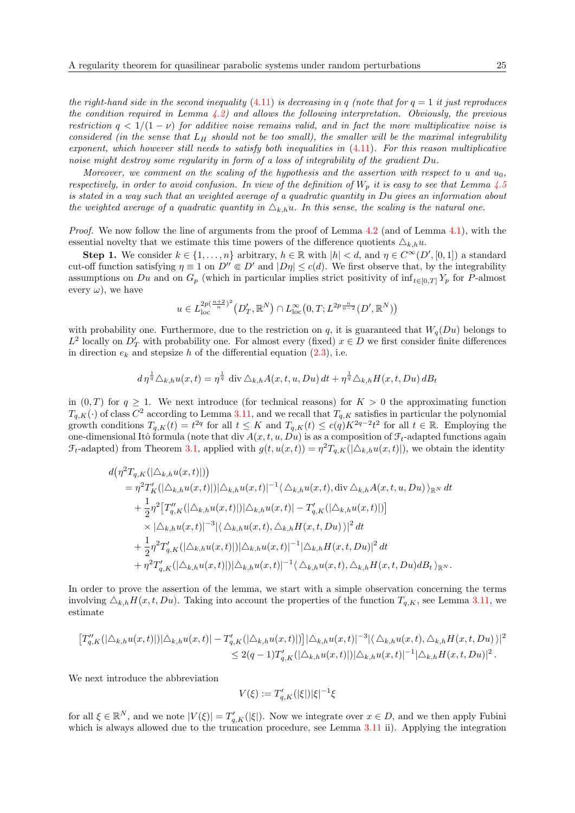the right-hand side in the second inequality [\(4.11\)](#page-23-0) is decreasing in q (note that for  $q = 1$  it just reproduces the condition required in Lemma  $4.2$ ) and allows the following interpretation. Obviously, the previous restriction  $q < 1/(1 - \nu)$  for additive noise remains valid, and in fact the more multiplicative noise is considered (in the sense that  $L_H$  should not be too small), the smaller will be the maximal integrability exponent, which however still needs to satisfy both inequalities in  $(4.11)$ . For this reason multiplicative noise might destroy some regularity in form of a loss of integrability of the gradient Du.

Moreover, we comment on the scaling of the hypothesis and the assertion with respect to u and  $u_0$ , respectively, in order to avoid confusion. In view of the definition of  $W_p$  it is easy to see that Lemma [4.5](#page-23-1) is stated in a way such that an weighted average of a quadratic quantity in Du gives an information about the weighted average of a quadratic quantity in  $\Delta_{k,h}u$ . In this sense, the scaling is the natural one.

Proof. We now follow the line of arguments from the proof of Lemma [4.2](#page-17-0) (and of Lemma [4.1\)](#page-14-1), with the essential novelty that we estimate this time powers of the difference quotients  $\Delta_{k,h}u$ .

**Step 1.** We consider  $k \in \{1, ..., n\}$  arbitrary,  $h \in \mathbb{R}$  with  $|h| < d$ , and  $\eta \in C^{\infty}(D', [0, 1])$  a standard cut-off function satisfying  $\eta \equiv 1$  on  $D'' \in D'$  and  $|D\eta| \leq c(d)$ . We first observe that, by the integrability assumptions on Du and on  $G_p$  (which in particular implies strict positivity of  $\inf_{t\in[0,T]} Y_p$  for P-almost every  $\omega$ ), we have

$$
u \in L_{\text{loc}}^{2p(\frac{n+2}{n})^2} (D'_T, \mathbb{R}^N) \cap L_{\text{loc}}^{\infty} (0, T; L^{2p \frac{n}{n-2}} (D', \mathbb{R}^N))
$$

with probability one. Furthermore, due to the restriction on q, it is guaranteed that  $W_q(Du)$  belongs to  $L^2$  locally on  $D'_T$  with probability one. For almost every (fixed)  $x \in D$  we first consider finite differences in direction  $e_k$  and stepsize h of the differential equation  $(2.3)$ , i.e.

$$
d\eta^{\frac{1}{q}}\Delta_{k,h}u(x,t)=\eta^{\frac{1}{q}}\operatorname{div}\Delta_{k,h}A(x,t,u,Du)\,dt+\eta^{\frac{1}{q}}\Delta_{k,h}H(x,t,Du)\,dB_t
$$

in  $(0, T)$  for  $q \geq 1$ . We next introduce (for technical reasons) for  $K > 0$  the approximating function  $T_{q,K}(\cdot)$  of class  $C^2$  according to Lemma [3.11,](#page-12-1) and we recall that  $T_{q,K}$  satisfies in particular the polynomial growth conditions  $T_{q,K}(t) = t^{2q}$  for all  $t \leq K$  and  $T_{q,K}(t) \leq c(q)K^{2q-2}t^2$  for all  $t \in \mathbb{R}$ . Employing the one-dimensional Itô formula (note that div  $A(x, t, u, Du)$  is as a composition of  $\mathcal{F}_t$ -adapted functions again  $\mathcal{F}_t$ -adapted) from Theorem [3.1,](#page-6-2) applied with  $g(t, u(x, t)) = \eta^2 T_{q,K}(|\Delta_{k,h}u(x, t)|)$ , we obtain the identity

$$
d(\eta^{2}T_{q,K}(|\Delta_{k,h}u(x,t)|))
$$
  
\n
$$
= \eta^{2}T'_{K}(|\Delta_{k,h}u(x,t)|)|\Delta_{k,h}u(x,t)|^{-1}\langle \Delta_{k,h}u(x,t),\operatorname{div}\Delta_{k,h}A(x,t,u,Du)\rangle_{\mathbb{R}^{N}} dt
$$
  
\n
$$
+ \frac{1}{2}\eta^{2}[T''_{q,K}(|\Delta_{k,h}u(x,t)|)|\Delta_{k,h}u(x,t)|-T'_{q,K}(|\Delta_{k,h}u(x,t)|)]
$$
  
\n
$$
\times |\Delta_{k,h}u(x,t)|^{-3}|\langle \Delta_{k,h}u(x,t),\Delta_{k,h}H(x,t,Du)\rangle|^{2} dt
$$
  
\n
$$
+ \frac{1}{2}\eta^{2}T'_{q,K}(|\Delta_{k,h}u(x,t)|)|\Delta_{k,h}u(x,t)|^{-1}|\Delta_{k,h}H(x,t,Du)|^{2} dt
$$
  
\n
$$
+ \eta^{2}T'_{q,K}(|\Delta_{k,h}u(x,t)|)|\Delta_{k,h}u(x,t)|^{-1}\langle \Delta_{k,h}u(x,t),\Delta_{k,h}H(x,t,Du)dB_{t}\rangle_{\mathbb{R}^{N}}.
$$

In order to prove the assertion of the lemma, we start with a simple observation concerning the terms involving  $\Delta_{k,h}H(x, t, Du)$ . Taking into account the properties of the function  $T_{q,K}$ , see Lemma [3.11,](#page-12-1) we estimate

$$
\begin{split} \big[T''_{q,K}(|\triangle_{k,h}u(x,t)|)|\triangle_{k,h}u(x,t)|-T'_{q,K}(|\triangle_{k,h}u(x,t)|)\big]|\triangle_{k,h}u(x,t)|^{-3}|\langle \triangle_{k,h}u(x,t),\triangle_{k,h}H(x,t,Du)\rangle|^2\\ &\leq 2(q-1)T'_{q,K}(|\triangle_{k,h}u(x,t)|)|\triangle_{k,h}u(x,t)|^{-1}|\triangle_{k,h}H(x,t,Du)|^2\,. \end{split}
$$

We next introduce the abbreviation

$$
V(\xi) := T'_{q,K}(|\xi|) |\xi|^{-1} \xi
$$

for all  $\xi \in \mathbb{R}^N$ , and we note  $|V(\xi)| = T'_{q,K}(|\xi|)$ . Now we integrate over  $x \in D$ , and we then apply Fubini which is always allowed due to the truncation procedure, see Lemma [3.11](#page-12-1) ii). Applying the integration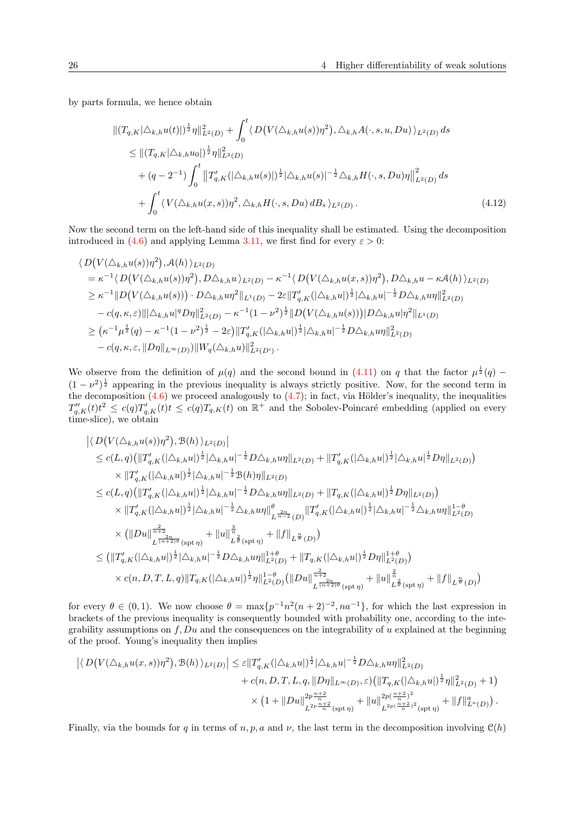by parts formula, we hence obtain

<span id="page-25-0"></span>
$$
\begin{split}\n\| (T_{q,K}|\triangle_{k,h}u(t)|)^{\frac{1}{2}}\eta \|_{L^{2}(D)}^{2} + \int_{0}^{t} \langle D\big(V(\triangle_{k,h}u(s))\eta^{2}\big), \triangle_{k,h}A(\cdot, s, u, Du)\,\rangle_{L^{2}(D)} \, ds \\
&\leq \| (T_{q,K}|\triangle_{k,h}u_{0}|)^{\frac{1}{2}}\eta \|_{L^{2}(D)}^{2} \\
&+ (q-2^{-1})\int_{0}^{t} \| T'_{q,K}(|\triangle_{k,h}u(s)|)^{\frac{1}{2}}|\triangle_{k,h}u(s)|^{-\frac{1}{2}}\triangle_{k,h}H(\cdot, s, Du)\eta \|_{L^{2}(D)}^{2} \, ds \\
&+ \int_{0}^{t} \langle V(\triangle_{k,h}u(x,s))\eta^{2}, \triangle_{k,h}H(\cdot, s, Du) \, dB_{s}\,\rangle_{L^{2}(D)} .\n\end{split} \tag{4.12}
$$

Now the second term on the left-hand side of this inequality shall be estimated. Using the decomposition introduced in [\(4.6\)](#page-18-1) and applying Lemma [3.11,](#page-12-1) we first find for every  $\varepsilon > 0$ :

$$
\langle D(V(\Delta_{k,h}u(s))\eta^{2}), \mathcal{A}(h)\rangle_{L^{2}(D)}=\kappa^{-1}\langle D(V(\Delta_{k,h}u(s))\eta^{2}), D\Delta_{k,h}u\rangle_{L^{2}(D)} - \kappa^{-1}\langle D(V(\Delta_{k,h}u(x,s))\eta^{2}), D\Delta_{k,h}u - \kappa\mathcal{A}(h)\rangle_{L^{2}(D)}\geq \kappa^{-1}||D(V(\Delta_{k,h}u(s)))\cdot D\Delta_{k,h}u\eta^{2}||_{L^{1}(D)} - 2\varepsilon||T'_{q,K}(|\Delta_{k,h}u|)^{\frac{1}{2}}|\Delta_{k,h}u|^{-\frac{1}{2}}D\Delta_{k,h}u\eta||_{L^{2}(D)}-c(q,\kappa,\varepsilon)|||\Delta_{k,h}u|^{q}D\eta||_{L^{2}(D)}^{2} - \kappa^{-1}(1-\nu^{2})^{\frac{1}{2}}||D(V(\Delta_{k,h}u(s)))||D\Delta_{k,h}u|\eta^{2}||_{L^{1}(D)}\geq (\kappa^{-1}\mu^{\frac{1}{2}}(q) - \kappa^{-1}(1-\nu^{2})^{\frac{1}{2}} - 2\varepsilon)||T'_{q,K}(|\Delta_{k,h}u|)^{\frac{1}{2}}|\Delta_{k,h}u|^{-\frac{1}{2}}D\Delta_{k,h}u\eta||_{L^{2}(D)}^{2}-c(q,\kappa,\varepsilon,||D\eta||_{L^{\infty}(D)})||W_{q}(\Delta_{k,h}u)||_{L^{2}(D')}^{2}.
$$

We observe from the definition of  $\mu(q)$  and the second bound in [\(4.11\)](#page-23-0) on q that the factor  $\mu^{\frac{1}{2}}(q)$  –  $(1 - \nu^2)^{\frac{1}{2}}$  appearing in the previous inequality is always strictly positive. Now, for the second term in the decomposition  $(4.6)$  we proceed analogously to  $(4.7)$ ; in fact, via Hölder's inequality, the inequalities  $T''_{q,K}(t)t^2 \leq c(q)T'_{q,K}(t)t \leq c(q)T_{q,K}(t)$  on  $\mathbb{R}^+$  and the Sobolev-Poincaré embedding (applied on every time-slice), we obtain

$$
\langle D(V(\Delta_{k,h}u(s))\eta^{2}),\mathcal{B}(h)\rangle_{L^{2}(D)}|
$$
\n
$$
\leq c(L,q)\left(\|T'_{q,K}(|\Delta_{k,h}u|)^{\frac{1}{2}}|\Delta_{k,h}u|^{-\frac{1}{2}}D\Delta_{k,h}u\eta\|_{L^{2}(D)}+\|T'_{q,K}(|\Delta_{k,h}u|)^{\frac{1}{2}}|\Delta_{k,h}u|^{\frac{1}{2}}D\eta\|_{L^{2}(D)}\right)
$$
\n
$$
\times\|T'_{q,K}(|\Delta_{k,h}u|)^{\frac{1}{2}}|\Delta_{k,h}u|^{-\frac{1}{2}}\mathcal{B}(h)\eta\|_{L^{2}(D)}
$$
\n
$$
\leq c(L,q)\left(\|T'_{q,K}(|\Delta_{k,h}u|)^{\frac{1}{2}}|\Delta_{k,h}u|^{-\frac{1}{2}}D\Delta_{k,h}u\eta\|_{L^{2}(D)}+\|T_{q,K}(|\Delta_{k,h}u|)^{\frac{1}{2}}D\eta\|_{L^{2}(D)}\right)
$$
\n
$$
\times\|T'_{q,K}(|\Delta_{k,h}u|)^{\frac{1}{2}}|\Delta_{k,h}u|^{-\frac{1}{2}}\Delta_{k,h}u\eta\|_{L^{2}(D)}^{\theta}+\|T'_{q,K}(|\Delta_{k,h}u|)^{\frac{1}{2}}|\Delta_{k,h}u|^{-\frac{1}{2}}\Delta_{k,h}u\eta\|_{L^{2}(D)}^{\theta}
$$
\n
$$
\times\left(\|Du\|_{L^{\frac{2}{n+2p}}(spt\eta)}^{\frac{2}{n+2p}}+\|u\|_{L^{\frac{2}{p}}(spt\eta)}^{\frac{2}{n}}+\|f\|_{L^{\frac{n}{p}}(D)}\right)
$$
\n
$$
\leq\left(\|T'_{q,K}(|\Delta_{k,h}u|)^{\frac{1}{2}}|\Delta_{k,h}u|^{-\frac{1}{2}}D\Delta_{k,h}u\eta\|_{L^{2}(D)}^{1+\theta}+\|T_{q,K}(|\Delta_{k,h}u|)^{\frac{1}{2}}D\eta\|_{L^{2}(D)}^{1+\theta}\right)
$$
\n
$$
\times c(n,D,T,L,q)\|T_{q,K}(|\Delta_{k,h}u|)^{\frac{1}{2}}\eta\|_{L^{2}(D)}^{1-\theta}\
$$

for every  $\theta \in (0,1)$ . We now choose  $\theta = \max\{p^{-1}n^2(n+2)^{-2}, na^{-1}\}\,$  for which the last expression in brackets of the previous inequality is consequently bounded with probability one, according to the integrability assumptions on  $f, Du$  and the consequences on the integrability of u explained at the beginning of the proof. Young's inequality then implies

$$
\left| \langle D(V(\triangle_{k,h}u(x,s))\eta^2), \mathcal{B}(h) \rangle_{L^2(D)} \right| \leq \varepsilon \|T'_{q,K}(|\triangle_{k,h}u|)^{\frac{1}{2}} |\triangle_{k,h}u|^{-\frac{1}{2}} D \triangle_{k,h}u \eta \|_{L^2(D)}^2 + c(n,D,T,L,q, \|D\eta\|_{L^\infty(D)}, \varepsilon) \left( \|T_{q,K}(|\triangle_{k,h}u|)^{\frac{1}{2}}\eta\|_{L^2(D)}^2 + 1 \right) \times \left(1 + \|Du\|_{L^{2p}\frac{n+2}{n}}^{2p\frac{n+2}{n}} (\text{spt}\,\eta) + \|u\|_{L^{2p}(\frac{n+2}{n})^2}^{2p(\frac{n+2}{n})^2} + \|f\|_{L^a(D)}^a \right).
$$

Finally, via the bounds for q in terms of n, p, a and  $\nu$ , the last term in the decomposition involving  $\mathcal{C}(h)$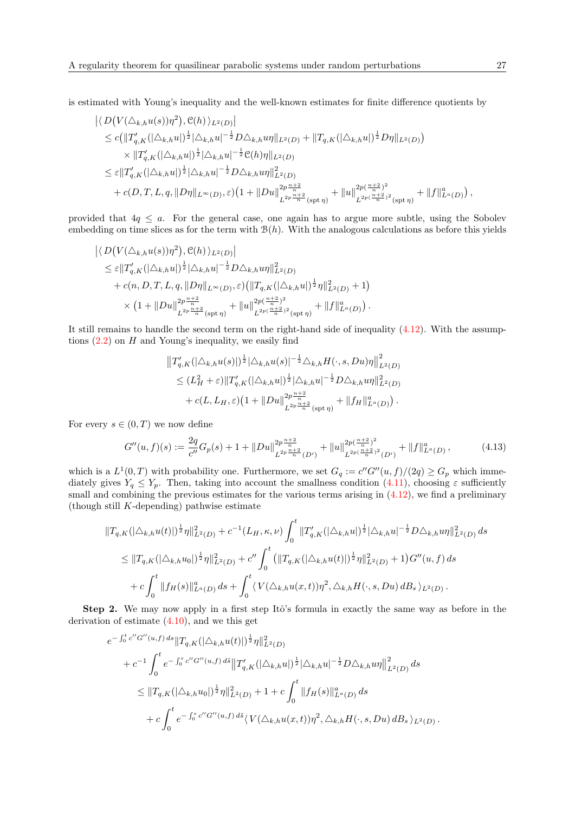is estimated with Young's inequality and the well-known estimates for finite difference quotients by

$$
\langle D(V(\triangle_{k,h}u(s))\eta^{2}), \mathcal{C}(h) \rangle_{L^{2}(D)}|
$$
\n
$$
\leq c(\|T'_{q,K}(|\triangle_{k,h}u|)^{\frac{1}{2}}|\triangle_{k,h}u|^{-\frac{1}{2}}D\triangle_{k,h}u\eta\|_{L^{2}(D)} + \|T_{q,K}(|\triangle_{k,h}u|)^{\frac{1}{2}}D\eta\|_{L^{2}(D)})
$$
\n
$$
\times \|T'_{q,K}(|\triangle_{k,h}u|)^{\frac{1}{2}}|\triangle_{k,h}u|^{-\frac{1}{2}}\mathcal{C}(h)\eta\|_{L^{2}(D)}
$$
\n
$$
\leq \varepsilon \|T'_{q,K}(|\triangle_{k,h}u|)^{\frac{1}{2}}|\triangle_{k,h}u|^{-\frac{1}{2}}D\triangle_{k,h}u\eta\|_{L^{2}(D)}^{2}
$$
\n
$$
+ c(D,T,L,q,\|D\eta\|_{L^{\infty}(D)},\varepsilon)(1+\|D u\|_{L^{2p}\frac{n+2}{n}}^{2p+\frac{n+2}{n}}(\text{spt}\,\eta)} + \|u\|_{L^{2p(\frac{n+2}{n})^{2}}(\text{spt}\,\eta)}^{2p+\frac{n+2}{n}} + \|f\|_{L^{a}(D)}^{a}),
$$

provided that  $4q \leq a$ . For the general case, one again has to argue more subtle, using the Sobolev embedding on time slices as for the term with  $B(h)$ . With the analogous calculations as before this yields

$$
\langle D(V(\triangle_{k,h}u(s))\eta^2), \mathcal{C}(h) \rangle_{L^2(D)}|
$$
  
\n
$$
\leq \varepsilon ||T'_{q,K}(|\triangle_{k,h}u|)^{\frac{1}{2}} |\triangle_{k,h}u|^{-\frac{1}{2}} D \triangle_{k,h}u \eta ||_{L^2(D)}^2
$$
  
\n
$$
+ c(n, D, T, L, q, ||D\eta||_{L^{\infty}(D)}, \varepsilon) (||T_{q,K}(|\triangle_{k,h}u|)^{\frac{1}{2}} \eta ||_{L^2(D)}^2 + 1)
$$
  
\n
$$
\times (1 + ||Du||_{L^{2p}\frac{n+2}{n}}^{2p\frac{n+2}{n}} (\text{spt}\,\eta)} + ||u||_{L^{2p(\frac{n+2}{n})^2}^{2p(\frac{n+2}{n})^2} (\text{spt}\,\eta)} + ||f||_{L^a(D)}^a).
$$

 $\sim$ 

It still remains to handle the second term on the right-hand side of inequality [\(4.12\)](#page-25-0). With the assumptions  $(2.2)$  on  $H$  and Young's inequality, we easily find

$$
||T'_{q,K}(|\triangle_{k,h}u(s)||)^{\frac{1}{2}}|\triangle_{k,h}u(s)|^{-\frac{1}{2}}\triangle_{k,h}H(\cdot,s,Du)\eta||_{L^2(D)}^2
$$
  
\n
$$
\leq (L_H^2+\varepsilon)||T'_{q,K}(|\triangle_{k,h}u|)^{\frac{1}{2}}|\triangle_{k,h}u|^{-\frac{1}{2}}D\triangle_{k,h}u\eta||_{L^2(D)}^2
$$
  
\n
$$
+ c(L,L_H,\varepsilon)(1+||Du||_{L^{2p}\frac{n+2}{n}}^{2p\frac{n+2}{n}}(\text{spt}\,\eta)}+||f_H||_{L^{\alpha}(D)}^{\alpha}).
$$

For every  $s \in (0, T)$  we now define

<span id="page-26-0"></span>
$$
G''(u,f)(s) := \frac{2q}{c''}G_p(s) + 1 + ||Du||_{L^{2p}\frac{n+2}{n}(D')}^{2p\frac{n+2}{n}} + ||u||_{L^{2p(\frac{n+2}{n})^2}(D')}^{2p(\frac{n+2}{n})^2} + ||f||_{L^a(D)}^a, \tag{4.13}
$$

which is a  $L^1(0,T)$  with probability one. Furthermore, we set  $G_q := c''G''(u, f)/(2q) \geq G_p$  which immediately gives  $Y_q \leq Y_p$ . Then, taking into account the smallness condition [\(4.11\)](#page-23-0), choosing  $\varepsilon$  sufficiently small and combining the previous estimates for the various terms arising in  $(4.12)$ , we find a preliminary (though still K-depending) pathwise estimate

$$
\begin{split} \|T_{q,K}(|\triangle_{k,h}u(t)|)^{\frac{1}{2}}\eta\|^{2}_{L^{2}(D)}+c^{-1}(L_{H},\kappa,\nu)\int_{0}^{t} \|T'_{q,K}(|\triangle_{k,h}u|)^{\frac{1}{2}}|\triangle_{k,h}u|^{-\frac{1}{2}}D\triangle_{k,h}u\eta\|^{2}_{L^{2}(D)}ds\\ &\leq \|T_{q,K}(|\triangle_{k,h}u_{0}|)^{\frac{1}{2}}\eta\|^{2}_{L^{2}(D)}+c''\int_{0}^{t} (\|T_{q,K}(|\triangle_{k,h}u(t)|)^{\frac{1}{2}}\eta\|^{2}_{L^{2}(D)}+1)G''(u,f)ds\\ &+c\int_{0}^{t} \|f_{H}(s)\|^{a}_{L^{a}(D)}ds+\int_{0}^{t} \langle V(\triangle_{k,h}u(x,t))\eta^{2},\triangle_{k,h}H(\cdot,s,Du)\,dB_{s}\,\rangle_{L^{2}(D)}\,. \end{split}
$$

Step 2. We may now apply in a first step Itô's formula in exactly the same way as before in the derivation of estimate [\(4.10\)](#page-20-0), and we this get

$$
e^{-\int_0^t c''G''(u,f) ds} \|T_{q,K}(|\triangle_{k,h} u(t)|)^{\frac{1}{2}} \eta\|_{L^2(D)}^2
$$
  
+  $c^{-1} \int_0^t e^{-\int_0^s c''G''(u,f) ds} \|T'_{q,K}(|\triangle_{k,h} u|)^{\frac{1}{2}} |\triangle_{k,h} u|^{-\frac{1}{2}} D \triangle_{k,h} u \eta\|_{L^2(D)}^2 ds$   
 $\leq \|T_{q,K}(|\triangle_{k,h} u_0|)^{\frac{1}{2}} \eta\|_{L^2(D)}^2 + 1 + c \int_0^t \|f_H(s)\|_{L^a(D)}^a ds$   
+  $c \int_0^t e^{-\int_0^s c''G''(u,f) ds} \langle V(\triangle_{k,h} u(x,t)) \eta^2, \triangle_{k,h} H(\cdot, s, Du) dB_s \rangle_{L^2(D)}.$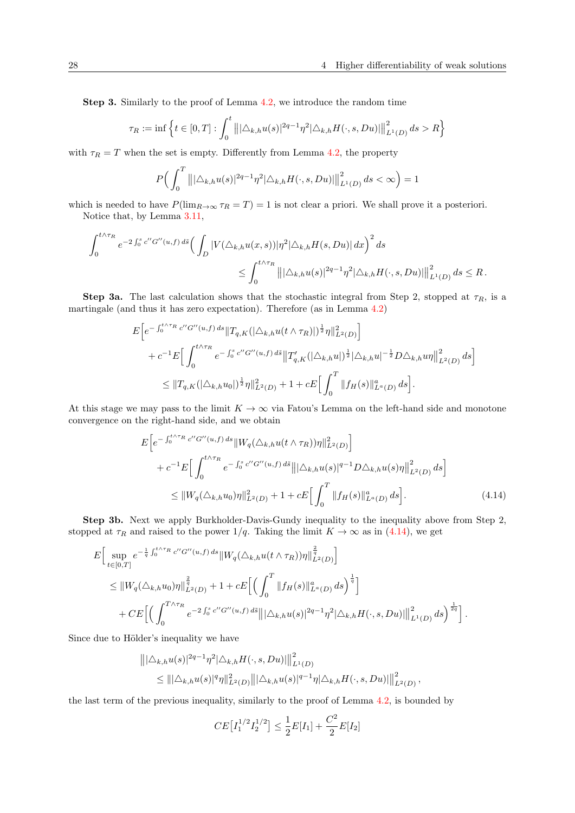Step 3. Similarly to the proof of Lemma [4.2,](#page-17-0) we introduce the random time

$$
\tau_R := \inf \left\{ t \in [0, T] : \int_0^t |||\triangle_{k,h} u(s)|^{2q-1} \eta^2 |\triangle_{k,h} H(\cdot, s, Du)| ||^2_{L^1(D)} ds > R \right\}
$$

with  $\tau_R = T$  when the set is empty. Differently from Lemma [4.2,](#page-17-0) the property

$$
P\Big(\int_0^T \||\Delta_{k,h}u(s)|^{2q-1}\eta^2|\Delta_{k,h}H(\cdot,s,Du)|\big\|_{L^1(D)}^2 ds < \infty\Big) = 1
$$

which is needed to have  $P(\lim_{R\to\infty} \tau_R = T) = 1$  is not clear a priori. We shall prove it a posteriori. Notice that, by Lemma [3.11,](#page-12-1)

$$
\int_0^{t \wedge \tau_R} e^{-2 \int_0^s c'' G''(u,f) d\tilde{s}} \Big( \int_D |V(\triangle_{k,h} u(x,s))| \eta^2 |\triangle_{k,h} H(s,Du)| dx \Big)^2 ds
$$
  

$$
\leq \int_0^{t \wedge \tau_R} |||\triangle_{k,h} u(s)|^{2q-1} \eta^2 |\triangle_{k,h} H(\cdot,s,Du)| ||^2_{L^1(D)} ds \leq R.
$$

**Step 3a.** The last calculation shows that the stochastic integral from Step 2, stopped at  $\tau_R$ , is a martingale (and thus it has zero expectation). Therefore (as in Lemma [4.2\)](#page-17-0)

$$
E\bigg[e^{-\int_0^{t\wedge\tau_R} c''G''(u,f)\,ds}\|T_{q,K}(|\triangle_{k,h}u(t\wedge\tau_R)|)^{\frac{1}{2}}\eta\|_{L^2(D)}^2\bigg] + c^{-1}E\bigg[\int_0^{t\wedge\tau_R} e^{-\int_0^s c''G''(u,f)\,d\tilde{s}}\|T'_{q,K}(|\triangle_{k,h}u|)^{\frac{1}{2}}|\triangle_{k,h}u|^{-\frac{1}{2}}D\triangle_{k,h}u\eta\|_{L^2(D)}^2\,ds\bigg] \leq \|T_{q,K}(|\triangle_{k,h}u_0|)^{\frac{1}{2}}\eta\|_{L^2(D)}^2 + 1 + cE\bigg[\int_0^T \|f_H(s)\|_{L^{\alpha}(D)}^a\,ds\bigg].
$$

At this stage we may pass to the limit  $K \to \infty$  via Fatou's Lemma on the left-hand side and monotone convergence on the right-hand side, and we obtain

<span id="page-27-0"></span>
$$
E\bigg[e^{-\int_0^{t\wedge\tau_R} c''G''(u,f) ds} \|W_q(\Delta_{k,h}u(t\wedge\tau_R))\eta\|_{L^2(D)}^2\bigg] + c^{-1}E\bigg[\int_0^{t\wedge\tau_R} e^{-\int_0^s c''G''(u,f) ds} \|\|\Delta_{k,h}u(s)\|^{q-1} D\Delta_{k,h}u(s)\eta\|_{L^2(D)}^2 ds\bigg] \leq \|W_q(\Delta_{k,h}u_0)\eta\|_{L^2(D)}^2 + 1 + cE\bigg[\int_0^T \|f_H(s)\|_{L^{\alpha}(D)}^a ds\bigg].
$$
\n(4.14)

Step 3b. Next we apply Burkholder-Davis-Gundy inequality to the inequality above from Step 2, stopped at  $\tau_R$  and raised to the power  $1/q$ . Taking the limit  $K \to \infty$  as in [\(4.14\)](#page-27-0), we get

$$
E\Big[\sup_{t\in[0,T]}e^{-\frac{1}{q}\int_0^{t\wedge\tau_R}c''G''(u,f)\,ds}\|W_q(\Delta_{k,h}u(t\wedge\tau_R))\eta\|_{L^2(D)}^{\frac{2}{q}}\Big]
$$
  
\n
$$
\leq \|W_q(\Delta_{k,h}u_0)\eta\|_{L^2(D)}^{\frac{2}{q}} + 1 + cE\Big[\Big(\int_0^T \|f_H(s)\|_{L^{\alpha}(D)}^{\alpha}ds\Big)^{\frac{1}{q}}\Big]
$$
  
\n
$$
+ CE\Big[\Big(\int_0^{T\wedge\tau_R}e^{-2\int_0^sc''G''(u,f)\,d\tilde{s}}\big\||\Delta_{k,h}u(s)|^{2q-1}\eta^2|\Delta_{k,h}H(\cdot,s,Du)|\Big\|_{L^1(D)}^2\,ds\Big)^{\frac{1}{2q}}\Big].
$$

Since due to Hölder's inequality we have

$$
\|\|\Delta_{k,h}u(s)\|^{2q-1}\eta^{2}\|\Delta_{k,h}H(\cdot,s,Du)\|\|_{L^{1}(D)}^{2}
$$
  

$$
\leq \|\|\Delta_{k,h}u(s)\|^{q}\eta\|_{L^{2}(D)}^{2}\|\|\Delta_{k,h}u(s)\|^{q-1}\eta\|\Delta_{k,h}H(\cdot,s,Du)\|\|_{L^{2}(D)}^{2},
$$

the last term of the previous inequality, similarly to the proof of Lemma [4.2,](#page-17-0) is bounded by

$$
CE\left[I_1^{1/2}I_2^{1/2}\right] \le \frac{1}{2}E[I_1] + \frac{C^2}{2}E[I_2]
$$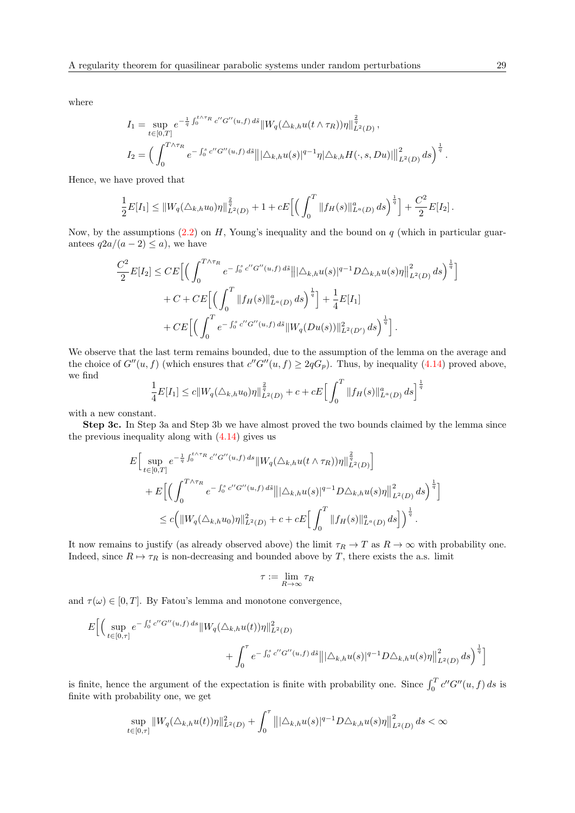where

$$
I_1 = \sup_{t \in [0,T]} e^{-\frac{1}{q} \int_0^{t \wedge \tau_R} c'' G''(u,f) d\tilde{s}} \|W_q(\triangle_{k,h} u(t \wedge \tau_R))\eta\|_{L^2(D)}^{\frac{2}{q}},
$$
  

$$
I_2 = \left(\int_0^{T \wedge \tau_R} e^{-\int_0^s c'' G''(u,f) d\tilde{s}} \|\|\triangle_{k,h} u(s)\|^{q-1} \eta \|\triangle_{k,h} H(\cdot,s,Du)\|\|_{L^2(D)}^2 ds\right)^{\frac{1}{q}}.
$$

Hence, we have proved that

$$
\frac{1}{2}E[I_1] \leq ||W_q(\triangle_{k,h} u_0)\eta||_{L^2(D)}^{\frac{2}{q}} + 1 + cE\Big[\Big(\int_0^T ||f_H(s)||_{L^{\alpha}(D)}^{\alpha} ds\Big)^{\frac{1}{q}}\Big] + \frac{C^2}{2}E[I_2].
$$

Now, by the assumptions  $(2.2)$  on H, Young's inequality and the bound on q (which in particular guarantees  $q2a/(a-2) \leq a$ , we have

$$
\frac{C^2}{2}E[I_2] \leq CE \Big[ \Big( \int_0^{T \wedge \tau_R} e^{-\int_0^s c'' G''(u,f) \, d\tilde{s}} \big\| |\triangle_{k,h} u(s)|^{q-1} D \triangle_{k,h} u(s) \eta \big\|_{L^2(D)}^2 \, ds \Big)^{\frac{1}{q}} \Big] \n+ C + CE \Big[ \Big( \int_0^T \|f_H(s)\|_{L^a(D)}^a \, ds \Big)^{\frac{1}{q}} \Big] + \frac{1}{4} E[I_1] \n+ CE \Big[ \Big( \int_0^T e^{-\int_0^s c'' G''(u,f) \, d\tilde{s}} \|W_q(Du(s))\|_{L^2(D')}^2 \, ds \Big)^{\frac{1}{q}} \Big].
$$

We observe that the last term remains bounded, due to the assumption of the lemma on the average and the choice of  $G''(u, f)$  (which ensures that  $c''G''(u, f) \geq 2qG_p$ ). Thus, by inequality [\(4.14\)](#page-27-0) proved above, we find

$$
\frac{1}{4}E[I_1] \le c||W_q(\triangle_{k,h}u_0)\eta||_{L^2(D)}^{\frac{2}{q}} + c + cE\Big[\int_0^T ||f_H(s)||_{L^a(D)}^a ds\Big]^{\frac{1}{q}}
$$

with a new constant.

Step 3c. In Step 3a and Step 3b we have almost proved the two bounds claimed by the lemma since the previous inequality along with [\(4.14\)](#page-27-0) gives us

$$
E\Big[\sup_{t\in[0,T]}e^{-\frac{1}{q}\int_0^{t\wedge\tau_R}c''G''(u,f)\,ds}\|W_q(\triangle_{k,h}u(t\wedge\tau_R))\eta\|_{L^2(D)}^{\frac{2}{q}}\Big] +E\Big[\Big(\int_0^{T\wedge\tau_R}e^{-\int_0^sc''G''(u,f)\,d\tilde{s}}\|\triangle_{k,h}u(s)|^{q-1}D\triangle_{k,h}u(s)\eta\|_{L^2(D)}^2\,ds\Big)^{\frac{1}{q}}\Big] \leq c\Big(\|W_q(\triangle_{k,h}u_0)\eta\|_{L^2(D)}^2+c+cE\Big[\int_0^T\|f_H(s)\|_{L^a(D)}^a\,ds\Big]\Big)^{\frac{1}{q}}.
$$

It now remains to justify (as already observed above) the limit  $\tau_R \to T$  as  $R \to \infty$  with probability one. Indeed, since  $R \mapsto \tau_R$  is non-decreasing and bounded above by T, there exists the a.s. limit

$$
\tau := \lim_{R \to \infty} \tau_R
$$

and  $\tau(\omega) \in [0, T]$ . By Fatou's lemma and monotone convergence,

$$
E\bigg[\bigg(\sup_{t\in[0,\tau]}e^{-\int_0^t c''G''(u,f)\,ds}\|W_q(\triangle_{k,h}u(t))\eta\|_{L^2(D)}^2 + \int_0^\tau e^{-\int_0^s c''G''(u,f)\,d\tilde{s}}\big\||\triangle_{k,h}u(s)|^{q-1}D\triangle_{k,h}u(s)\eta\big\|_{L^2(D)}^2\,ds\bigg)^{\frac{1}{q}}\bigg]
$$

is finite, hence the argument of the expectation is finite with probability one. Since  $\int_0^T c''G''(u, f) ds$  is finite with probability one, we get

$$
\sup_{t\in[0,\tau]} \|W_q(\triangle_{k,h} u(t))\eta\|_{L^2(D)}^2 + \int_0^\tau \left\| |\triangle_{k,h} u(s)|^{q-1} D\triangle_{k,h} u(s)\eta \right\|_{L^2(D)}^2 ds < \infty
$$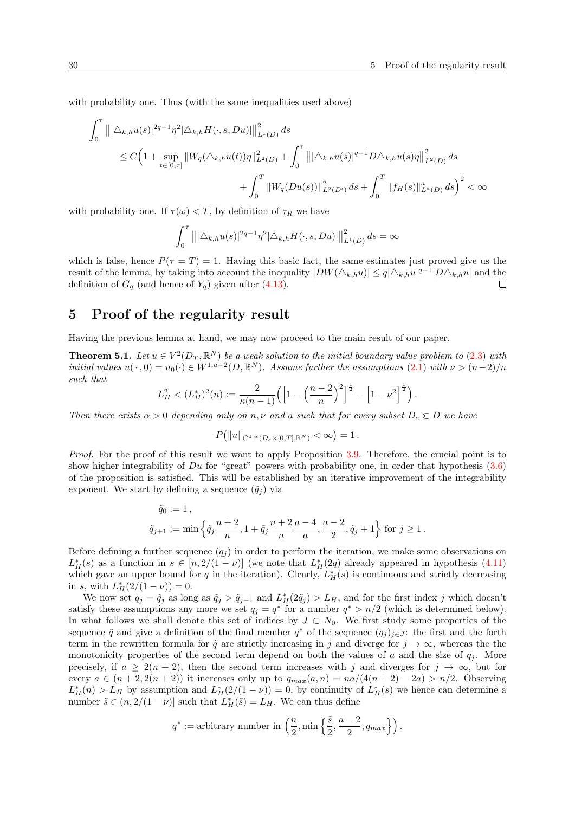with probability one. Thus (with the same inequalities used above)

$$
\int_0^{\tau} |||\Delta_{k,h} u(s)|^{2q-1} \eta^2 |\Delta_{k,h} H(\cdot, s, Du)||_{L^1(D)}^2 ds
$$
\n
$$
\leq C \Big( 1 + \sup_{t \in [0,\tau]} ||W_q(\Delta_{k,h} u(t))\eta||_{L^2(D)}^2 + \int_0^{\tau} |||\Delta_{k,h} u(s)|^{q-1} D\Delta_{k,h} u(s)\eta||_{L^2(D)}^2 ds
$$
\n
$$
+ \int_0^T ||W_q(Du(s))||_{L^2(D')}^2 ds + \int_0^T ||f_H(s)||_{L^{\alpha}(D)}^{\alpha} ds \Big)^2 < \infty
$$

with probability one. If  $\tau(\omega) < T$ , by definition of  $\tau_R$  we have

$$
\int_0^{\tau} |||\triangle_{k,h} u(s)|^{2q-1} \eta^2 |\triangle_{k,h} H(\cdot, s, Du)||_{L^1(D)}^2 ds = \infty
$$

which is false, hence  $P(\tau = T) = 1$ . Having this basic fact, the same estimates just proved give us the result of the lemma, by taking into account the inequality  $|DW(\Delta_{k,h}u)| \leq q |\Delta_{k,h}u|^{q-1} |D\Delta_{k,h}u|$  and the definition of  $G_q$  (and hence of  $Y_q$ ) given after [\(4.13\)](#page-26-0).  $\Box$ 

## 5 Proof of the regularity result

Having the previous lemma at hand, we may now proceed to the main result of our paper.

<span id="page-29-0"></span>**Theorem 5.1.** Let  $u \in V^2(D_T, \mathbb{R}^N)$  be a weak solution to the initial boundary value problem to [\(2.3\)](#page-5-0) with initial values  $u(\cdot,0) = u_0(\cdot) \in W^{1,a-2}(D,\mathbb{R}^N)$ . Assume further the assumptions  $(2.1)$  with  $\nu > (n-2)/n$ such that

$$
L_H^2 < (L_H^*)^2(n) := \frac{2}{\kappa(n-1)} \left( \left[ 1 - \left( \frac{n-2}{n} \right)^2 \right]^{\frac{1}{2}} - \left[ 1 - \nu^2 \right]^{\frac{1}{2}} \right).
$$

Then there exists  $\alpha > 0$  depending only on n, v and a such that for every subset  $D_c \in D$  we have

$$
P(||u||_{C^{0,\alpha}(D_c \times [0,T],\mathbb{R}^N)} < \infty) = 1.
$$

Proof. For the proof of this result we want to apply Proposition [3.9.](#page-11-0) Therefore, the crucial point is to show higher integrability of  $Du$  for "great" powers with probability one, in order that hypothesis  $(3.6)$ of the proposition is satisfied. This will be established by an iterative improvement of the integrability exponent. We start by defining a sequence  $(\tilde{q}_i)$  via

$$
\tilde{q}_0 := 1 ,
$$
\n
$$
\tilde{q}_{j+1} := \min \left\{ \tilde{q}_j \frac{n+2}{n}, 1 + \tilde{q}_j \frac{n+2}{n} \frac{a-4}{n}, \frac{a-2}{2}, \tilde{q}_j + 1 \right\} \text{ for } j \ge 1.
$$

Before defining a further sequence  $(q_i)$  in order to perform the iteration, we make some observations on  $L_H^*(s)$  as a function in  $s \in [n, 2/(1-\nu)]$  (we note that  $L_H^*(2q)$  already appeared in hypothesis [\(4.11\)](#page-23-0) which gave an upper bound for q in the iteration). Clearly,  $L_H^*(s)$  is continuous and strictly decreasing in s, with  $L_H^*(2/(1-\nu)) = 0$ .

We now set  $q_j = \tilde{q}_j$  as long as  $\tilde{q}_j > \tilde{q}_{j-1}$  and  $L_H^*(2\tilde{q}_j) > L_H$ , and for the first index j which doesn't satisfy these assumptions any more we set  $q_j = q^*$  for a number  $q^* > n/2$  (which is determined below). In what follows we shall denote this set of indices by  $J \subset N_0$ . We first study some properties of the sequence  $\tilde{q}$  and give a definition of the final member  $q^*$  of the sequence  $(q_j)_{j\in J}$ : the first and the forth term in the rewritten formula for  $\tilde{q}$  are strictly increasing in j and diverge for  $j \to \infty$ , whereas the the monotonicity properties of the second term depend on both the values of a and the size of  $q_i$ . More precisely, if  $a \geq 2(n+2)$ , then the second term increases with j and diverges for  $j \to \infty$ , but for every  $a \in (n+2, 2(n+2))$  it increases only up to  $q_{max}(a, n) = na/(4(n+2) - 2a) > n/2$ . Observing  $L_H^*(n) > L_H$  by assumption and  $L_H^*(2/(1-\nu)) = 0$ , by continuity of  $L_H^*(s)$  we hence can determine a number  $\tilde{s} \in (n, 2/(1 - \nu))$  such that  $L_H^*(\tilde{s}) = L_H$ . We can thus define

$$
q^* := \text{arbitrary number in } \left( \frac{n}{2}, \min \left\{ \frac{\tilde{s}}{2}, \frac{a-2}{2}, q_{max} \right\} \right).
$$

 $\overline{r}$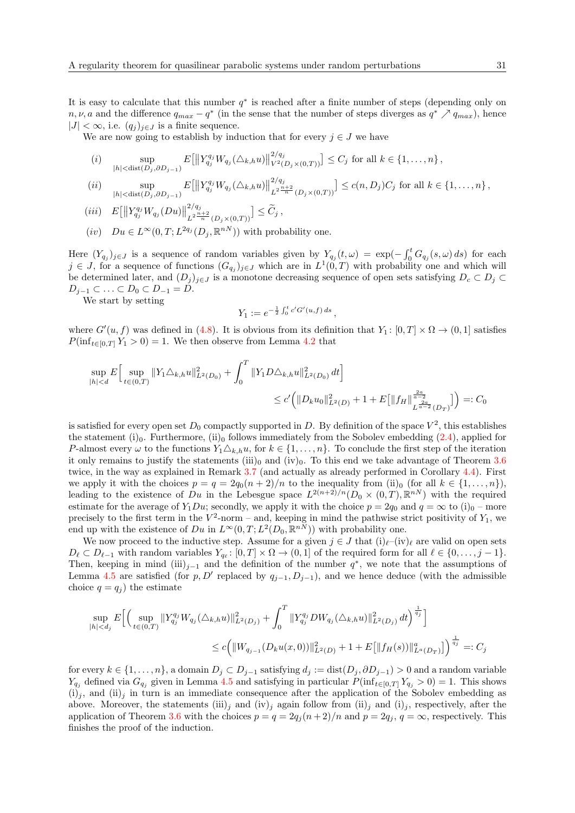It is easy to calculate that this number  $q^*$  is reached after a finite number of steps (depending only on  $n, \nu, a$  and the difference  $q_{max} - q^*$  (in the sense that the number of steps diverges as  $q^* \nearrow q_{max}$ ), hence  $|J| < \infty$ , i.e.  $(q_j)_{j \in J}$  is a finite sequence.

We are now going to establish by induction that for every  $j \in J$  we have

(i) 
$$
\sup_{|h| < \text{dist}(D_j, \partial D_{j-1})} E[||Y_{q_j}^{q_j} W_{q_j}(\Delta_{k,h} u)||_{V^2(D_j \times (0,T))}^2] \leq C_j \text{ for all } k \in \{1, ..., n\},
$$

 $(ii)$  sup  $|h|<\text{dist}(D_j,\partial D_{j-1})$  $E[\left\|Y_{q_j}^{q_j}W_{q_j}(\triangle_{k,h}u)\right\|]$  $2/q_j$  $\left[\frac{L^{2}\frac{n+2}{n}}{L^{2}\frac{n+2}{n}}(D_j\times(0,T))\right] \leq c(n,D_j)C_j \text{ for all } k\in\{1,\ldots,n\}\, ,$ 

$$
(iii) \quad E\big[\big\|Y_{q_j}^{q_j}W_{q_j}(Du)\big\|_{L^2^{\frac{n+2}{n}}(D_j\times(0,T))}^{2/q_j}\big]\leq \widetilde{C}_j\,,
$$

 $(iv)$   $Du \in L^{\infty}(0,T; L^{2q_j}(D_j,\mathbb{R}^{nN}))$  with probability one.

Here  $(Y_{q_j})_{j\in J}$  is a sequence of random variables given by  $Y_{q_j}(t,\omega) = \exp(-\int_0^t G_{q_j}(s,\omega) ds)$  for each  $j \in J$ , for a sequence of functions  $(G_{q_j})_{j \in J}$  which are in  $L^1(0,T)$  with probability one and which will be determined later, and  $(D_j)_{j\in J}$  is a monotone decreasing sequence of open sets satisfying  $D_c \subset D_j \subset$  $D_{i-1} \subset \ldots \subset D_0 \subset D_{-1} = D.$ 

We start by setting

$$
Y_1 := e^{-\frac{1}{2} \int_0^t c' G'(u, f) ds},
$$

where  $G'(u, f)$  was defined in [\(4.8\)](#page-19-0). It is obvious from its definition that  $Y_1: [0, T] \times \Omega \to (0, 1]$  satisfies  $P(\inf_{t\in[0,T]} Y_1 > 0) = 1.$  We then observe from Lemma [4.2](#page-17-0) that

$$
\sup_{|h|  

$$
\leq c' \Big(\|D_k u_0\|_{L^2(D)}^2 + 1 + E\big[\|f_H\|_{L^{\frac{2a}{a-2}}(D_T)}^{\frac{2a}{a-2}}\big]\Big) =: C_0
$$
$$

is satisfied for every open set  $D_0$  compactly supported in D. By definition of the space  $V^2$ , this establishes the statement (i)<sub>0</sub>. Furthermore, (ii)<sub>0</sub> follows immediately from the Sobolev embedding  $(2.4)$ , applied for P-almost every  $\omega$  to the functions  $Y_1 \triangle_{k,h} u$ , for  $k \in \{1, \ldots, n\}$ . To conclude the first step of the iteration it only remains to justify the statements (iii)<sub>0</sub> and (iv)<sub>0</sub>. To this end we take advantage of Theorem [3.6](#page-8-0) twice, in the way as explained in Remark [3.7](#page-9-2) (and actually as already performed in Corollary [4.4\)](#page-22-0). First we apply it with the choices  $p = q = 2q_0(n+2)/n$  to the inequality from (ii)<sub>0</sub> (for all  $k \in \{1, ..., n\}$ ), leading to the existence of Du in the Lebesgue space  $L^{2(n+2)/n}(D_0 \times (0,T),\mathbb{R}^{nN})$  with the required estimate for the average of  $Y_1Du$ ; secondly, we apply it with the choice  $p = 2q_0$  and  $q = \infty$  to  $(i)_0$  – more precisely to the first term in the  $V^2$ -norm – and, keeping in mind the pathwise strict positivity of  $Y_1$ , we end up with the existence of  $Du$  in  $L^{\infty}(0,T; L^2(D_0,\mathbb{R}^{nN}))$  with probability one.

We now proceed to the inductive step. Assume for a given  $j \in J$  that  $(i)_{\ell}-(iv)_{\ell}$  are valid on open sets  $D_\ell \subset D_{\ell-1}$  with random variables  $Y_{q_\ell} : [0, T] \times \Omega \to (0, 1]$  of the required form for all  $\ell \in \{0, \ldots, j-1\}.$ Then, keeping in mind (iii)<sub>j−1</sub> and the definition of the number  $q^*$ , we note that the assumptions of Lemma [4.5](#page-23-1) are satisfied (for p, D' replaced by  $q_{j-1}, D_{j-1}$ ), and we hence deduce (with the admissible choice  $q = q_i$ ) the estimate

$$
\sup_{|h| < d_j} E\Big[\Big(\sup_{t \in (0,T)} \|Y_{q_j}^{q_j} W_{q_j}(\Delta_{k,h} u)\|_{L^2(D_j)}^2 + \int_0^T \|Y_{q_j}^{q_j} DW_{q_j}(\Delta_{k,h} u)\|_{L^2(D_j)}^2 dt\Big)^{\frac{1}{q_j}}\Big] \leq c \Big(\|W_{q_{j-1}}(D_k u(x,0))\|_{L^2(D)}^2 + 1 + E\big[\|f_H(s)\|_{L^a(D_T)}^a\big]\Big)^{\frac{1}{q_j}} =: C_j
$$

for every  $k \in \{1, \ldots, n\}$ , a domain  $D_i \subset D_{i-1}$  satisfying  $d_i := \text{dist}(D_i, \partial D_{i-1}) > 0$  and a random variable  $Y_{q_j}$  defined via  $G_{q_j}$  given in Lemma [4.5](#page-23-1) and satisfying in particular  $P(\inf_{t\in[0,T]} Y_{q_j} > 0) = 1$ . This shows  $(i)_j$ , and  $(ii)_j$  in turn is an immediate consequence after the application of the Sobolev embedding as above. Moreover, the statements (iii)<sub>j</sub> and (iv)<sub>j</sub> again follow from (ii)<sub>j</sub> and (i)<sub>j</sub>, respectively, after the application of Theorem [3.6](#page-8-0) with the choices  $p = q = 2q_j(n+2)/n$  and  $p = 2q_j, q = \infty$ , respectively. This finishes the proof of the induction.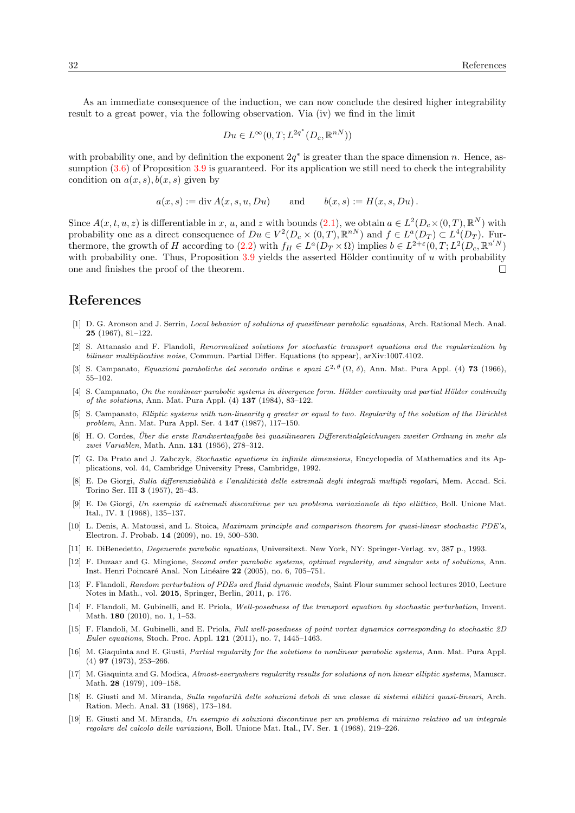As an immediate consequence of the induction, we can now conclude the desired higher integrability result to a great power, via the following observation. Via (iv) we find in the limit

$$
Du \in L^{\infty}(0,T; L^{2q^*}(D_c, \mathbb{R}^{nN}))
$$

with probability one, and by definition the exponent  $2q^*$  is greater than the space dimension n. Hence, assumption  $(3.6)$  of Proposition  $3.9$  is guaranteed. For its application we still need to check the integrability condition on  $a(x, s)$ ,  $b(x, s)$  given by

$$
a(x, s) := \text{div } A(x, s, u, Du) \quad \text{and} \quad b(x, s) := H(x, s, Du).
$$

Since  $A(x, t, u, z)$  is differentiable in x, u, and z with bounds  $(2.1)$ , we obtain  $a \in L^2(D_c \times (0, T), \mathbb{R}^N)$  with probability one as a direct consequence of  $Du \in V^2(D_c \times (0,T), \mathbb{R}^{nN})$  and  $f \in L^a(D_T) \subset L^4(D_T)$ . Fur-thermore, the growth of H according to [\(2.2\)](#page-5-2) with  $f_H \in L^a(D_T \times \Omega)$  implies  $b \in L^{2+\varepsilon}(0,T;L^2(D_c, \mathbb{R}^{n'N})$ with probability one. Thus, Proposition  $3.9$  yields the asserted Hölder continuity of u with probability one and finishes the proof of the theorem.  $\Box$ 

## References

- <span id="page-31-7"></span>[1] D. G. Aronson and J. Serrin, Local behavior of solutions of quasilinear parabolic equations, Arch. Rational Mech. Anal. 25 (1967), 81–122.
- <span id="page-31-17"></span>[2] S. Attanasio and F. Flandoli, Renormalized solutions for stochastic transport equations and the regularization by bilinear multiplicative noise, Commun. Partial Differ. Equations (to appear), arXiv:1007.4102.
- <span id="page-31-12"></span>[3] S. Campanato, Equazioni paraboliche del secondo ordine e spazi  $\mathcal{L}^{2,\theta}(\Omega,\delta)$ , Ann. Mat. Pura Appl. (4) 73 (1966), 55–102.
- <span id="page-31-10"></span> $[4]$  S. Campanato, On the nonlinear parabolic systems in divergence form. Hölder continuity and partial Hölder continuity of the solutions, Ann. Mat. Pura Appl. (4) 137 (1984), 83–122.
- <span id="page-31-4"></span>[5] S. Campanato, Elliptic systems with non-linearity q greater or equal to two. Regularity of the solution of the Dirichlet problem, Ann. Mat. Pura Appl. Ser. 4 147 (1987), 117–150.
- <span id="page-31-6"></span>[6] H. O. Cordes, Uber die erste Randwertaufgabe bei quasilinearen Differentialgleichungen zweiter Ordnung in mehr als ¨ zwei Variablen, Math. Ann. 131 (1956), 278–312.
- <span id="page-31-18"></span>[7] G. Da Prato and J. Zabczyk, Stochastic equations in infinite dimensions, Encyclopedia of Mathematics and its Applications, vol. 44, Cambridge University Press, Cambridge, 1992.
- <span id="page-31-0"></span>[8] E. De Giorgi, Sulla differenziabilità e l'analiticità delle estremali degli integrali multipli regolari, Mem. Accad. Sci. Torino Ser. III 3 (1957), 25–43.
- <span id="page-31-1"></span>[9] E. De Giorgi, Un esempio di estremali discontinue per un problema variazionale di tipo ellittico, Boll. Unione Mat. Ital., IV. 1 (1968), 135–137.
- <span id="page-31-13"></span>[10] L. Denis, A. Matoussi, and L. Stoica, Maximum principle and comparison theorem for quasi-linear stochastic PDE's, Electron. J. Probab. 14 (2009), no. 19, 500–530.
- <span id="page-31-11"></span>[11] E. DiBenedetto, Degenerate parabolic equations, Universitext. New York, NY: Springer-Verlag. xv, 387 p., 1993.
- <span id="page-31-8"></span>[12] F. Duzaar and G. Mingione, Second order parabolic systems, optimal regularity, and singular sets of solutions, Ann. Inst. Henri Poincaré Anal. Non Linéaire 22 (2005), no. 6, 705–751.
- <span id="page-31-14"></span>[13] F. Flandoli, Random perturbation of PDEs and fluid dynamic models, Saint Flour summer school lectures 2010, Lecture Notes in Math., vol. 2015, Springer, Berlin, 2011, p. 176.
- <span id="page-31-15"></span>[14] F. Flandoli, M. Gubinelli, and E. Priola, Well-posedness of the transport equation by stochastic perturbation, Invent. Math. 180 (2010), no. 1, 1–53.
- <span id="page-31-16"></span>[15] F. Flandoli, M. Gubinelli, and E. Priola, Full well-posedness of point vortex dynamics corresponding to stochastic 2D Euler equations, Stoch. Proc. Appl. 121 (2011), no. 7, 1445–1463.
- <span id="page-31-9"></span>[16] M. Giaquinta and E. Giusti, Partial regularity for the solutions to nonlinear parabolic systems, Ann. Mat. Pura Appl. (4) 97 (1973), 253–266.
- <span id="page-31-3"></span>[17] M. Giaquinta and G. Modica, Almost-everywhere regularity results for solutions of non linear elliptic systems, Manuscr. Math. 28 (1979), 109–158.
- <span id="page-31-5"></span>[18] E. Giusti and M. Miranda, Sulla regolarità delle soluzioni deboli di una classe di sistemi ellitici quasi-lineari, Arch. Ration. Mech. Anal. 31 (1968), 173–184.
- <span id="page-31-2"></span>[19] E. Giusti and M. Miranda, Un esempio di soluzioni discontinue per un problema di minimo relativo ad un integrale regolare del calcolo delle variazioni, Boll. Unione Mat. Ital., IV. Ser. 1 (1968), 219–226.